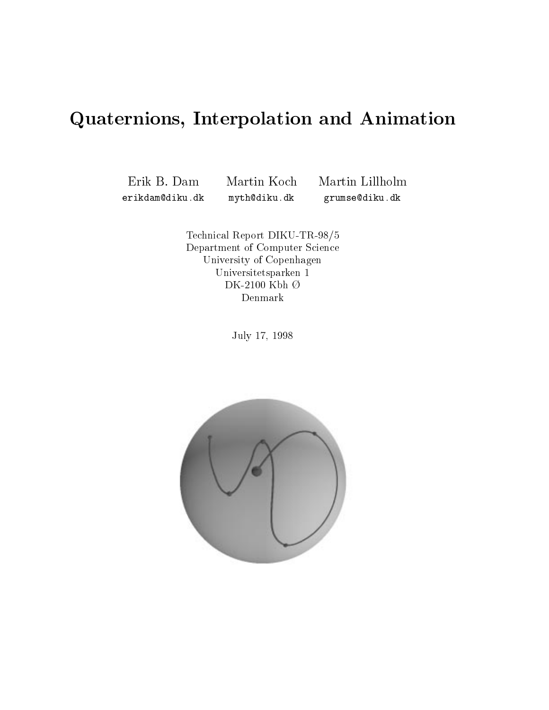# Quaternions, Interpolation and Animation

erikdam@diku.dk

Erik B. Dam Martin Koch Martin Lillholm myth@diku.dk grumse@diku.dk

> Technical Report DIKU-TR-98/5Department of Computer Science University of Copenhagen Universitets over 1980 in 1980 in 1980 in 1980 in 1980 in 1980 in 1980 in 1980 in 1980 in 1980 in 1980 in 1980  $D$ K-2100 Kbh  $\vee$ Denmark

> > July 17, 1998

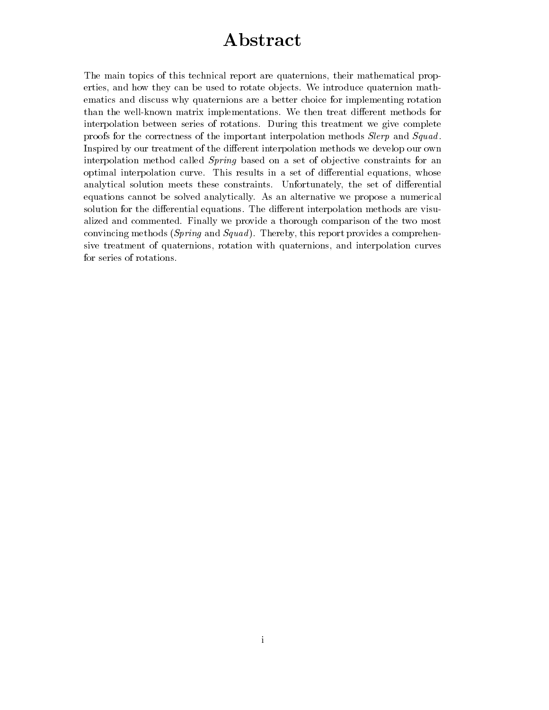# Abstract

The main topics of this technical report are quaternions, their mathematical properties, and how they can be used to rotate objects. We introduce quaternion mathematics and discuss why quaternions are a better choice for implementing rotation than the well-known matrix implementations. We then treat different methods for interpolation between series of rotations. During this treatment we give complete proofs for the correctness of the important interpolation methods *Slerp* and *Squad*. Inspired by our treatment of the different interpolation methods we develop our own interpolation method called *Spring* based on a set of objective constraints for an optimal interpolation curve. This results in a set of differential equations, whose analytical solution meets these constraints. Unfortunately, the set of differential equations cannot be solved analytically. As an alternative we propose a numerical solution for the differential equations. The different interpolation methods are visualized and commented. Finally we provide a thorough comparison of the two most convincing methods ( $Spring$  and  $Squad$ ). Thereby, this report provides a comprehensive treatment of quaternions, rotation with quaternions, and interpolation curves for series of rotations.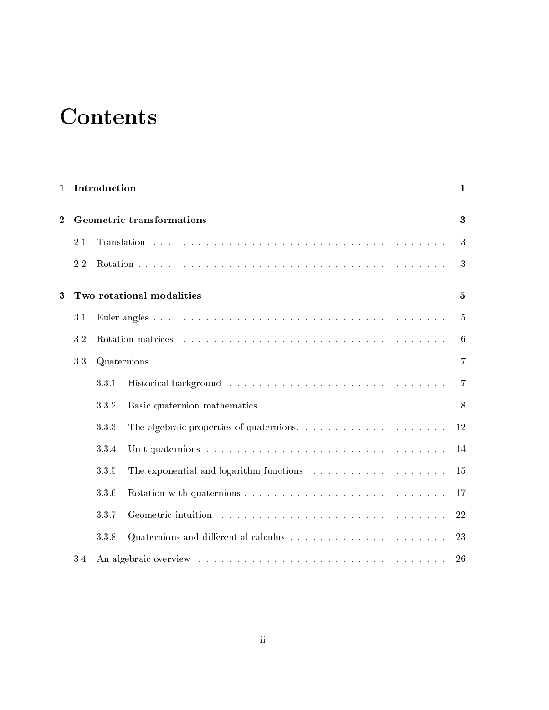# **Contents**

| 1        |                                  | Introduction              |   | 1            |
|----------|----------------------------------|---------------------------|---|--------------|
| $\bf{2}$ | <b>Geometric transformations</b> |                           |   | $\bf{3}$     |
|          | 2.1                              |                           |   | 3            |
|          | 2.2                              |                           |   | 3            |
| 3        |                                  | Two rotational modalities |   | $\mathbf{5}$ |
|          | 3.1                              |                           |   | 5            |
|          | 3.2                              |                           |   | 6            |
|          | 3.3                              |                           | 7 |              |
|          |                                  | 3.3.1                     |   | -7           |
|          |                                  | 3.3.2                     |   | 8            |
|          |                                  | 3.3.3                     |   | 12           |
|          |                                  | 3.3.4                     |   | 14           |
|          |                                  | 3.3.5                     |   | 15           |
|          |                                  | 3.3.6                     |   | 17           |
|          |                                  | 3.3.7                     |   | 22           |
|          |                                  | 3.3.8                     |   | 23           |
|          | 3.4                              |                           |   | 26           |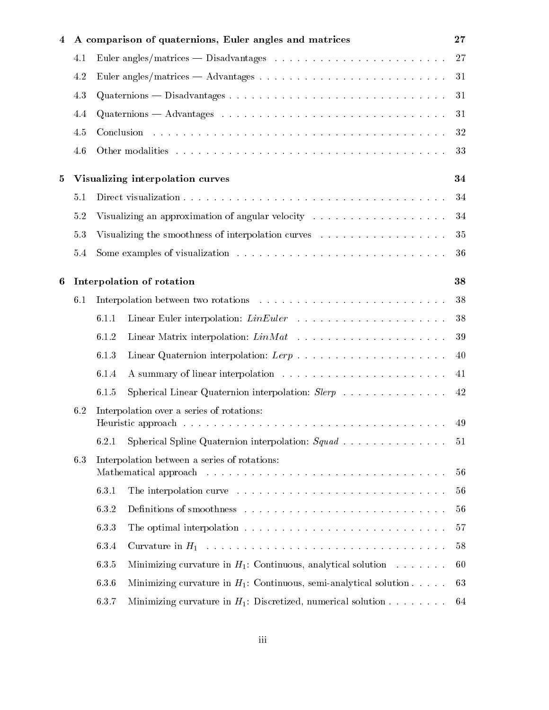| 4 |                                  |                                                                                                                                                                                                                                                                               | A comparison of quaternions, Euler angles and matrices                                             | 27 |  |  |
|---|----------------------------------|-------------------------------------------------------------------------------------------------------------------------------------------------------------------------------------------------------------------------------------------------------------------------------|----------------------------------------------------------------------------------------------------|----|--|--|
|   | 4.1                              |                                                                                                                                                                                                                                                                               |                                                                                                    | 27 |  |  |
|   | 4.2                              |                                                                                                                                                                                                                                                                               | 31                                                                                                 |    |  |  |
|   | 4.3                              |                                                                                                                                                                                                                                                                               | 31                                                                                                 |    |  |  |
|   | 4.4                              |                                                                                                                                                                                                                                                                               | $Quaternions - Advantages \dots \dots \dots \dots \dots \dots \dots \dots \dots \dots \dots \dots$ | 31 |  |  |
|   | 4.5                              |                                                                                                                                                                                                                                                                               |                                                                                                    | 32 |  |  |
|   | 4.6                              |                                                                                                                                                                                                                                                                               |                                                                                                    | 33 |  |  |
| 5 | Visualizing interpolation curves |                                                                                                                                                                                                                                                                               |                                                                                                    |    |  |  |
|   | 5.1                              |                                                                                                                                                                                                                                                                               |                                                                                                    | 34 |  |  |
|   | 5.2                              | Visualizing an approximation of angular velocity $\dots \dots \dots \dots \dots \dots$                                                                                                                                                                                        |                                                                                                    | 34 |  |  |
|   | 5.3                              |                                                                                                                                                                                                                                                                               | Visualizing the smoothness of interpolation curves                                                 | 35 |  |  |
|   | 5.4                              |                                                                                                                                                                                                                                                                               |                                                                                                    | 36 |  |  |
| 6 |                                  | Interpolation of rotation<br>38                                                                                                                                                                                                                                               |                                                                                                    |    |  |  |
|   | 6.1                              |                                                                                                                                                                                                                                                                               |                                                                                                    | 38 |  |  |
|   |                                  | 6.1.1                                                                                                                                                                                                                                                                         |                                                                                                    | 38 |  |  |
|   |                                  | 6.1.2                                                                                                                                                                                                                                                                         |                                                                                                    | 39 |  |  |
|   |                                  | 6.1.3                                                                                                                                                                                                                                                                         |                                                                                                    | 40 |  |  |
|   |                                  | 6.1.4                                                                                                                                                                                                                                                                         |                                                                                                    | 41 |  |  |
|   |                                  | 6.1.5                                                                                                                                                                                                                                                                         | Spherical Linear Quaternion interpolation: $Slerp$                                                 | 42 |  |  |
|   | 6.2                              | Interpolation over a series of rotations:                                                                                                                                                                                                                                     |                                                                                                    | 49 |  |  |
|   |                                  | 6.2.1                                                                                                                                                                                                                                                                         | Spherical Spline Quaternion interpolation: $Squad \ldots \ldots \ldots \ldots$                     | 51 |  |  |
|   | 6.3                              | Interpolation between a series of rotations:<br>Mathematical approach resources in the set of the set of the set of the set of the set of the set of the set of the set of the set of the set of the set of the set of the set of the set of the set of the set of the set of |                                                                                                    | 56 |  |  |
|   |                                  | 6.3.1                                                                                                                                                                                                                                                                         |                                                                                                    | 56 |  |  |
|   |                                  | 6.3.2                                                                                                                                                                                                                                                                         |                                                                                                    | 56 |  |  |
|   |                                  | 6.3.3                                                                                                                                                                                                                                                                         |                                                                                                    | 57 |  |  |
|   |                                  | 6.3.4                                                                                                                                                                                                                                                                         |                                                                                                    | 58 |  |  |
|   |                                  | 6.3.5                                                                                                                                                                                                                                                                         | Minimizing curvature in $H_1$ : Continuous, analytical solution                                    | 60 |  |  |
|   |                                  | 6.3.6                                                                                                                                                                                                                                                                         | Minimizing curvature in $H_1$ : Continuous, semi-analytical solution                               | 63 |  |  |
|   |                                  | 6.3.7                                                                                                                                                                                                                                                                         | Minimizing curvature in $H_1$ : Discretized, numerical solution                                    | 64 |  |  |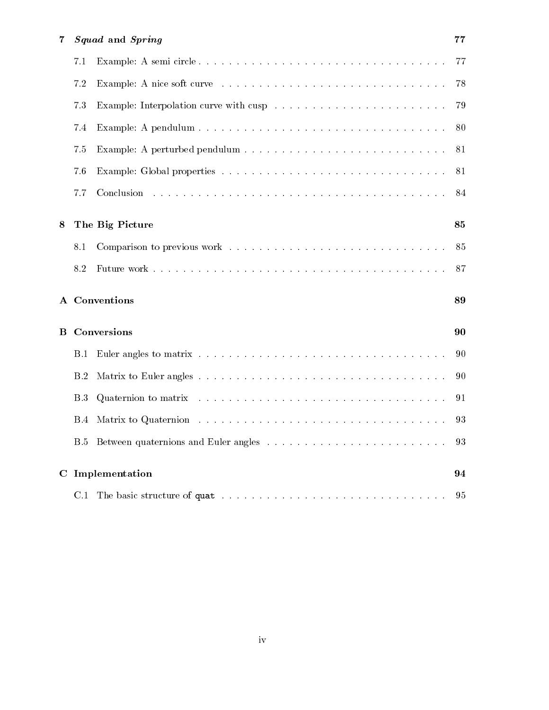| 7 | Squad and Spring     |    |  |
|---|----------------------|----|--|
|   | 7.1                  | 77 |  |
|   | 7.2                  | 78 |  |
|   | 7.3                  | 79 |  |
|   | 7.4                  | 80 |  |
|   | 7.5                  | 81 |  |
|   | 7.6                  | 81 |  |
|   | 7.7                  | 84 |  |
| 8 | The Big Picture      | 85 |  |
|   | 8.1                  | 85 |  |
|   | 8.2                  | 87 |  |
|   | A Conventions        |    |  |
|   | <b>B</b> Conversions |    |  |
|   | B.1                  | 90 |  |
|   | B.2                  | 90 |  |
|   | B.3                  | 91 |  |
|   | B.4                  | 93 |  |
|   | <b>B.5</b>           | 93 |  |
|   | C Implementation     |    |  |
|   |                      | 95 |  |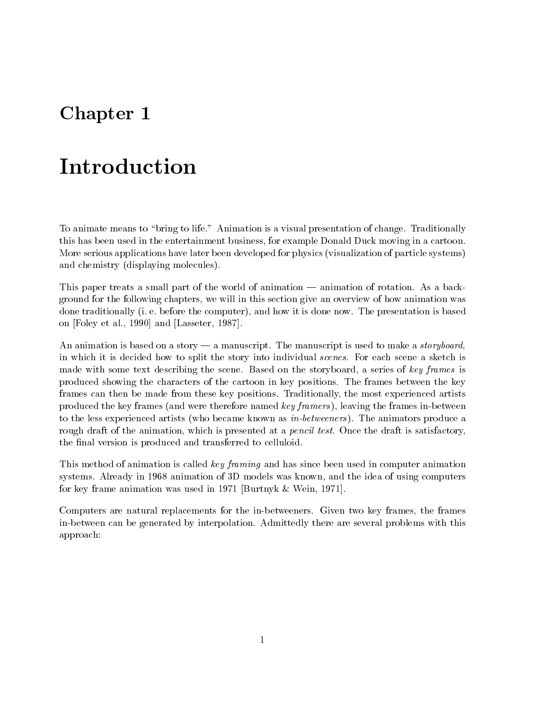# Chapter 1

# Introduction

To animate means to "bring to life." Animation is a visual presentation of change. Traditionally this has been used in the entertainment business, for example Donald Duck moving in a cartoon. More serious applications have later been developed for physics (visualization of particle systems) and chemistry (displaying molecules).

This paper treats a small part of the world of animation — animation of rotation. As a background for the following chapters, we will in this section give an overview of how animation was done traditionally (i. e. before the computer), and how it is done now. The presentation is based on [Foley et al., 1990] and [Lasseter, 1987].

An animation is based on a story  $-$  a manuscript. The manuscript is used to make a *storyboard*, in which it is decided how to split the story into individual *scenes*. For each scene a sketch is made with some text describing the scene. Based on the storyboard, a series of key frames is produced showing the characters of the cartoon in key positions. The frames between the key frames can then be made from these key positions. Traditionally, the most experienced artists produced the key frames (and were therefore named key framers ), leaving the frames in-between to the less experienced artists (who became known as in-betweeners ). The animators produce a rough draft of the animation, which is presented at a *pencil test*. Once the draft is satisfactory, the final version is produced and transferred to celluloid.

This method of animation is called key framing and has since been used in computer animation systems. Already in 1968 animation of 3D models was known, and the idea of using computers for key frame animation was used in 1971 [Burtnyk & Wein, 1971].

Computers are natural replacements for the in-betweeners. Given two key frames, the frames in-between can be generated by interpolation. Admittedly there are several problems with this approach: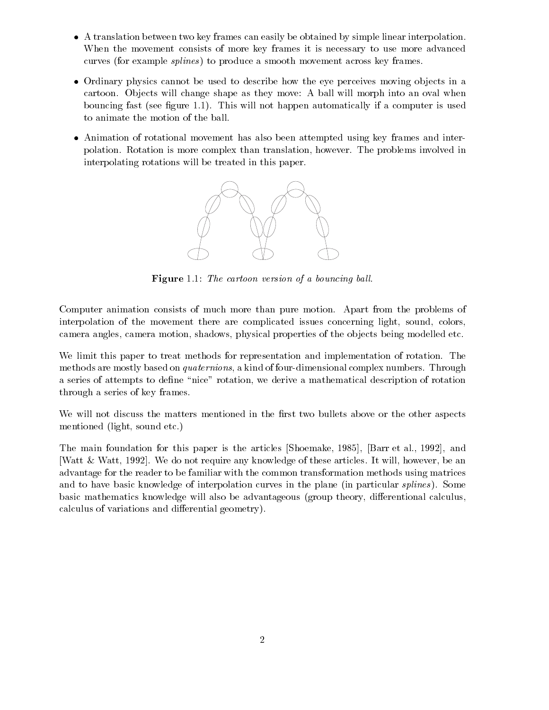- A translation between two key frames can easily be obtained by simple linear interpolation. When the movement consists of more key frames it is necessary to use more advanced curves (for example *splines*) to produce a smooth movement across key frames.
- $\bullet$  Ordinary physics cannot be used to describe how the eye perceives moving objects in a cartoon. Objects will change shape as they move: A ball will morph into an oval when bouncing fast (see figure 1.1). This will not happen automatically if a computer is used to animate the motion of the ball.
- Animation of rotational movement has also been attempted using key frames and interpolation. Rotation is more complex than translation, however. The problems involved in interpolating rotations will be treated in this paper.



Figure 1.1: The cartoon version of a bouncing ball.

Computer animation consists of much more than pure motion. Apart from the problems of interpolation of the movement there are complicated issues concerning light, sound, colors, camera angles, camera motion, shadows, physical properties of the objects being modelled etc.

We limit this paper to treat methods for representation and implementation of rotation. The methods are mostly based on quaternions, a kind of four-dimensional complex numbers. Through a series of attempts to define "nice" rotation, we derive a mathematical description of rotation through a series of key frames.

We will not discuss the matters mentioned in the first two bullets above or the other aspects mentioned (light, sound etc.)

The main foundation for this paper is the articles [Shoemake, 1985], [Barr et al., 1992], and [Watt & Watt, 1992]. We do not require any knowledge of these articles. It will, however, be an advantage for the reader to be familiar with the common transformation methods using matrices and to have basic knowledge of interpolation curves in the plane (in particular splines ). Some basic mathematics knowledge will also be advantageous (group theory, differentional calculus, calculus of variations and differential geometry).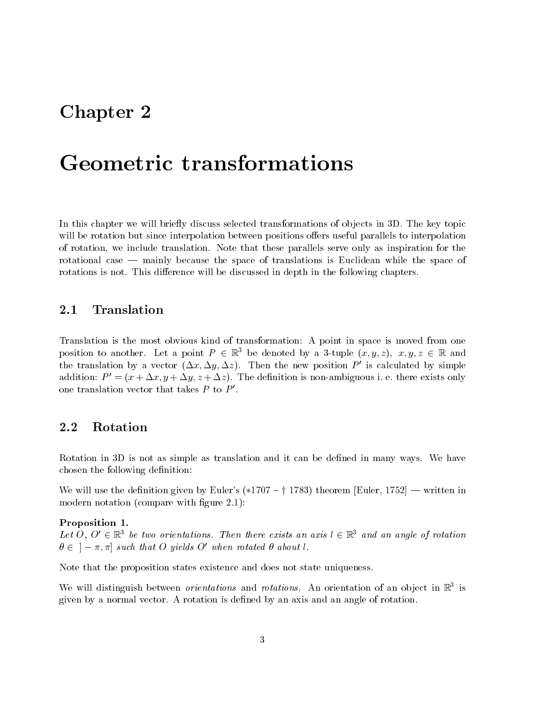# Chapter 2

# Geometric transformations

In this chapter we will briefly discuss selected transformations of objects in 3D. The key topic will be rotation but since interpolation between positions offers useful parallels to interpolation of rotation, we include translation. Note that these parallels serve only as inspiration for the rotational case  $-$  mainly because the space of translations is Euclidean while the space of rotations is not. This difference will be discussed in depth in the following chapters.

### 2.1 Translation

Translation is the most obvious kind of transformation: A point in space is moved from one position to another. Let a point  $P \in \mathbb{R}^3$  be denoted by a 3-tuple  $(x, y, z), x, y, z \in \mathbb{R}$  and the translation by a vector  $(\Delta x, \Delta y, \Delta z)$ . Then the new position P' is calculated by simple addition:  $P' = (x + \Delta x, y + \Delta y, z + \Delta z)$ . The definition is non-ambiguous i. e. there exists only one translation vector that takes  $P$  to  $P'$ .

### 2.2 Rotation

Rotation in 3D is not as simple as translation and it can be defined in many ways. We have chosen the following definition:

We will use the definition given by Euler's (\*1707 – † 1783) theorem [Euler, 1752] — written in modern notation (compare with figure 2.1):

#### Proposition 1.

Let  $O$ ,  $O \in \mathbb{R}^3$  be two orientations. Then there exists an axis l  $\in \mathbb{R}^3$  and an angle of rotation  $\theta \in [-\pi, \pi]$  such that O yields O' when rotated  $\theta$  about l.

Note that the proposition states existence and does not state uniqueness.

We will distinguish between *orientations* and *rotations*. An orientation of an object in K<sup>3</sup> is given by a normal vector. A rotation is dened by an axis and an angle of rotation.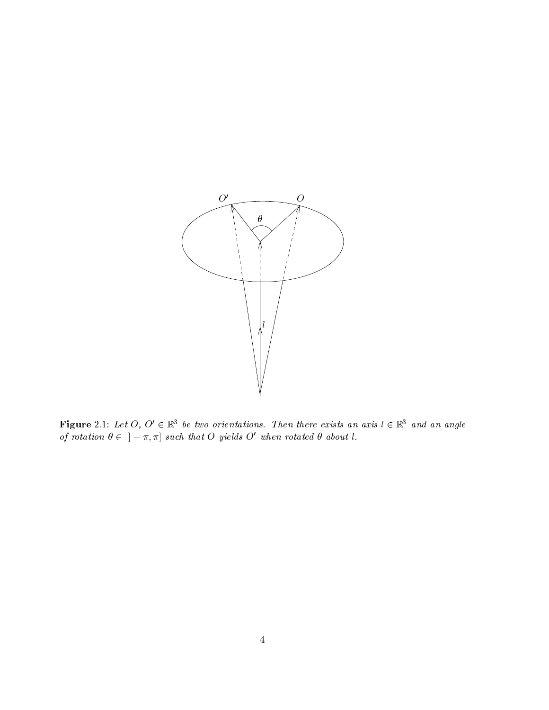

**Figure** 2.1: Let  $O, O \in \mathbb{R}^3$  be two orientations. Then there exists an axis  $l \in \mathbb{R}^3$  and an angle of rotation  $v \in \{-\pi, \pi\}$  such that  $O$  yields  $O$  when rotated  $v$  about i.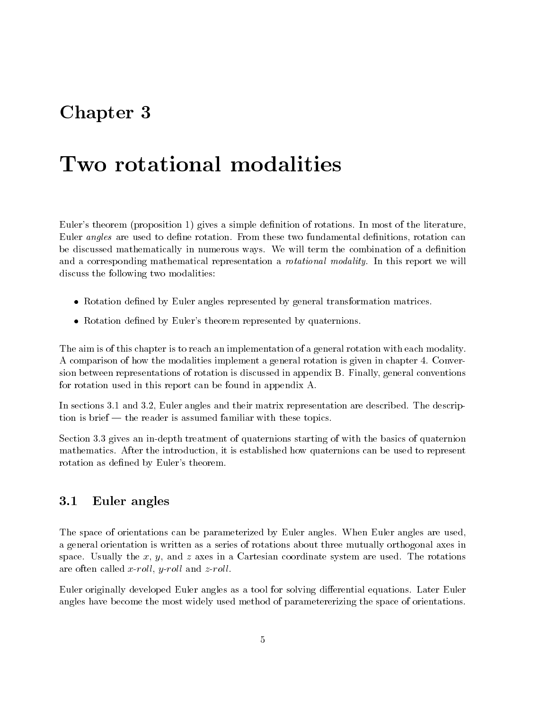# Chapter 3

# Two rotational modalities

Euler's theorem (proposition 1) gives a simple definition of rotations. In most of the literature, Euler angles are used to define rotation. From these two fundamental definitions, rotation can be discussed mathematically in numerous ways. We will term the combination of a definition and a corresponding mathematical representation a *rotational modality*. In this report we will discuss the following two modalities:

- $\bullet$  -Kotation defined by Euler angles represented by general transformation matrices.
- Rotation defined by Euler's theorem represented by quaternions.

The aim is of this chapter is to reach an implementation of a general rotation with each modality. A comparison of how the modalities implement a general rotation is given in chapter 4. Conversion between representations of rotation is discussed in appendix B. Finally, general conventions for rotation used in this report can be found in appendix A.

In sections 3.1 and 3.2, Euler angles and their matrix representation are described. The description is brief — the reader is assumed familiar with these topics.

Section 3.3 gives an in-depth treatment of quaternions starting of with the basics of quaternion mathematics. After the introduction, it is established how quaternions can be used to represent rotation as defined by Euler's theorem.

#### 3.1 Euler angles

The space of orientations can be parameterized by Euler angles. When Euler angles are used, a general orientation is written as a series of rotations about three mutually orthogonal axes in space. Usually the x, y, and z axes in a Cartesian coordinate system are used. The rotations are often called x-roll, y-roll and  $z$ -roll.

Euler originally developed Euler angles as a tool for solving differential equations. Later Euler angles have become the most widely used method of parametererizing the space of orientations.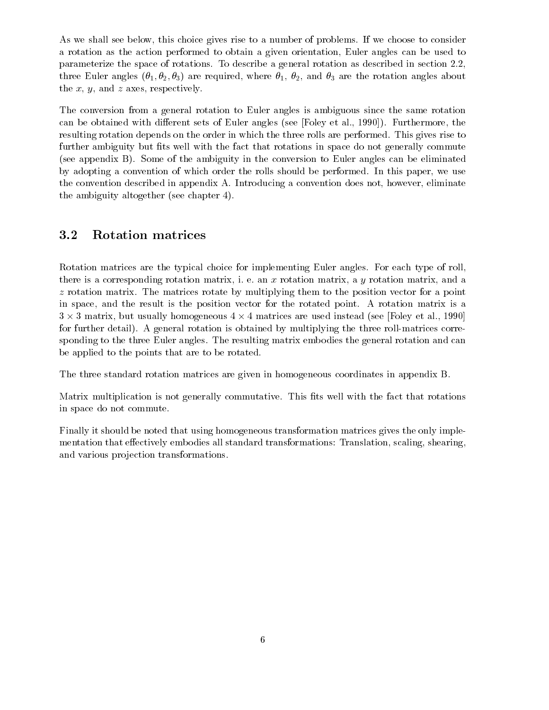As we shall see below, this choice gives rise to a number of problems. If we choose to consider a rotation as the action performed to obtain a given orientation, Euler angles can be used to parameterize the space of rotations. To describe a general rotation as described in section 2.2, three Euler angles  $(\theta_1, \theta_2, \theta_3)$  are required, where  $\theta_1$ ,  $\theta_2$ , and  $\theta_3$  are the rotation angles about the  $x, y$ , and  $z$  axes, respectively.

The conversion from a general rotation to Euler angles is ambiguous since the same rotation can be obtained with different sets of Euler angles (see [Foley et al., 1990]). Furthermore, the resulting rotation depends on the order in which the three rolls are performed. This gives rise to further ambiguity but fits well with the fact that rotations in space do not generally commute (see appendix B). Some of the ambiguity in the conversion to Euler angles can be eliminated by adopting a convention of which order the rolls should be performed. In this paper, we use the convention described in appendix A. Introducing a convention does not, however, eliminate the ambiguity altogether (see chapter 4).

### 3.2 Rotation matrices

Rotation matrices are the typical choice for implementing Euler angles. For each type of roll, there is a corresponding rotation matrix, i. e. an  $x$  rotation matrix, a  $y$  rotation matrix, and a z rotation matrix. The matrices rotate by multiplying them to the position vector for a point in space, and the result is the position vector for the rotated point. A rotation matrix is a  $3 \times 3$  matrix, but usually nomogeneous 4  $\times$  4 matrices are used instead (see [Foley et al., 1990]  $$ for further detail). A general rotation is obtained by multiplying the three roll-matrices corresponding to the three Euler angles. The resulting matrix embodies the general rotation and can be applied to the points that are to be rotated.

The three standard rotation matrices are given in homogeneous coordinates in appendix B.

Matrix multiplication is not generally commutative. This fits well with the fact that rotations in space do not commute.

Finally it should be noted that using homogeneous transformation matrices gives the only implementation that effectively embodies all standard transformations: Translation, scaling, shearing, and various projection transformations.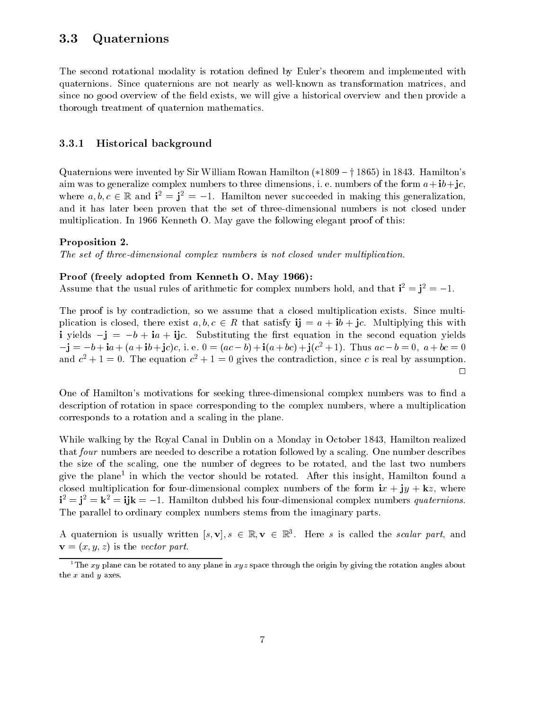## 3.3 Quaternions

The second rotational modality is rotation defined by Euler's theorem and implemented with quaternions. Since quaternions are not nearly as well-known as transformation matrices, and since no good overview of the field exists, we will give a historical overview and then provide a thorough treatment of quaternion mathematics.

#### 3.3.1 Historical background

Quaternions were invented by Sir William Rowan Hamilton  $(*1809 - 1865)$  in 1843. Hamilton's aim was to generalize complex numbers to three dimensions, i. e. numbers of the form  $a+ib+jc$ , where  $a, b, c \in \mathbb{R}$  and  $\mathbf{i}^2 = \mathbf{j}^2 = -1$ . Hamilton never succeeded in making this generalization, and it has later been proven that the set of three-dimensional numbers is not closed under multiplication. In 1966 Kenneth O. May gave the following elegant proof of this:

#### Proposition 2.

The set of three-dimensional complex numbers is not closed under multiplication.

#### Proof (freely adopted from Kenneth O. May 1966):

Assume that the usual rules of arithmetic for complex numbers hold, and that  $i^2 = j^2 = -1$ .

The proof is by contradiction, so we assume that a closed multiplication exists. Since multiplication is closed, there exist  $a, b, c \in R$  that satisfy  $\mathbf{i} \mathbf{j} = a + i b + j c$ . Multiplying this with i yields  $-j = -b + ia + ijc$ . Substituting the first equation in the second equation yields  $j = -b + 1a + (a + b) + jc/c$ , i. e.  $0 = (ac - b) + 1(a + bc) + j(c^{2} + 1)$ . Thus  $ac - b = 0$ ,  $a + bc = 0$ and  $c^+ + 1 = 0$ . The equation  $c^- + 1 = 0$  gives the contradiction, since c is real by assumption.  $\Box$ 

One of Hamilton's motivations for seeking three-dimensional complex numbers was to find a description of rotation in space corresponding to the complex numbers, where a multiplication corresponds to a rotation and a scaling in the plane.

While walking by the Royal Canal in Dublin on a Monday in October 1843, Hamilton realized that four numbers are needed to describe a rotation followed by a scaling. One number describes the size of the scaling, one the number of degrees to be rotated, and the last two numbers give the plane<sup>-</sup> in which the vector should be rotated. After this insight, Hamilton found a closed multiplication for four-dimensional complex numbers of the form  $ix + jy + kz$ , where  $i^2 = j^2 = k^2 = ijk = -1$ . Hamilton dubbed his four-dimensional complex numbers quaternions. The parallel to ordinary complex numbers stems from the imaginary parts.

A quaternion is usually written  $[s, \mathbf{v}], s \in \mathbb{R}, \mathbf{v} \in \mathbb{R}^+$ . Here s is called the scalar part, and  $\mathbf{v} = (x, y, z)$  is the vector part.

<sup>&</sup>lt;sup>1</sup>The xy plane can be rotated to any plane in xyz space through the origin by giving the rotation angles about the  $x$  and  $y$  axes.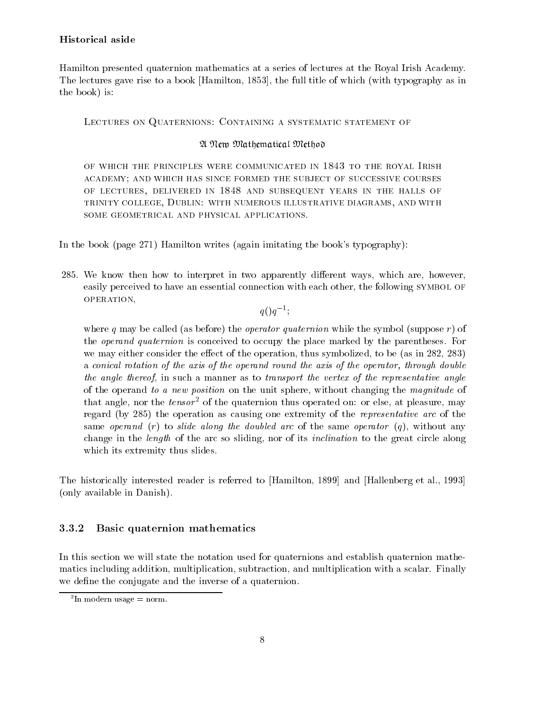Hamilton presented quaternion mathematics at a series of lectures at the Royal Irish Academy. The lectures gave rise to a book [Hamilton, 1853], the full title of which (with typography as in the book) is:

Lectures on Quaternions: Containing <sup>a</sup> systematic statement of

#### A New Mathematical Method

of which the principles were communicated in 1843 to the principles were the principles were the royal Irish to the royal Irish to the royal Irish to the royal Irish to the royal Irish to the royal Irish to the royal Irish academy; and which has since formed the subject of successive coursesof lectures, delivered in 1848 and subsequent in 1848 and 1848 and subsequent years in the halls of the halls o trinity college, Dublin: with numerous illustrative diagrams, and with

In the book (page 271) Hamilton writes (again imitating the book's typography):

285. We know then how to interpret in two apparently different ways, which are, however, easily perceived to have an essential connection with each other, the following SYMBOL OF operation,

 $q \cup q$  :

where q may be called (as before) the *operator quaternion* while the symbol (suppose r) of the *operand quaternion* is conceived to occupy the place marked by the parentheses. For we may either consider the effect of the operation, thus symbolized, to be (as in 282, 283) a conical rotation of the axis of the operand round the axis of the operator, through double the angle thereof, in such a manner as to transport the vertex of the representative angle of the operand to a new position on the unit sphere, without changing the magnitude of that angle, nor the  $tensor^2$  of the quaternion thus operated on: or else, at pleasure, may regard (by 285) the operation as causing one extremity of the representative arc of the same operand  $(r)$  to slide along the doubled arc of the same operator  $(q)$ , without any change in the *length* of the arc so sliding, nor of its *inclination* to the great circle along which its extremity thus slides.

The historically interested reader is referred to [Hamilton, 1899] and [Hallenberg et al., 1993] (only available in Danish).

### 3.3.2 Basic quaternion mathematics

In this section we will state the notation used for quaternions and establish quaternion mathematics including addition, multiplication, subtraction, and multiplication with a scalar. Finally we define the conjugate and the inverse of a quaternion.

<sup>2</sup> In modern usage = norm.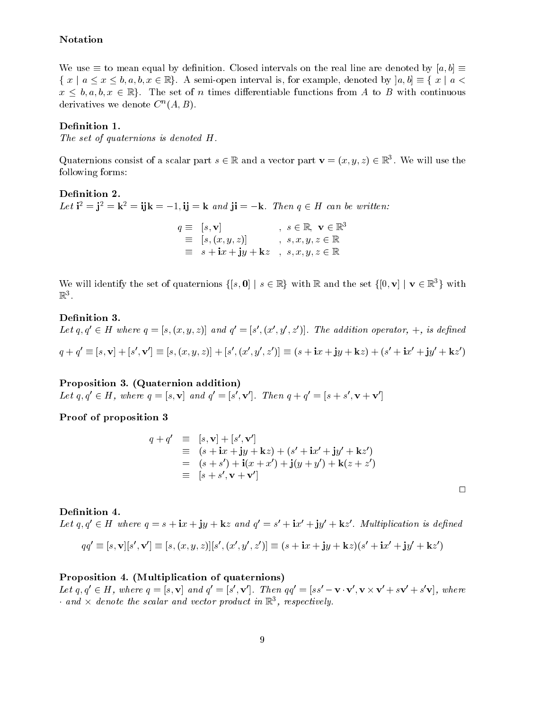### Notation

We use  $\equiv$  to mean equal by definition. Closed intervals on the real line are denoted by  $[a, b] =$  $\{x \mid a \le x \le b, a, b, x \in \mathbb{R}\}.$  A semi-open interval is, for example, denoted by  $[a, b] \equiv \{x \mid a \le b\}$ We use  $\equiv$  to mean equal by definition. Closed intervals on the real line are denoted by  $[a, b] \equiv x \mid a \le x \le b, a, b, x \in \mathbb{R}$ . A semi-open interval is, for example, denoted by  $[a, b] \equiv \{x \mid a \le b\}$  $x \leq b, a, b, x \in \mathbb{R}$ . The set of n times differentiable functions from A to B with continuous derivatives we denote  $C^{\sim}(A, B)$ .

#### Definition 1.

The set of quaternions is denoted H.

Quaternions consist of a scalar part  $s \in \mathbb{R}$  and a vector part  $\mathbf{v} = (x, y, z) \in \mathbb{R}^+$ . We will use the following forms:

Let  $i^2 = j^2 = k^2 = i$   $k = -1$ ,  $i = k$  and  $j = -k$ . Then  $q \in H$  can be written:  $q = |s, \mathbf{V}|$  ,  $s \in \mathbb{R}, \mathbf{V} \in \mathbb{R}^{\mathsf{T}}$  $\mathcal{S} = \{ [s, (x, y, z)] \quad , \quad s, x, y, z \in \mathbb{R} \}$  $s = s + 1x + 1y + kz$ ,  $s, x, y, z \in \mathbb{R}$ 

We will identify the set of quaternions  $\{[s, 0] \mid s \in \mathbb{R}\}$  with R and the set  $\{[0, v] \mid v \in \mathbb{R}^3\}$  with  $\mathbb{R}^3$ .

#### Definition 3.

Let  $q, q \in H$  where  $q = |s, (x, y, z)|$  and  $q = |s|, (x, y, z)|$ . The addition operator,  $+$ , is defined  $q + q \equiv [s, \mathbf{V}] + [s', \mathbf{V}] \equiv [s, (x, y, z)] + [s', (x, y, z)] \equiv (s + 1x + 1y + \mathbf{K}z) + (s' + 1x' + 1y' + \mathbf{K}z')$ 

Proposition 3. (Quaternion addition) Let  $q, q \in H$ , where  $q = |s, v|$  and  $q = |s, v|$ . Then  $q + q = |s + s, v + v|$ 

Proof of proposition 3

$$
q + q' \equiv [s, \mathbf{v}] + [s', \mathbf{v}']
$$
  
\n
$$
\equiv (s + ix + jy + kz) + (s' + ix' + jy' + kz')
$$
  
\n
$$
= (s + s') + i(x + x') + j(y + y') + k(z + z')
$$
  
\n
$$
\equiv [s + s', \mathbf{v} + \mathbf{v}']
$$

 $\Box$ 

Definition 4. Let  $q, q \in H$  where  $q = s + \mathbf{i}x + \mathbf{j}y + \mathbf{k}z$  and  $q = s + \mathbf{i}x + \mathbf{j}y + \mathbf{k}z$ . Multiplication is defined

$$
qq'\equiv[s,\mathbf{v}][s',\mathbf{v}']\equiv[s,(x,y,z)][s',(x',y',z')] \equiv (s+\mathbf{i} x+\mathbf{j} y+\mathbf{k} z)(s'+\mathbf{i} x'+\mathbf{j} y'+\mathbf{k} z')
$$

#### Proposition 4. (Multiplication of quaternions)

Let  $q, q \in H$ , where  $q = |s, v|$  and  $q = |s, v|$ . Then  $qq = |ss - v \cdot v, v \times v + sv + s v|$ , where  $\cdot$  and  $\times$  aenote the scalar and vector product in  $\mathbb{R}^{\times}$ , respectively.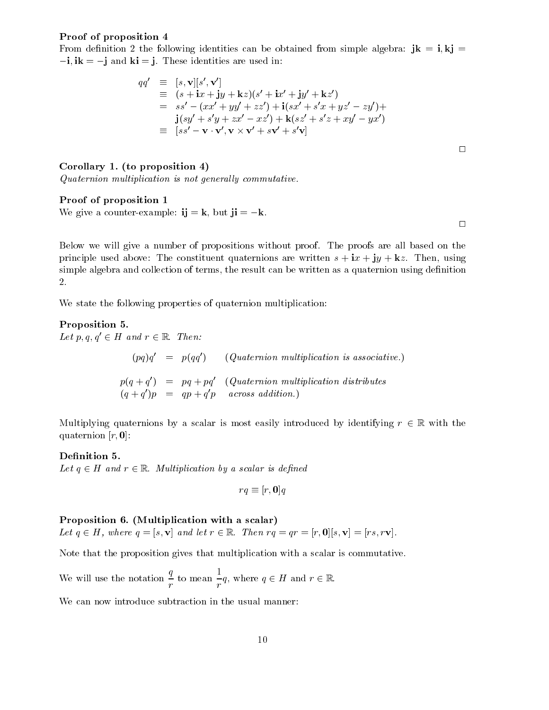#### Proof of proposition 4

From definition 2 the following identities can be obtained from simple algebra:  $jk = i, kj = j$  $-i$ , ik =  $-j$  and ki = j. These identities are used in:

$$
qq' \equiv [s, \mathbf{v}][s', \mathbf{v}']
$$
  
\n
$$
\equiv (s + \mathbf{i}x + \mathbf{j}y + \mathbf{k}z)(s' + \mathbf{i}x' + \mathbf{j}y' + \mathbf{k}z')
$$
  
\n
$$
= ss' - (xx' + yy' + zz') + \mathbf{i}(sx' + s'x + yz' - zy') + \mathbf{j}(sy' + s'y + zx' - xz') + \mathbf{k}(sz' + s'z + xy' - yx')
$$
  
\n
$$
\equiv [ss' - \mathbf{v} \cdot \mathbf{v}', \mathbf{v} \times \mathbf{v}' + s\mathbf{v}' + s'\mathbf{v}]
$$

Corollary 1. (to proposition 4)

Quaternion multiplication isnot general ly commutative.

#### Proof of proposition 1

We give a counter-example:  $i j = k$ , but  $j i = -k$ .

 $\Box$ 

 $\Box$ 

Below we will give a number of propositions without proof. The proofs are all based on the principle used above: The constituent quaternions are written  $s + ix + jy + kz$ . Then, using simple algebra and collection of terms, the result can be written as a quaternion using definition 2.

We state the following properties of quaternion multiplication:

Proposition 5. Let  $p, q, q' \in H$  and  $r \in \mathbb{R}$ . Then:  $(pq)q = p(qq)$  (Quaternion multiplication is associative.)  $p(q + q) = pq + pq$  (Quaternion multiplication distributes  $(q + q)p = qp + qp$  across addition.)

Multiplying quaternions by a scalar is most easily introduced by identifying  $r \in \mathbb{R}$  with the quaternion  $[r, 0]$ :

#### Definition 5.

Let  $q \in H$  and  $r \in \mathbb{R}$ . Multiplication by a scalar is defined

$$
rq \equiv [r, \mathbf{0}]q
$$

#### Proposition 6. (Multiplication with a scalar)

Let  $q \in H$ , where  $q = [s, v]$  and let  $r \in \mathbb{R}$ . Then  $rq = qr = [r, 0][s, v] = [rs, rv]$ .

Note that the proposition gives that multiplication with a scalar is commutative.

We will use the notation  $\frac{3}{2}$  to mean  $-q$ , where  $q \in H$  and  $r \in \mathbb{R}$ .

We can now introduce subtraction in the usual manner: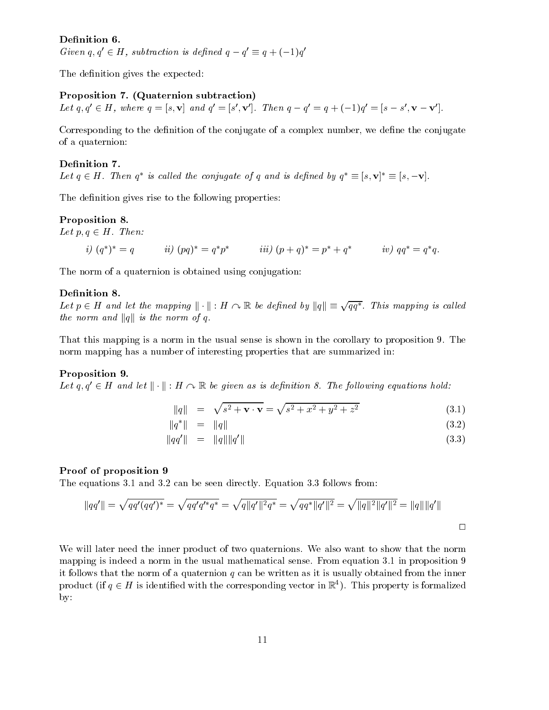#### Definition 6.

Given  $q, q \in H$ , subtraction is defined  $q - q = q + (-1)q$ 

The definition gives the expected:

#### Proposition 7. (Quaternion subtraction)

Let  $q, q \in \mathbb{R}$ , where  $q = |s, v|$  and  $q = |s, v|$ . Then  $q - q = q + (-1)q = |s - s|$ ,  $v - v|$ .

Corresponding to the definition of the conjugate of a complex number, we define the conjugate of a quaternion:

Definition 7. Let  $q \in H$ . Then  $q^{\dagger}$  is called the conjugate of q and is defined by  $q^{\dagger} = [s, \mathbf{v}]^{\dagger} = [s, -\mathbf{v}]$ .<br>The definition gives rise to the following properties:

#### Proposition 8.

Let  $p, q \in H$ . Then:

i) 
$$
(q^*)^* = q
$$
 ii)  $(pq)^* = q^*p^*$  iii)  $(p+q)^* = p^* + q^*$  iv)  $qq^* = q^*q$ .

The norm of a quaternion is obtained using conjugation:

#### Definition 8.

**Definition 8.**<br>Let  $p \in H$  and let the mapping  $\Vert \cdot \Vert : H \curvearrowright \mathbb{R}$  be defined by  $\Vert q \Vert \equiv \sqrt{qq^*}$ . This mapping is called the norm and  $||q||$  is the norm of q.

That this mapping is a norm in the usual sense is shown in the corollary to proposition 9. The norm mapping has a number of interesting properties that are summarized in:

#### Proposition 9.

Let  $q, q' \in H$  and let  $\|\cdot\| : H \cap \mathbb{R}$  be given as is definition 8. The following equations hold:

$$
||q|| = \sqrt{s^2 + \mathbf{v} \cdot \mathbf{v}} = \sqrt{s^2 + x^2 + y^2 + z^2}
$$
 (3.1)

$$
\|q^*\| = \|q\| \tag{3.2}
$$

$$
\|qq'\| = \|q\| \|q'\| \tag{3.3}
$$

#### Proof of proposition 9

The equations 3.1 and 3.2 can be seen directly. Equation 3.3 follows from:

$$
||qq'|| = \sqrt{qq'(qq')^*} = \sqrt{qq'q'^*q^*} = \sqrt{q||q'||^2q^*} = \sqrt{qq^*||q'||^2} = \sqrt{||q||^2||q'||^2} = ||q|| ||q'||
$$

We will later need the inner product of two quaternions. We also want to show that the norm mapping is indeed a norm in the usual mathematical sense. From equation 3.1 in proposition 9 it follows that the norm of a quaternion  $q$  can be written as it is usually obtained from the inner product (if  $q \in H$  is identified with the corresponding vector in  $\mathbb{R}^+$ ). This property is formalized by: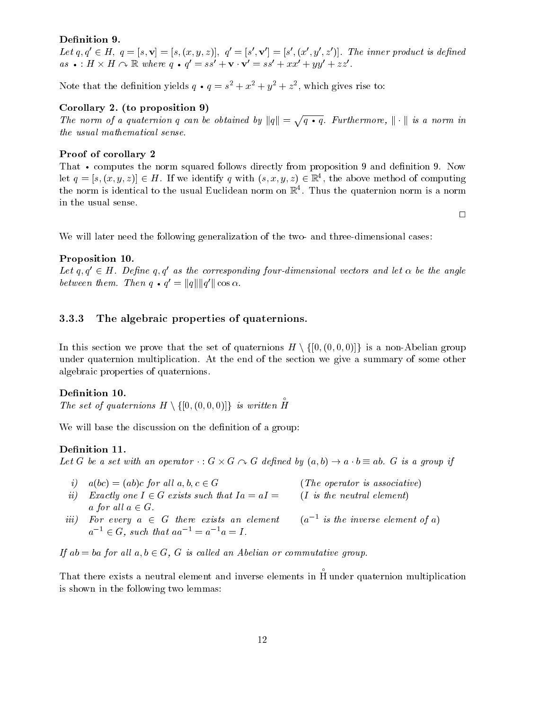#### Definition 9.

Let  $q, q \in H$ ,  $q = |s, \mathbf{v}| = |s, (x, y, z)|$ ,  $q = |s, \mathbf{v}| = |s|$ ,  $(x, y, z)|$ . The inner product is defined  $as \bullet : H \times H \curvearrowright \mathbb{R}$  where  $q \bullet q = ss + \mathbf{v} \cdot \mathbf{v} = ss + xx + yy + zz$ .

Note that the definition yields  $q \bullet q = s^2 + x^2 + y^2 + z^2$ , which gives rise to:

#### Corollary 2. (to proposition 9)

The norm of a quaternion q can be obtained by  $||q|| = \sqrt{q \cdot q}$ . Furthermore,  $|| \cdot ||$  is a norm in the usual mathematical sense.

#### Proof of corollary 2

That • computes the norm squared follows directly from proposition 9 and definition 9. Now  $c$  and  $c$  is the norm squared follows directly from proposition  $\mathbf{r}$  and  $\mathbf{r}$  and denote  $\mathbf{r}$ let  $q = [s, (x, y, z)] \in H$ . If we identify q with  $(s, x, y, z) \in \mathbb{R}^+$ , the above method of computing the norm is identical to the usual Euclidean norm on  $\mathbb{R}^+$ . Thus the quaternion norm is a norm in the usual sense.

 $\Box$ 

We will later need the following generalization of the two- and three-dimensional cases:

#### Proposition 10.

Let  $q, q' \in H$ . Define q, q' as the corresponding four-dimensional vectors and let  $\alpha$  be the angle between them. Then  $q \bullet q = ||q|| ||q|| \cos \alpha$ .

#### The algebraic properties of quaternions.

**3.3.3** The algebraic properties of quaternions.<br>In this section we prove that the set of quaternions  $H \setminus \{[0, (0, 0, 0)]\}$  is a non-Abelian group under quaternion multiplication. At the end of the section we give a summary of some other algebraic properties of quaternions.

#### Definition 10.

**Definition 10.**<br>The set of quaternions  $H \setminus \{[0, (0, 0, 0)]\}$  is written  $\mathring{H}$ 

We will base the discussion on the definition of a group:

#### Definition 11.

Let G be a set with an operator  $\cdot: G \times G \curvearrowright G$  defined by  $(a, b) \rightarrow a \cdot b = a b$ . G is a group if

- i)  $a(bc)=(ab)c$  for all  $a, b, c \in G$  (The operator is associative) ii) Exactly one  $I \in G$  exists such that  $Ia = aI = \{I \text{ is the neutral element}\}$
- a for all  $a \in G$ .  $iii$ , for every  $a \in G$  there exists an element and a is the inverse element of  $a$ )  $a^{-1} \in G$ , such that  $aa^{-1} = a^{-1}a = I$ .

If  $ab = ba$  for all  $a, b \in G$ , G is called an Abelian or commutative group.

That there exists a neutral element and inverse elements in H under quattribus multiplication multiplication music is shown in the following two lemmas: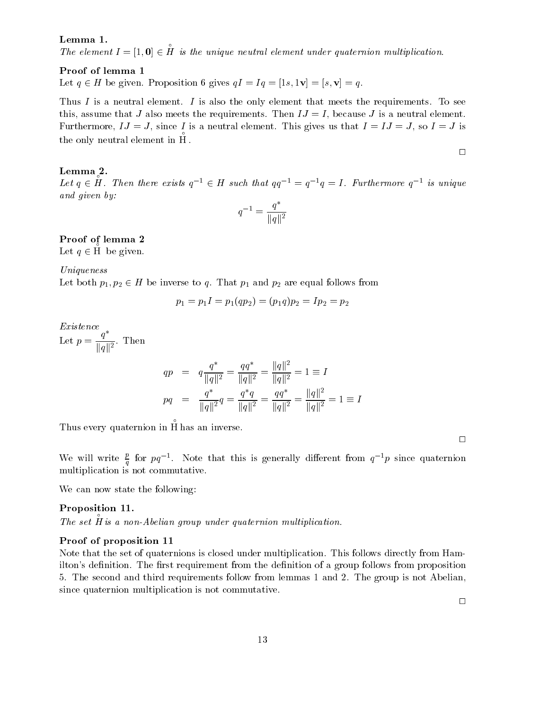#### Lemma 1.

The element  $I = [1, 0] \in \overline{H}$  is the uniqu is the unique neutral element under quaternion multiplication.

#### Proof of lemma 1

Let  $q \in H$  be given. Proposition 6 gives  $qI = Iq = [1s, 1v] = [s, v] = q$ .

Thus I is a neutral element. I is also the only element that meets the requirements. To see this, assume that J also meets the requirements. Then  $IJ = I$ , because J is a neutral element. Furthermore,  $IJ = J$ , since I is a neutral element. This gives us that  $I = IJ = J$ , so  $I = J$  is the only neutral elements in Higgs and  $\mathcal{L}_{\text{max}}$ 

#### Lemma 2.

Let  $q \in \tilde{H}$ . Then there exists  $q^{-1} \in H$  such that  $qq^{-1} = q^{-1}q = I$ . Furthermore  $q^{-1}$  is unique and given by:

$$
q^{-1} = \frac{q^*}{\|q\|^2}
$$

#### Proof of lemma 2

Let  $a \in \tilde{H}$  be given. be given.

Uniqueness

Let both  $p_1, p_2 \in H$  be inverse to q. That  $p_1$  and  $p_2$  are equal follows from

$$
p_1=p_1I=p_1(qp_2)=(p_1q)p_2=Ip_2=p_2\\
$$

Let  $p = \frac{q}{(q-1)(p)}$ . Then  $\|g\|^2$ 

$$
qp = q \frac{q^*}{\|q\|^2} = \frac{qq^*}{\|q\|^2} = \frac{\|q\|^2}{\|q\|^2} = 1 \equiv I
$$
  

$$
pq = \frac{q^*}{\|q\|^2}q = \frac{q^*q}{\|q\|^2} = \frac{qq^*}{\|q\|^2} = \frac{\|q\|^2}{\|q\|^2} = 1 \equiv I
$$

Thus every quaternion in Hermann in Hermann in Hermann in Hermann in Hermann in Hermann in Hermann in Hermann

 $\Box$ 

We will write  $\frac{p}{q}$  for pq<sup>-1</sup>. Note that this is generally different from q<sup>-1</sup>p since quaternion multiplication is not commutative.

We can now state the following:

#### Proposition 11.

is a non-Abelian group under quaternion multiplication.

#### Proof of proposition 11

Note that the set of quaternions is closed under multiplication. This follows directly from Hamilton's definition. The first requirement from the definition of a group follows from proposition 5. The second and third requirements follow from lemmas 1 and 2. The group is not Abelian, since quaternion multiplication is not commutative.

 $\Box$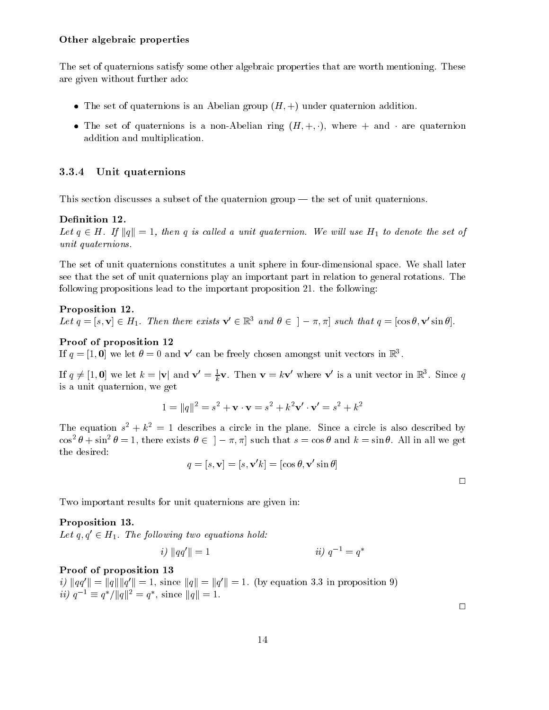#### Other algebraic properties

The set of quaternions satisfy some other algebraic properties that are worth mentioning. These are given without further ado:

- $\bullet$  The set of quaternions is an Abelian group ( $H, +$ ) under quaternion addition.
- $\bullet$  The set of quaternions is a non-Abelian ring ( $H, +, \cdot$ ), where  $+$  and  $\cdot$  are quaternion addition and multiplication.

#### 3.3.4 Unit quaternions

This section discusses a subset of the quaternion group  $-$  the set of unit quaternions.

#### Definition 12.

Let  $q \in H$ . If  $||q|| = 1$ , then q is called a unit quaternion. We will use  $H_1$  to denote the set of unit quaternions.

The set of unit quaternions constitutes a unit sphere in four-dimensional space. We shall later see that the set of unit quaternions play an important part in relation to general rotations. The following propositions lead to the important proposition 21. the following:

### Proposition 12. Let  $q = [s, \mathbf{v}] \in H_1$ . Then there exists  $\mathbf{v}' \in \mathbb{R}^3$  and  $\theta \in [-\pi, \pi]$  such that  $q = [\cos \theta, \mathbf{v}' \sin \theta]$ .

#### Proof of proposition 12

If  $q = |1, 0|$  we let  $q = 0$  and  $\bf{v}$  can be freely chosen amongst unit vectors in  $\bf{r}$ ,

If  $q \neq [1, 0]$  we let  $\kappa = |{\bf v}|$  and  ${\bf v} = \frac{1}{k} {\bf v}$ . Then  ${\bf v} = \kappa {\bf v}$  where v is a unit vector in  $\mathbb{R}^3$ . Since q is a unit quaternion, we get

$$
1 = ||q||^2 = s^2 + \mathbf{v} \cdot \mathbf{v} = s^2 + k^2 \mathbf{v}' \cdot \mathbf{v}' = s^2 + k^2
$$

The equation  $s^+ + \kappa^- = 1$  describes a circle in the plane. Since a circle is also described by  $\cos^2 \theta + \sin^2 \theta = 1$ , there exists  $\theta \in [-\pi, \pi]$  such that  $s = \cos \theta$  and  $k = \sin \theta$ . All in all we get the desired:

$$
q=[s,\mathbf{v}]=[s,\mathbf{v}'k]=[\cos\theta,\mathbf{v}'\sin\theta]
$$

 $\Box$ 

Two important results for unit quaternions are given in:

#### Proposition 13.

Let  $q, q' \in H_1$ . The following two equations hold:

$$
i) \|qq'\| = 1 \qquad \qquad ii) \ q^{-1} = q^*
$$

#### Proof of proposition 13

 $i$ )  $\|q\|$   $\|q\|$   $\|q\|$   $\|q\|$   $\|q\|$   $\|q\|$   $\|q\|$   $\|q\|$   $\|q\|$   $\|q\|$   $\|q\|$   $\|q\|$   $\|q\|$   $\|q\|$   $\|p\|$  $ii) \, q^{-1} \equiv q / ||q||^{-} \equiv q$ , since  $||q|| \equiv 1$ .

 $\Box$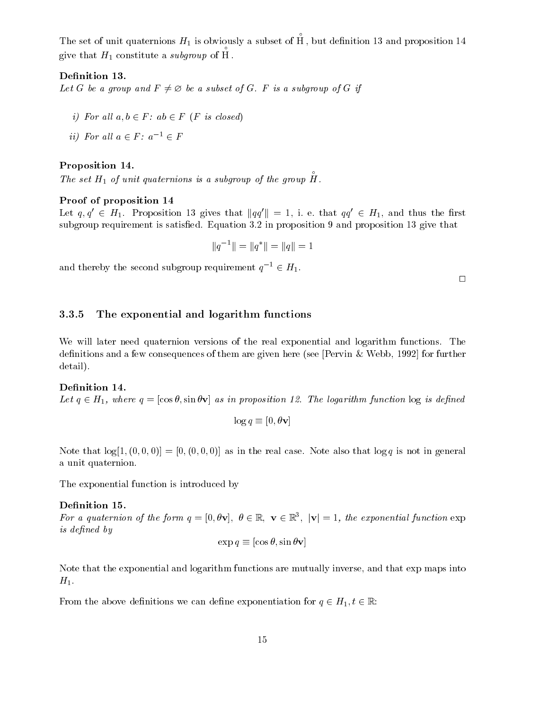The set of the set of unit set of the set  $\mathbf{1}$  is obviously and H1 is obviously at the H1 is obviously , but denotes the state proposition is and proposition  $\mathcal{L}$  $\mathbf{H}$  constitute a subset of H1 constitute a subset of H1 constitute a subset of H1 constitute a subset of H1 constitute a subset of H1 constitute a subset of H1 constitution of H1 constitution of H1 constitution of H1

#### Definition 13.

Let G be a group and  $F \neq \emptyset$  be a subset of G. F is a subgroup of G if

- i) For all  $a, b \in F$ :  $ab \in F$  (F is closed)
- ii) For all  $a \in F$ :  $a^{-1} \in F$

#### Proposition 14.

The set H1 of unit quaternions is a subgroup of the group of the substitution of the substitution of the group

#### Proof of proposition 14

Let  $q, q' \in H_1$ . Proposition 13 gives that  $||qq'|| = 1$ , i. e. that  $qq' \in H_1$ , and thus the first subgroup requirement is satisfied. Equation 3.2 in proposition 9 and proposition 13 give that

$$
\|q^{-1}\|=\|q^*\|=\|q\|=1
$$

and thereby the second subgroup requirement  $q^{-1} \in H_1$ .

#### 3.3.5 The exponential and logarithm functions

We will later need quaternion versions of the real exponential and logarithm functions. The definitions and a few consequences of them are given here (see [Pervin & Webb, 1992] for further detail).

#### Definition 14.

Let  $q \in H_1$ , where  $q = [\cos \theta, \sin \theta \mathbf{v}]$  as in proposition 12. The logarithm function  $\log i s$  defined

$$
\log q \equiv [0, \theta \mathbf{v}]
$$

Note that  $log[1, (0, 0, 0)] = [0, (0, 0, 0)]$  as in the real case. Note also that  $log q$  is not in general a unit quaternion.

The exponential function is introduced by

#### Definition 15.

For a quaternion of the form  $q = [0, \theta V], \theta \in \mathbb{R}, V \in \mathbb{R}^+$ ,  $|V| = 1$ , the exponential function exp is defined by

$$
\exp q \equiv [\cos \theta, \sin \theta \mathbf{v}]
$$

Note that the exponential and logarithm functions are mutually inverse, and that exp maps into  $H_1$ .

From the above definitions we can define exponentiation for  $q \in H_1, t \in \mathbb{R}$ :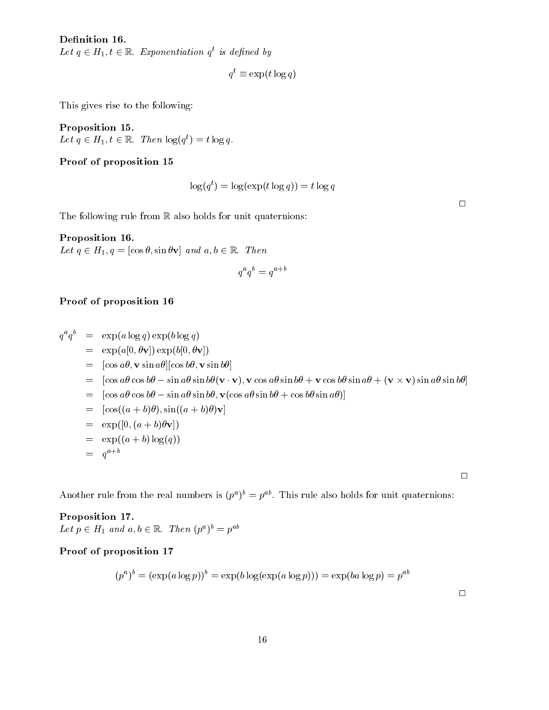#### Definition 16.

Let  $q \in H_1, t \in \mathbb{R}$ . Exponentiation q is defined by

$$
q^t \equiv \exp(t \log q)
$$

This gives rise to the following:

Proposition 15. Let  $q \in H_1$ ,  $t \in \mathbb{R}$ . Then  $log(q^2) = t log q$ .

#### Proof of proposition 15

$$
\log(q^t) = \log(\exp(t \log q)) = t \log q
$$

 $\Box$ 

The following rule from  $\mathbb R$  also holds for unit quaternions:

Proposition 16. Let  $q \in H_1, q = [\cos \theta, \sin \theta \mathbf{v}]$  and  $a, b \in \mathbb{R}$ . Then

$$
q^a q^b = q^{a+b}
$$

### Proof of proposition 16

 $q^q = \exp(a \log q) \exp(b \log q)$  $=$  exp(a[0,  $\theta$ **v**]) exp(b[0,  $\theta$ **v**])  $= [\cos a\theta, \mathbf{v} \sin a\theta] [\cos b\theta, \mathbf{v} \sin b\theta]$  $=$   $|\cos a\theta \cos b\theta - \sin a\theta \sin b\theta (V \cdot V), V \cos a\theta \sin b\theta + V \cos b\theta \sin a\theta + (V \times V) \sin a\theta \sin b\theta|$  $= [\cos a\theta \cos b\theta - \sin a\theta \sin b\theta, \mathbf{v}(\cos a\theta \sin b\theta + \cos b\theta \sin a\theta)]$  $=$   $[\cos((a+b)\theta), \sin((a+b)\theta)\mathbf{v}]$  $=$  exp([0,  $(a + b)\theta \mathbf{v}$ ])  $=$  exp( $(a + b) \log(q)$ )  $= q^{\dots}$ 

Another rule from the real numbers is  $(p^*)^* \equiv p^*$ . This rule also holds for unit quaternions:

Proposition 17. Let  $p \in H_1$  and  $a, b \in \mathbb{R}$ . Then  $(p^{\circ})^{\circ} = p^{\circ \circ}$ 

#### Proof of proposition 17

$$
(p^a)^b = (\exp(a \log p))^b = \exp(b \log(\exp(a \log p))) = \exp(ba \log p) = p^{ab}
$$

 $\Box$ 

 $\Box$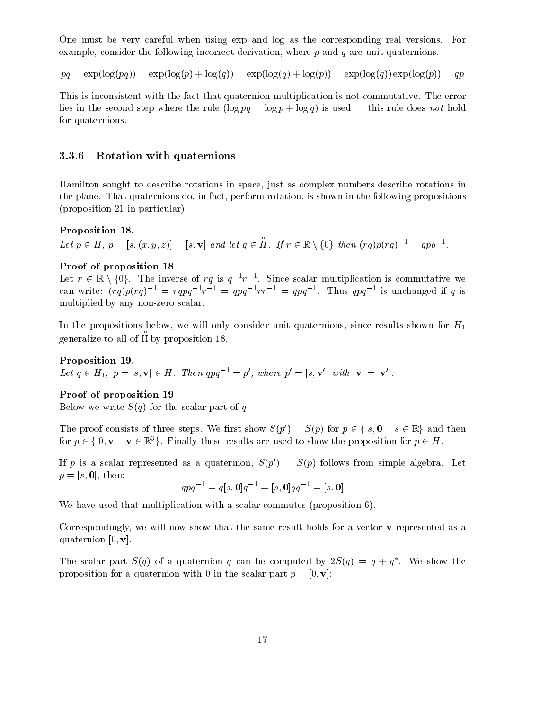One must be very careful when using exp and log as the corresponding real versions. For example, consider the following incorrect derivation, where  $p$  and  $q$  are unit quaternions.

$$
pq = \exp(\log(pq)) = \exp(\log(p) + \log(q)) = \exp(\log(q) + \log(p)) = \exp(\log(q))\exp(\log(p)) = qp
$$

This is inconsistent with the fact that quaternion multiplication is not commutative. The error lies in the second step where the rule  $(\log pq = \log p + \log q)$  is used — this rule does not hold for quaternions.

#### 3.3.6 Rotation with quaternions

Hamilton sought to describe rotations in space, just as complex numbers describe rotations in the plane. That quaternions do, in fact, perform rotation, is shown in the following propositions (proposition 21 in particular).

#### Proposition 18.

Let  $p \in H$ ,  $p = [s, (x, y, z)] = [s, \mathbf{v}]$  and let  $q \in H$ . If  $r \in \mathbb{R} \setminus$ . If  $r \in \mathbb{R} \setminus \{0\}$  then  $(rq)p(rq)^{-1} = qpq^{-1}$ .

#### Proof of proposition 18

**Proof of proposition 18**<br>Let  $r \in \mathbb{R} \setminus \{0\}$ . The inverse of  $rq$  is  $q^{-1}r^{-1}$ . Since scalar multiplication is commutative we can write:  $\langle r q \rangle p \langle r q \rangle^{-1} = r q p q^{-1} r^{-1} = q p q^{-1} r^{-1} = q p q^{-1}$ . Thus  $q p q^{-1}$  is unchanged if q is multiplied by any non-zero scalar. <sup>2</sup>  $\Box$ 

In the propositions below, we will only consider unit quaternions, since results shown for  $H_1$ generalize to all other to all other to all other to all other to all other to all other to all other to all o by proposition 18.

#### Proposition 19.

Let  $q \in H_1$ ,  $p = [s, v] \in H$ . Then  $qpq^{-1} = p'$ , where  $p' = [s, v']$  with  $|v| = |v'|$ .

#### Proof of proposition 19

Below we write  $S(q)$  for the scalar part of q.

Below we write  $S(q)$  for the scalar part of q.<br>The proof consists of three steps. We first show  $S(p') = S(p)$  for  $p \in \{ [s, \mathbf{0}] \mid s \in \mathbb{R} \}$  and then The proof consists of three steps. We first show  $S(p') = S(p)$  for  $p \in \{ [s, \mathbf{0}] \mid s \in \mathbb{R} \}$  and then<br>for  $p \in \{ [0, \mathbf{v}] \mid \mathbf{v} \in \mathbb{R}^3 \}$ . Finally these results are used to show the proposition for  $p \in H$ .

If p is a scalar represented as a quaternion,  $S(p') = S(p)$  follows from simple algebra. Let  $p = [s, 0]$ , then:

$$
qpq^{-1} = q[s, \mathbf{0}]q^{-1} = [s, \mathbf{0}]qq^{-1} = [s, \mathbf{0}]
$$

We have used that multiplication with a scalar commutes (proposition 6).

Correspondingly, we will now show that the same result holds for a vector v represented as a quaternion  $[0, v]$ .

The scalar part  $S(q)$  of a quaternion q can be computed by  $2S(q) = q + q$ . We show the proposition for a quaternion with 0 in the scalar part  $p = [0, v]$ :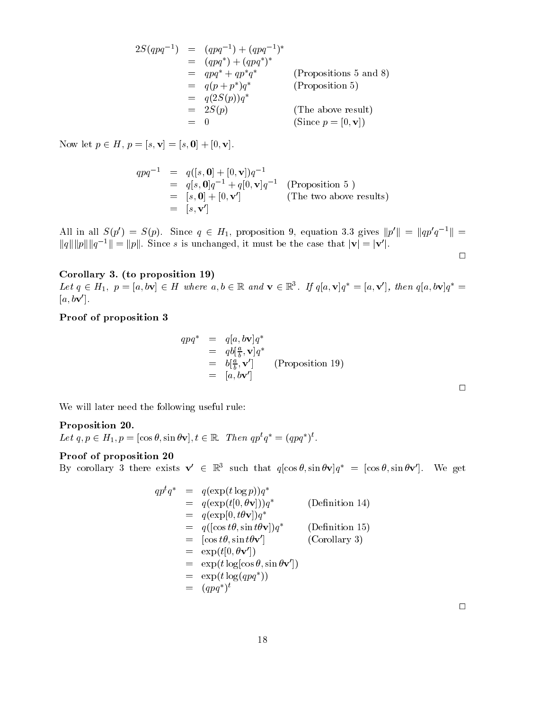$$
2S(qpq^{-1}) = (qpq^{-1}) + (qpq^{-1})^*
$$
  
\n
$$
= (qpq^*) + (qpq^*)^*
$$
  
\n
$$
= qpq^* + qp^*q^*
$$
 (Proposition 5 and 8)  
\n
$$
= q(p + p^*)q^*
$$
 (Proposition 5)  
\n
$$
= q(2S(p))q^*
$$
  
\n
$$
= 2S(p)
$$
 (The above result)  
\n
$$
= 0
$$
 (Since  $p = [0, \mathbf{v}]$ )

Now let  $p \in H$ ,  $p = [s, v] = [s, 0] + [0, v]$ .

$$
qpq^{-1} = q([s, 0] + [0, v])q^{-1}
$$
  
= q[s, 0]q^{-1} + q[0, v]q^{-1} (Proposition 5 )  
= [s, 0] + [0, v'] (The two above results)  
= [s, v']

All in all  $S(p') = S(p)$ . Since  $q \in H_1$ , proposition 9, equation 3.3 gives  $||p'|| = ||qp'q^{-1}|| =$  $||q|| ||p|| ||q^{-1}|| = ||p||$ . Since s is unchanged, it must be the case that  $|\mathbf{v}| = |\mathbf{v}'|$ .  $\Box$ 

#### Corollary 3. (to proposition 19)

Let  $q \in H_1$ ,  $p = [a, b\mathbf{v}] \in H$  where  $a, b \in \mathbb{R}$  and  $\mathbf{v} \in \mathbb{R}^3$ . If  $q[a, \mathbf{v}]q = [a, \mathbf{v}]$ , then  $q[a, b\mathbf{v}]q =$  $[a, b\mathbf{v}']$ .

#### Proof of proposition 3

$$
qpq^* = q[a, b\mathbf{v}]q^*
$$
  
=  $qb[\frac{a}{b}, \mathbf{v}]q^*$   
=  $b[\frac{a}{b}, \mathbf{v}']$  (Proposition 19)  
=  $[a, b\mathbf{v}']$ 

We will later need the following useful rule:

#### Proposition 20.

Let  $q, p \in H_1, p = |\cos \theta, \sin \theta \mathbf{v}|, t \in \mathbb{R}$ . Then  $qp \cdot q = (qpq) \cdot$ .

#### Proof of proposition 20

By corollary 3 there exists  $\mathbf{v} \in \mathbb{R}^3$  such that  $q(\cos \theta, \sin \theta \mathbf{v})q^* = (\cos \theta, \sin \theta \mathbf{v})$ . We get

$$
qp^{t}q^{*} = q(\exp(t \log p))q^{*}
$$
  
\n
$$
= q(\exp(t[0, \theta \mathbf{v}]))q^{*}
$$
 (Definition 14)  
\n
$$
= q(\exp[0, t\theta \mathbf{v}])q^{*}
$$
 (Definition 15)  
\n
$$
= q([\cos t\theta, \sin t\theta \mathbf{v}']
$$
 (Definition 15)  
\n
$$
= [\cos t\theta, \sin t\theta \mathbf{v}']
$$
 (Corollary 3)  
\n
$$
= \exp(t[0, \theta \mathbf{v}'])
$$
  
\n
$$
= \exp(t \log(\cos \theta, \sin \theta \mathbf{v}'])
$$
  
\n
$$
= \exp(t \log(qpq^{*}))
$$
  
\n
$$
= (qpq^{*})^{t}
$$

 $\Box$ 

 $\Box$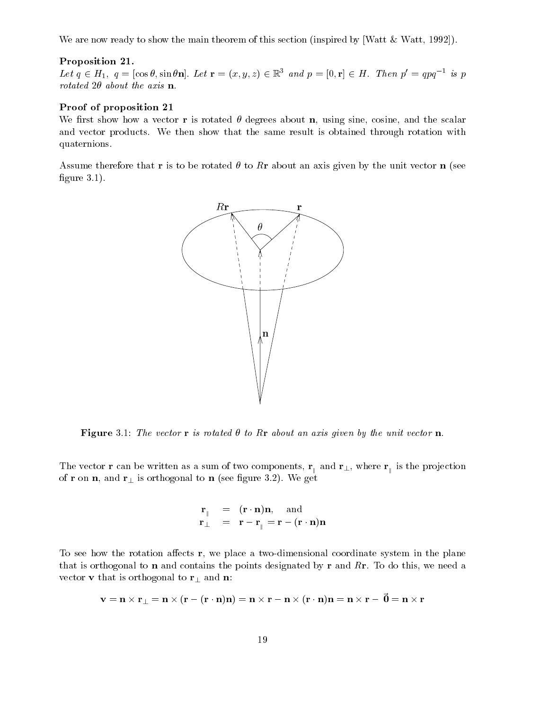We are now ready to show the main theorem of this section (inspired by [Watt & Watt, 1992]).

#### Proposition 21.

Let  $q \in H_1$ ,  $q = |\cos \theta, \sin \theta \mathbf{n}|$ . Let  $\mathbf{r} = (x, y, z) \in \mathbb{R}^2$  and  $p = |0, \mathbf{r}| \in H$ . Then  $p = qpq^{-1}$  is p rotated  $2\theta$  about the axis **n**.

#### Proof of proposition 21

We first show how a vector **r** is rotated  $\theta$  degrees about **n**, using sine, cosine, and the scalar and vector products. We then show that the same result is obtained through rotation with quaternions.

Assume therefore that r is to be rotated  $\theta$  to Rr about an axis given by the unit vector n (see figure  $3.1$ ).



Figure 3.1: The vector r is rotated  $\theta$  to Rr about an axis given by the unit vector n.

The vector r can be written as a sum of two components, r <sup>k</sup> and r?, where <sup>r</sup> is the pro jection ka kalendari kacamatan ing Kabupatèn Kabupatèn Kabupatèn Kabupatèn Kabupatèn Kabupatèn Kabupatèn Kabupatèn Kab of r on n, and  $r_{\perp}$  is orthogonal to n (see figure 3.2). We get

$$
\begin{array}{rcl}\n\mathbf{r}_{\parallel} & = & (\mathbf{r} \cdot \mathbf{n})\mathbf{n}, \quad \text{and} \\
\mathbf{r}_{\perp} & = & \mathbf{r} - \mathbf{r}_{\parallel} = \mathbf{r} - (\mathbf{r} \cdot \mathbf{n})\mathbf{n}\n\end{array}
$$

To see how the rotation affects  $r$ , we place a two-dimensional coordinate system in the plane that is orthogonal to **n** and contains the points designated by **r** and  $R$ **r**. To do this, we need a vector **v** that is orthogonal to  $\mathbf{r}_\perp$  and **n**:

$$
\mathbf{v} = \mathbf{n} \times \mathbf{r}_{\perp} = \mathbf{n} \times (\mathbf{r} - (\mathbf{r} \cdot \mathbf{n})\mathbf{n}) = \mathbf{n} \times \mathbf{r} - \mathbf{n} \times (\mathbf{r} \cdot \mathbf{n})\mathbf{n} = \mathbf{n} \times \mathbf{r} - \mathbf{0} = \mathbf{n} \times \mathbf{r}
$$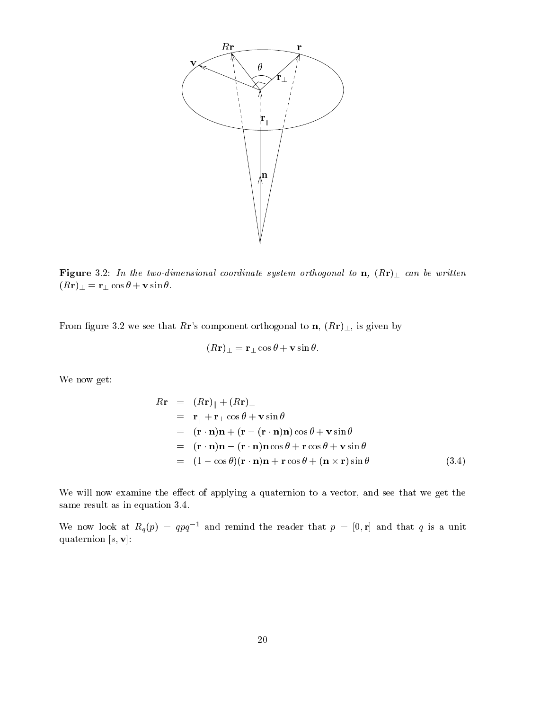

Figure 3.2: In the two-dimensional coordinate system orthogonal to  $\mathbf{n}$ ,  $(R\mathbf{r})$  can be written  $(Rr)_{\perp} = r_{\perp} \cos \theta + v \sin \theta$ .

From figure 3.2 we see that Rr's component orthogonal to  $\mathbf{n}$ ,  $(R\mathbf{r})_{\perp}$ , is given by

$$
(R\mathbf{r})_{\perp} = \mathbf{r}_{\perp}\cos\theta + \mathbf{v}\sin\theta.
$$

We now get:

$$
R\mathbf{r} = (R\mathbf{r})_{\parallel} + (R\mathbf{r})_{\perp}
$$
  
=  $\mathbf{r}_{\parallel} + \mathbf{r}_{\perp} \cos \theta + \mathbf{v} \sin \theta$   
=  $(\mathbf{r} \cdot \mathbf{n})\mathbf{n} + (\mathbf{r} - (\mathbf{r} \cdot \mathbf{n})\mathbf{n}) \cos \theta + \mathbf{v} \sin \theta$   
=  $(\mathbf{r} \cdot \mathbf{n})\mathbf{n} - (\mathbf{r} \cdot \mathbf{n})\mathbf{n} \cos \theta + \mathbf{r} \cos \theta + \mathbf{v} \sin \theta$   
=  $(1 - \cos \theta)(\mathbf{r} \cdot \mathbf{n})\mathbf{n} + \mathbf{r} \cos \theta + (\mathbf{n} \times \mathbf{r}) \sin \theta$  (3.4)

We will now examine the effect of applying a quaternion to a vector, and see that we get the same result as in equation 3.4.

We now look at  $R_q(p) = qpq^{-1}$  and remind the reader that  $p = [0, r]$  and that q is a unit quaternion  $[s, v]$ :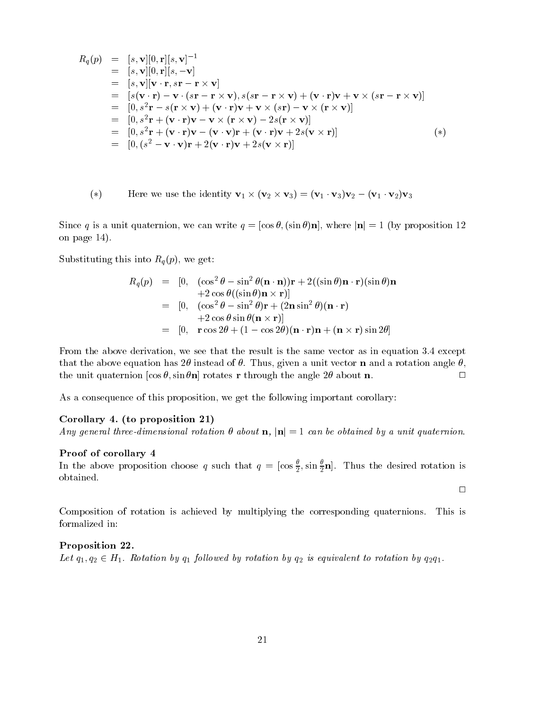$$
R_q(p) = [s, \mathbf{v}][0, \mathbf{r}][s, \mathbf{v}]^{-1}
$$
  
\n
$$
= [s, \mathbf{v}][0, \mathbf{r}][s, -\mathbf{v}]
$$
  
\n
$$
= [s, \mathbf{v}][\mathbf{v} \cdot \mathbf{r}, s\mathbf{r} - \mathbf{r} \times \mathbf{v}]
$$
  
\n
$$
= [s(\mathbf{v} \cdot \mathbf{r}) - \mathbf{v} \cdot (s\mathbf{r} - \mathbf{r} \times \mathbf{v}), s(s\mathbf{r} - \mathbf{r} \times \mathbf{v}) + (\mathbf{v} \cdot \mathbf{r})\mathbf{v} + \mathbf{v} \times (s\mathbf{r} - \mathbf{r} \times \mathbf{v})]
$$
  
\n
$$
= [0, s^2\mathbf{r} - s(\mathbf{r} \times \mathbf{v}) + (\mathbf{v} \cdot \mathbf{r})\mathbf{v} + \mathbf{v} \times (s\mathbf{r}) - \mathbf{v} \times (\mathbf{r} \times \mathbf{v})]
$$
  
\n
$$
= [0, s^2\mathbf{r} + (\mathbf{v} \cdot \mathbf{r})\mathbf{v} - \mathbf{v} \times (\mathbf{r} \times \mathbf{v}) - 2s(\mathbf{r} \times \mathbf{v})]
$$
  
\n
$$
= [0, s^2\mathbf{r} + (\mathbf{v} \cdot \mathbf{r})\mathbf{v} - (\mathbf{v} \cdot \mathbf{v})\mathbf{r} + (\mathbf{v} \cdot \mathbf{r})\mathbf{v} + 2s(\mathbf{v} \times \mathbf{r})]
$$
  
\n
$$
= [0, (s^2 - \mathbf{v} \cdot \mathbf{v})\mathbf{r} + 2(\mathbf{v} \cdot \mathbf{r})\mathbf{v} + 2s(\mathbf{v} \times \mathbf{r})]
$$
  
\n
$$
(*)
$$

(\*) Here we use the identity 
$$
\mathbf{v}_1 \times (\mathbf{v}_2 \times \mathbf{v}_3) = (\mathbf{v}_1 \cdot \mathbf{v}_3) \mathbf{v}_2 - (\mathbf{v}_1 \cdot \mathbf{v}_2) \mathbf{v}_3
$$

Since q is a unit quaternion, we can write  $q = [\cos \theta, (\sin \theta) \mathbf{n}]$ , where  $|\mathbf{n}| = 1$  (by proposition 12) on page 14).

 $S$ ubstituting this into  $R$  into  $R$ , we get:

$$
R_q(p) = [0, (\cos^2 \theta - \sin^2 \theta (\mathbf{n} \cdot \mathbf{n})) \mathbf{r} + 2((\sin \theta) \mathbf{n} \cdot \mathbf{r})(\sin \theta) \mathbf{n}
$$
  
+2 \cos \theta ((\sin \theta) \mathbf{n} \times \mathbf{r})]  
= [0, (\cos^2 \theta - \sin^2 \theta) \mathbf{r} + (2 \mathbf{n} \sin^2 \theta) (\mathbf{n} \cdot \mathbf{r})  
+2 \cos \theta \sin \theta (\mathbf{n} \times \mathbf{r})]  
= [0, \mathbf{r} \cos 2\theta + (1 - \cos 2\theta) (\mathbf{n} \cdot \mathbf{r}) \mathbf{n} + (\mathbf{n} \times \mathbf{r}) \sin 2\theta]

From the above derivation, we see that the result is the same vector as in equation 3.4 except that the above equation has 2 $\theta$  instead of  $\theta$ . Thus, given a unit vector **n** and a rotation angle  $\theta$ , the unit quaternion  $[\cos \theta, \sin \theta \mathbf{n}]$  rotates r through the angle 2 $\theta$  about n.

As a consequence of this proposition, we get the following important corollary:

#### Corollary 4. (to proposition 21)

Any general three-dimensional rotation  $\theta$  about  $n$ ,  $|n|=1$  can be obtained by a unit quaternion.

#### Proof of corollary 4

In the above proposition choose q such that  $q = [\cos \frac{1}{2}, \sin \frac{1}{2}n]$ . Thus the desired rotation is obtained.

 $\Box$ 

Composition of rotation is achieved by multiplying the corresponding quaternions. This is formalized in:

#### Proposition 22.

Let  $q_1, q_2 \in H_1$ . Rotation by  $q_1$  followed by rotation by  $q_2$  is equivalent to rotation by  $q_2q_1$ .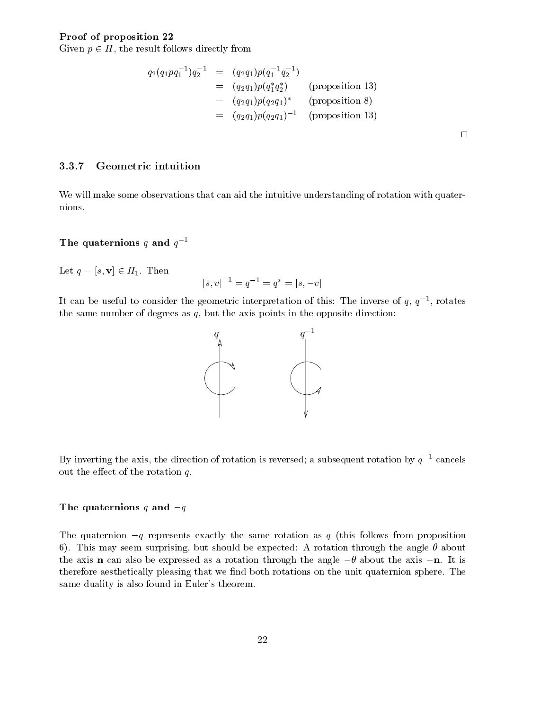#### Proof of proposition 22

Given  $p \in H$ , the result follows directly from

$$
q_2(q_1pq_1^{-1})q_2^{-1} = (q_2q_1)p(q_1^{-1}q_2^{-1})
$$
  
=  $(q_2q_1)p(q_1^*q_2^*)$  (proposition 13)  
=  $(q_2q_1)p(q_2q_1)^*$  (proposition 8)  
=  $(q_2q_1)p(q_2q_1)^{-1}$  (proposition 13)

 $\Box$ 

#### 3.3.7 Geometric intuition

We will make some observations that can aid the intuitive understanding of rotation with quaternions.

### The quaternions q and  $q^{-1}$

Let  $q = [s, v] \in H_1$ . Then

$$
[s, v]^{-1} = q^{-1} = q^* = [s, -v]
$$

It can be useful to consider the geometric interpretation of this: The inverse of  $q, q$  , rotates the same number of degrees as  $q$ , but the axis points in the opposite direction:



By inverting the axis, the direction of rotation is reversed; a subsequent rotation by  $q^{-1}$  cancels out the effect of the rotation  $q$ .

#### The quaternions  $q$  and  $-q$

The quaternion  $-q$  represents exactly the same rotation as q (this follows from proposition 6). This may seem surprising, but should be expected: A rotation through the angle  $\theta$  about the axis **n** can also be expressed as a rotation through the angle  $-\theta$  about the axis -**n**. It is therefore aesthetically pleasing that we find both rotations on the unit quaternion sphere. The same duality is also found in Euler's theorem.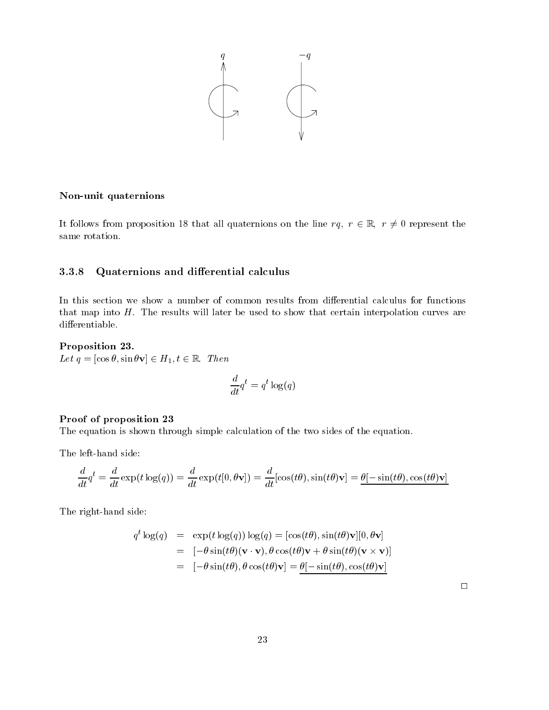

#### Non-unit quaternions

It follows from proposition 18 that all quaternions on the line  $rq, r \in \mathbb{R}, r \neq 0$  represent the same rotation.

#### 3.3.8 Quaternions and differential calculus

In this section we show a number of common results from differential calculus for functions that map into  $H$ . The results will later be used to show that certain interpolation curves are differentiable.

#### Proposition 23.

Let  $q = [\cos \theta, \sin \theta \mathbf{v}] \in H_1, t \in \mathbb{R}$ . Then

$$
\frac{d}{dt}q^t = q^t \log(q)
$$

#### Proof of proposition 23

The equation is shown through simple calculation of the two sides of the equation.

The left-hand side:

$$
\frac{d}{dt}q^t = \frac{d}{dt}\exp(t\log(q)) = \frac{d}{dt}\exp(t[0,\theta\mathbf{v}]) = \frac{d}{dt}[\cos(t\theta),\sin(t\theta)\mathbf{v}] = \underline{\theta[-\sin(t\theta),\cos(t\theta)\mathbf{v}]}
$$

The right-hand side:

$$
q^{t} \log(q) = \exp(t \log(q)) \log(q) = [\cos(t\theta), \sin(t\theta) \mathbf{v}][0, \theta \mathbf{v}]
$$
  
= 
$$
[-\theta \sin(t\theta)(\mathbf{v} \cdot \mathbf{v}), \theta \cos(t\theta) \mathbf{v} + \theta \sin(t\theta)(\mathbf{v} \times \mathbf{v})]
$$
  
= 
$$
[-\theta \sin(t\theta), \theta \cos(t\theta) \mathbf{v}] = \underline{\theta}[-\sin(t\theta), \cos(t\theta) \mathbf{v}]
$$

 $\Box$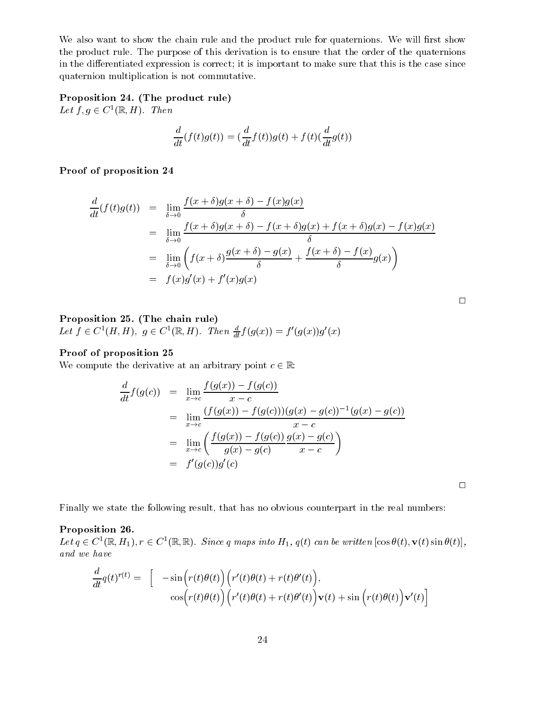We also want to show the chain rule and the product rule for quaternions. We will first show the product rule. The purpose of this derivation is to ensure that the order of the quaternions in the differentiated expression is correct; it is important to make sure that this is the case since quaternion multiplication is not commutative.

### Proposition 24. (The product rule)

Let  $f, g \in C^1(\mathbb{R}, H)$ . Then

$$
\frac{d}{dt}(f(t)g(t)) = (\frac{d}{dt}f(t))g(t) + f(t)(\frac{d}{dt}g(t))
$$

Proof of proposition 24

$$
\frac{d}{dt}(f(t)g(t)) = \lim_{\delta \to 0} \frac{f(x+\delta)g(x+\delta) - f(x)g(x)}{\delta}
$$
\n
$$
= \lim_{\delta \to 0} \frac{f(x+\delta)g(x+\delta) - f(x+\delta)g(x) + f(x+\delta)g(x) - f(x)g(x)}{\delta}
$$
\n
$$
= \lim_{\delta \to 0} \left( f(x+\delta)\frac{g(x+\delta) - g(x)}{\delta} + \frac{f(x+\delta) - f(x)}{\delta}g(x) \right)
$$
\n
$$
= f(x)g'(x) + f'(x)g(x)
$$

| ٦ |  |
|---|--|
|   |  |
|   |  |
|   |  |

### Proposition 25. (The chain rule) Let  $f \in C^1(H, H)$ ,  $g \in C^1(\mathbb{R}, H)$ . Then  $\frac{1}{dt} f(g(x)) = f'(g(x))g'(x)$

#### Proof of proposition 25

We compute the derivative at an arbitrary point  $c \in \mathbb{R}$ :

$$
\frac{d}{dt}f(g(c)) = \lim_{x \to c} \frac{f(g(x)) - f(g(c))}{x - c}
$$
\n
$$
= \lim_{x \to c} \frac{(f(g(x)) - f(g(c)))(g(x) - g(c))^{-1}(g(x) - g(c))}{x - c}
$$
\n
$$
= \lim_{x \to c} \left(\frac{f(g(x)) - f(g(c))}{g(x) - g(c)} \frac{g(x) - g(c)}{x - c}\right)
$$
\n
$$
= f'(g(c))g'(c)
$$

Finally we state the following result, that has no obvious counterpart in the real numbers:

#### Proposition 26.

Let  $q \in C^1(\mathbb{R}, H_1), r \in C^1(\mathbb{R}, \mathbb{R})$ . Since q maps into  $H_1, q(t)$  can be written  $|\cos \theta(t), \mathbf{V}(t) \sin \theta(t)|$ , and we have

$$
\frac{d}{dt}q(t)^{r(t)} = \begin{bmatrix} -\sin(r(t)\theta(t)) \left( r'(t)\theta(t) + r(t)\theta'(t) \right), \\ \cos(r(t)\theta(t)) \left( r'(t)\theta(t) + r(t)\theta'(t) \right) \mathbf{v}(t) + \sin(r(t)\theta(t)) \mathbf{v}'(t) \end{bmatrix}
$$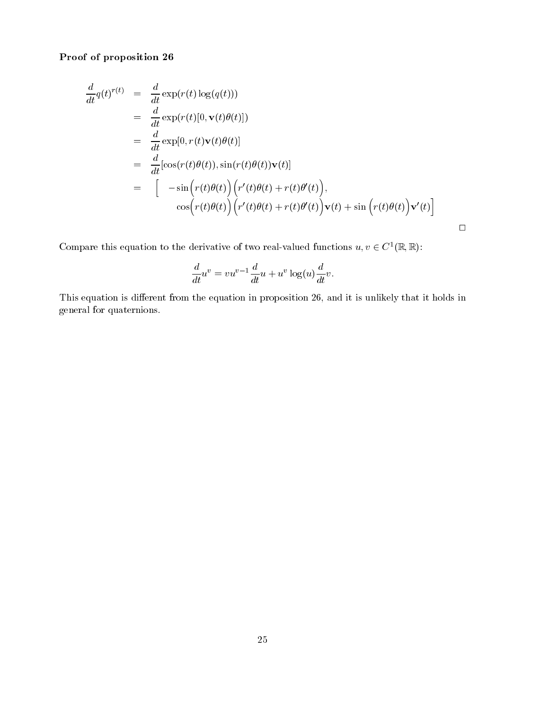Proof of proposition 26

$$
\frac{d}{dt}q(t)^{r(t)} = \frac{d}{dt} \exp(r(t) \log(q(t)))
$$
\n
$$
= \frac{d}{dt} \exp(r(t)[0, \mathbf{v}(t)\theta(t)])
$$
\n
$$
= \frac{d}{dt} \exp[0, r(t)\mathbf{v}(t)\theta(t)]
$$
\n
$$
= \frac{d}{dt} [\cos(r(t)\theta(t)), \sin(r(t)\theta(t))\mathbf{v}(t)]
$$
\n
$$
= [-\sin(r(t)\theta(t)) (r'(t)\theta(t) + r(t)\theta'(t)),
$$
\n
$$
\cos(r(t)\theta(t)) (r'(t)\theta(t) + r(t)\theta'(t))\mathbf{v}(t) + \sin(r(t)\theta(t))\mathbf{v}'(t)]
$$

 $\Box$ 

Compare this equation to the derivative of two real-valued functions  $u, v \in C^{\infty}(\mathbb{R}, \mathbb{R})$ :

$$
\frac{d}{dt}u^v = vu^{v-1}\frac{d}{dt}u + u^v\log(u)\frac{d}{dt}v.
$$

This equation is different from the equation in proposition 26, and it is unlikely that it holds in general for quaternions.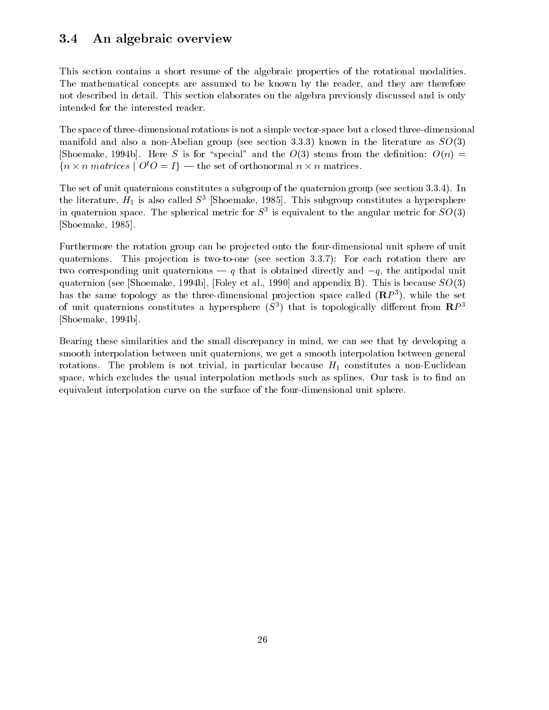# 3.4 An algebraic overview

This section contains a short resume of the algebraic properties of the rotational modalities. The mathematical concepts are assumed to be known by the reader, and they are therefore not described in detail. This section elaborates on the algebra previously discussed and is only intended for the interested reader.

The space of three-dimensional rotations is not a simple vector-space but a closed three-dimensional manifold and also a non-Abelian group (see section 3.3.3) known in the literature as  $SO(3)$ [Shoemake, 1994b]. Here S is for "special" and the  $O(3)$  stems from the definition:  $O(n)$  =  $\{n \times n \text{ matrices} \mid \text{O}_i\cup\text{I}\}$  — the set of orthonormal  $n \times n$  matrices.

The set of unit quaternions constitutes a subgroup of the quaternion group (see section 3.3.4). In the interature,  $H_1$  is also called  $S_3$  [Shoemake, 1985]. This subgroup constitutes a hypersphere in quaternion space. The spherical metric for  $S^1$  is equivalent to the angular metric for  $SO(3)$ [Shoemake, 1985].

Furthermore the rotation group can be projected onto the four-dimensional unit sphere of unit quaternions. This projection is two-to-one (see section  $3.3.7$ ): For each rotation there are two corresponding unit quaternions  $-q$  that is obtained directly and  $-q$ , the antipodal unit quaternion (see [Shoemake, 1994b], [Foley et al., 1990] and appendix B). This is because  $SO(3)$ has the same topology as the three-dimensional projection space called  $(\mathbf{R}P^*)$ , while the set of unit quaternions constitutes a hypersphere ( $S^+$ ) that is topologically different from  $\mathbf{R}P^+$ [Shoemake, 1994b].

Bearing these similarities and the small discrepancy in mind, we can see that by developing a smooth interpolation between unit quaternions, we get a smooth interpolation between general rotations. The problem is not trivial, in particular because  $H_1$  constitutes a non-Euclidean space, which excludes the usual interpolation methods such as splines. Our task is to find an equivalent interpolation curve on the surface of the four-dimensional unit sphere.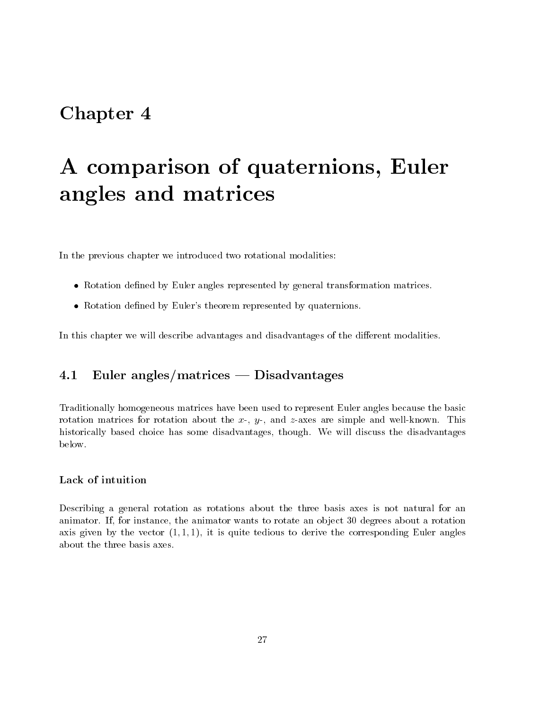# Chapter 4

# A comparison of quaternions, Euler angles and matrices

In the previous chapter we introduced two rotational modalities:

- $\bullet$  -Kotation defined by Euler angles represented by general transformation matrices.
- Rotation defined by Euler's theorem represented by quaternions.

In this chapter we will describe advantages and disadvantages of the different modalities.

#### $Euler$  angles/matrices  $-$  Disadvantages 4.1

Traditionally homogeneous matrices have been used to represent Euler angles because the basic rotation matrices for rotation about the x-, y-, and z-axes are simple and well-known. This historically based choice has some disadvantages, though. We will discuss the disadvantages below.

Describing a general rotation as rotations about the three basis axes is not natural for an animator. If, for instance, the animator wants to rotate an ob ject 30 degrees about a rotation axis given by the vector  $(1, 1, 1)$ , it is quite tedious to derive the corresponding Euler angles about the three basis axes.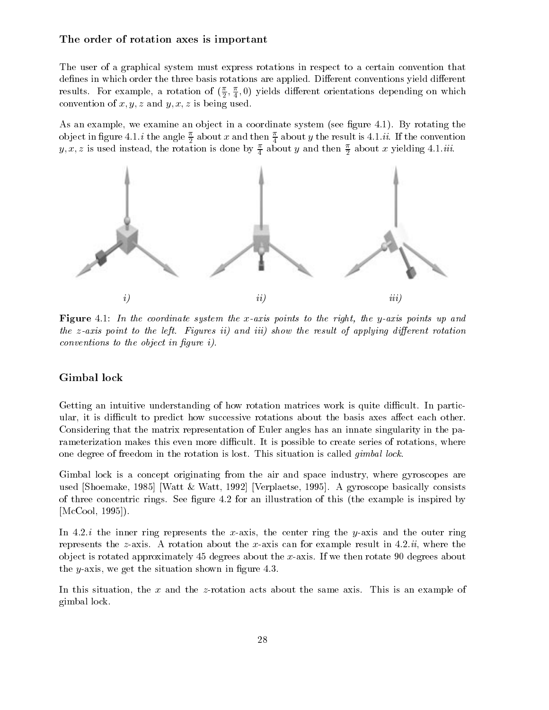#### The order of rotation axes is important

The user of a graphical system must express rotations in respect to a certain convention that defines in which order the three basis rotations are applied. Different conventions yield different resuits. For example, a rotation of  $(\frac{1}{6}, \frac{1}{4}, 0)$  yields different orientations depending on which <sup>2</sup> <sup>4</sup> convention of x; y; z and y; x; z is being used.

As an example, we examine an object in a coordinate system (see figure 4.1). By rotating the object in figure 4.1. $i$  the angle  $\frac{1}{2}$  about  $x$  and then  $\frac{1}{4}$  about  $y$  the result is 4.1. $ii$ . If the convention  $y, x, z$  is used instead, the rotation is done by  $\frac{1}{4}$  about y and then  $\frac{1}{2}$  about x yielding 4.1.*m.* 



**Figure** 4.1: In the coordinate system the x-axis points to the right, the y-axis points up and the z-axis point to the left. Figures ii) and iii) show the result of applying different rotation  $conventions to the object in figure i).$ 

#### Gimbal lock

Getting an intuitive understanding of how rotation matrices work is quite difficult. In particular, it is difficult to predict how successive rotations about the basis axes affect each other. Considering that the matrix representation of Euler angles has an innate singularity in the parameterization makes this even more difficult. It is possible to create series of rotations, where one degree of freedom in the rotation is lost. This situation is called gimbal lock.

Gimbal lock is a concept originating from the air and space industry, where gyroscopes are used [Shoemake, 1985] [Watt & Watt, 1992] [Verplaetse, 1995]. A gyroscope basically consists of three concentric rings. See gure 4.2 for an illustration of this (the example is inspired by [McCool, 1995]).

In 4.2.*i* the inner ring represents the x-axis, the center ring the y-axis and the outer ring represents the z-axis. A rotation about the x-axis can for example result in  $4.2.ii$ , where the object is rotated approximately  $45$  degrees about the x-axis. If we then rotate  $90$  degrees about the *y*-axis, we get the situation shown in figure 4.3.

In this situation, the x and the z-rotation acts about the same axis. This is an example of gimbal lock.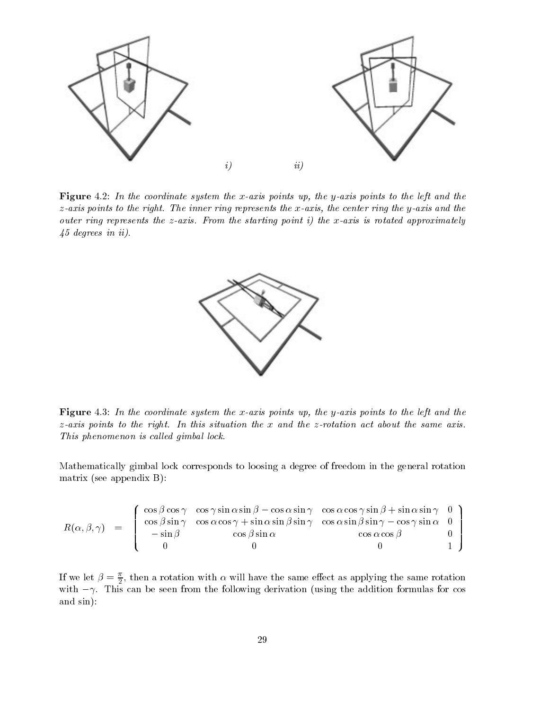

Figure 4.2: In the coordinate system the x-axis points up, the y-axis points to the left and the  $z$ -axis points to the right. The inner ring represents the  $x$ -axis, the center ring the  $y$ -axis and the outer ring represents the z-axis. From the starting point i) the x-axis is rotated approximately 45 degrees in ii).



Figure 4.3: In the coordinate system the x-axis points up, the y-axis points to the left and the  $z$ -axis points to the right. In this situation the x and the z-rotation act about the same axis. This phenomenon is called gimbal lock.

Mathematically gimbal lock corresponds to loosing a degree of freedom in the general rotation matrix (see appendix B):

$$
R(\alpha, \beta, \gamma) = \begin{pmatrix} \cos \beta \cos \gamma & \cos \gamma \sin \alpha \sin \beta - \cos \alpha \sin \gamma & \cos \alpha \cos \gamma \sin \beta + \sin \alpha \sin \gamma & 0 \\ \cos \beta \sin \gamma & \cos \alpha \cos \gamma + \sin \alpha \sin \beta \sin \gamma & \cos \alpha \sin \beta \sin \gamma - \cos \gamma \sin \alpha & 0 \\ -\sin \beta & \cos \beta \sin \alpha & \cos \alpha \cos \beta & 0 \\ 0 & 0 & 1 \end{pmatrix}
$$

If we let  $\beta = \frac{1}{2}$ , then a rotation with  $\alpha$  will have the same effect as applying the same rotation with  $-\gamma$ . This can be seen from the following derivation (using the addition formulas for cos and sin):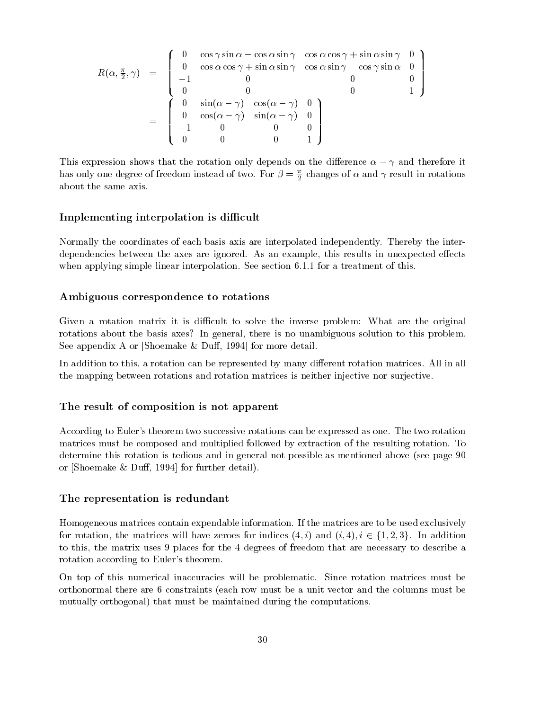$$
R(\alpha, \frac{\pi}{2}, \gamma) = \begin{pmatrix} 0 & \cos \gamma \sin \alpha - \cos \alpha \sin \gamma & \cos \alpha \cos \gamma + \sin \alpha \sin \gamma & 0 \\ 0 & \cos \alpha \cos \gamma + \sin \alpha \sin \gamma & \cos \alpha \sin \gamma - \cos \gamma \sin \alpha & 0 \\ -1 & 0 & 0 & 0 & 0 \\ 0 & 0 & 0 & 0 & 1 \end{pmatrix}
$$

$$
= \begin{pmatrix} 0 & \sin(\alpha - \gamma) & \cos(\alpha - \gamma) & 0 \\ 0 & \cos(\alpha - \gamma) & \sin(\alpha - \gamma) & 0 \\ -1 & 0 & 0 & 0 \\ 0 & 0 & 0 & 1 \end{pmatrix}
$$

This expression shows that the rotation only depends on the difference  $\alpha - \gamma$  and therefore it has only one degree of freedom instead of two. For  $\beta=\frac{\pi}{2}$  changes of  $\alpha$  and  $\gamma$  result in rotations about the same axis.

0 0 0 1

#### Implementing interpolation is difficult

Normally the coordinates of each basis axis are interpolated independently. Thereby the interdependencies between the axes are ignored. As an example, this results in unexpected effects when applying simple linear interpolation. See section 6.1.1 for a treatment of this.

#### Ambiguous correspondence to rotations

Given a rotation matrix it is difficult to solve the inverse problem: What are the original rotations about the basis axes? In general, there is no unambiguous solution to this problem. See appendix A or [Shoemake  $&$  Duff, 1994] for more detail.

In addition to this, a rotation can be represented by many different rotation matrices. All in all the mapping between rotations and rotation matrices is neither injective nor surjective.

#### The result of composition is not apparent

According to Euler's theorem two successive rotations can be expressed as one. The two rotation matrices must be composed and multiplied followed by extraction of the resulting rotation. To determine this rotation is tedious and in general not possible as mentioned above (see page 90 or [Shoemake  $&$  Duff, 1994] for further detail).

#### The representation is redundant

 $\mathbf{H}$ Homogeneous matrices contain expendable information. If the matrices are to be used exclusively<br>for rotation, the matrices will have zeroes for indices  $(4, i)$  and  $(i, 4), i \in \{1, 2, 3\}.$  In addition to this, the matrix uses 9 places for the 4 degrees of freedom that are necessary to describe a rotation according to Euler's theorem.

On top of this numerical inaccuracies will be problematic. Since rotation matrices must be orthonormal there are 6 constraints (each row must be a unit vector and the columns must be mutually orthogonal) that must be maintained during the computations.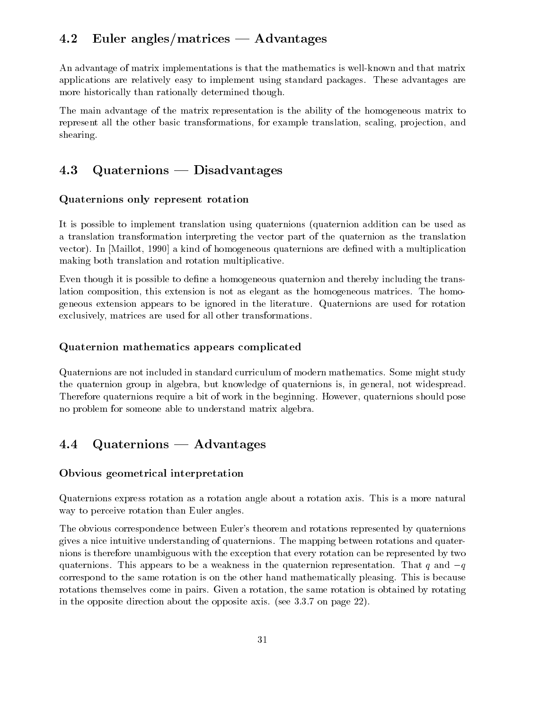# 4.2 Euler angles/matrices  $-$  Advantages

An advantage of matrix implementations is that the mathematics is well-known and that matrix applications are relatively easy to implement using standard packages. These advantages are more historically than rationally determined though.

The main advantage of the matrix representation is the ability of the homogeneous matrix to represent all the other basic transformations, for example translation, scaling, projection, and shearing.

#### Quaternions — Disadvantages 4.3

### Quaternions only represent rotation

It is possible to implement translation using quaternions (quaternion addition can be used as a translation transformation interpreting the vector part of the quaternion as the translation vector). In [Maillot, 1990] a kind of homogeneous quaternions are dened with a multiplication making both translation and rotation multiplicative.

Even though it is possible to define a homogeneous quaternion and thereby including the translation composition, this extension is not as elegant as the homogeneous matrices. The homogeneous extension appears to be ignored in the literature. Quaternions are used for rotation exclusively, matrices are used for all other transformations.

### Quaternion mathematics appears complicated

Quaternions are not included in standard curriculum of modern mathematics. Some might study the quaternion group in algebra, but knowledge of quaternions is, in general, not widespread. Therefore quaternions require a bit of work in the beginning. However, quaternions should pose no problem for someone able to understand matrix algebra.

# 4.4 Quaternions – Advantages

### Obvious geometrical interpretation

Quaternions express rotation as a rotation angle about a rotation axis. This is a more natural way to perceive rotation than Euler angles.

The obvious correspondence between Euler's theorem and rotations represented by quaternions gives a nice intuitive understanding of quaternions. The mapping between rotations and quaternions is therefore unambiguous with the exception that every rotation can be represented by two quaternions. This appears to be a weakness in the quaternion representation. That q and  $-q$ correspond to the same rotation is on the other hand mathematically pleasing. This is because rotations themselves come in pairs. Given a rotation, the same rotation is obtained by rotating in the opposite direction about the opposite axis. (see 3.3.7 on page 22).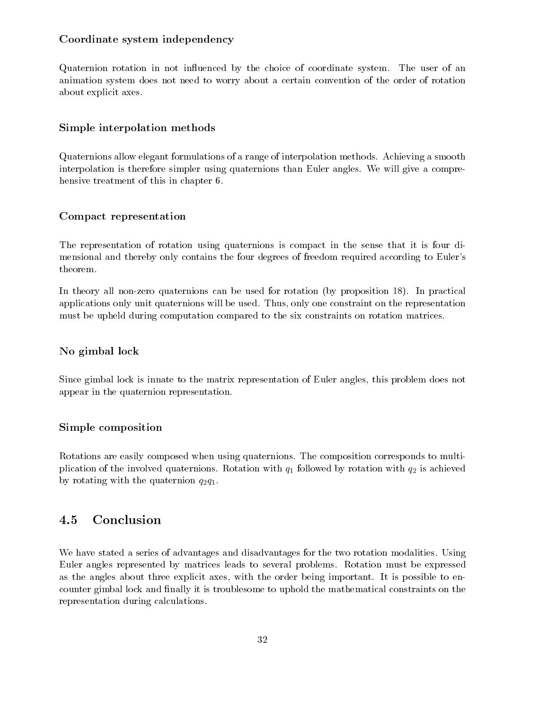### Coordinate system independency

Quaternion rotation in not influenced by the choice of coordinate system. The user of an animation system does not need to worry about a certain convention of the order of rotation about explicit axes.

#### Simple interpolation methods

Quaternions allow elegant formulations of a range of interpolation methods. Achieving a smooth interpolation is therefore simpler using quaternions than Euler angles. We will give a comprehensive treatment of this in chapter 6.

#### Compact representation

The representation of rotation using quaternions is compact in the sense that it is four dimensional and thereby only contains the four degrees of freedom required according to Euler's theorem.

In theory all non-zero quaternions can be used for rotation (by proposition 18). In practical applications only unit quaternions will be used. Thus, only one constraint on the representation must be upheld during computation compared to the six constraints on rotation matrices.

#### No gimbal lock

Since gimbal lock is innate to the matrix representation of Euler angles, this problem does not appear in the quaternion representation.

#### Simple composition

Rotations are easily composed when using quaternions. The composition corresponds to multiplication of the involved quaternions. Rotation with  $q_1$  followed by rotation with  $q_2$  is achieved by rotating with the quaternion  $q_2q_1$ .

## 4.5 Conclusion

We have stated a series of advantages and disadvantages for the two rotation modalities. Using Euler angles represented by matrices leads to several problems. Rotation must be expressed as the angles about three explicit axes, with the order being important. It is possible to encounter gimbal lock and finally it is troublesome to uphold the mathematical constraints on the representation during calculations.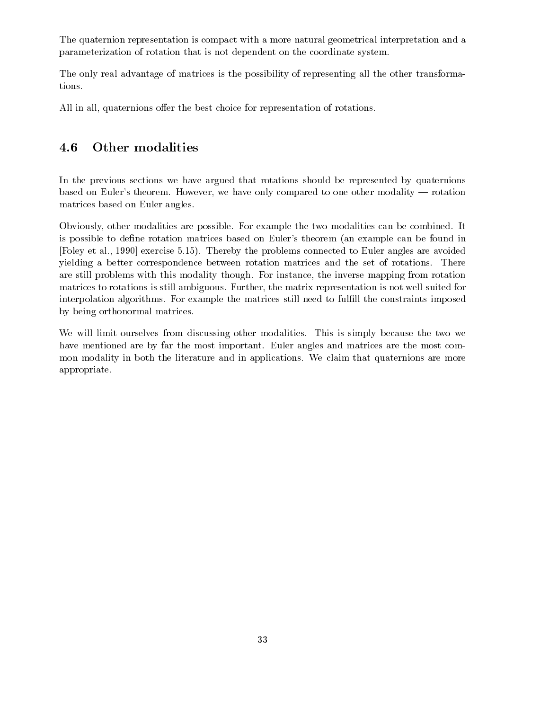The quaternion representation is compact with a more natural geometrical interpretation and a parameterization of rotation that is not dependent on the coordinate system.

The only real advantage of matrices is the possibility of representing all the other transformations.

All in all, quaternions offer the best choice for representation of rotations.

## 4.6 Other modalities

In the previous sections we have argued that rotations should be represented by quaternions based on Euler's theorem. However, we have only compared to one other modality — rotation matrices based on Euler angles.

Obviously, other modalities are possible. For example the two modalities can be combined. It is possible to dene rotation matrices based on Euler's theorem (an example can be found in [Foley et al., 1990] exercise 5.15). Thereby the problems connected to Euler angles are avoided yielding a better correspondence between rotation matrices and the set of rotations. There are still problems with this modality though. For instance, the inverse mapping from rotation matrices to rotations is still ambiguous. Further, the matrix representation is not well-suited for interpolation algorithms. For example the matrices still need to fulfill the constraints imposed by being orthonormal matrices.

We will limit ourselves from discussing other modalities. This is simply because the two we have mentioned are by far the most important. Euler angles and matrices are the most common modality in both the literature and in applications. We claim that quaternions are more appropriate.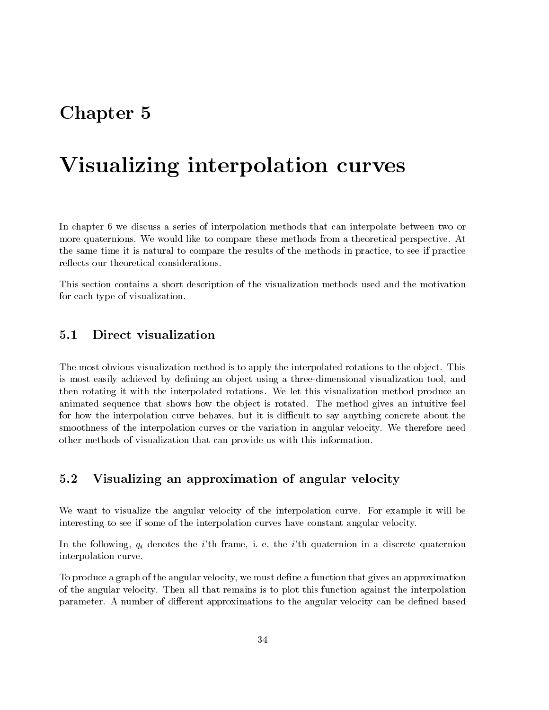# Chapter 5

# Visualizing interpolation curves

In chapter 6 we discuss a series of interpolation methods that can interpolate between two or more quaternions. We would like to compare these methods from a theoretical perspective. At the same time it is natural to compare the results of the methods in practice, to see if practice

This section contains a short description of the visualization methods used and the motivation for each type of visualization.

## 5.1 Direct visualization

The most obvious visualization method is to apply the interpolated rotations to the object. This is most easily achieved by defining an object using a three-dimensional visualization tool, and then rotating it with the interpolated rotations. We let this visualization method produce an animated sequence that shows how the object is rotated. The method gives an intuitive feel for how the interpolation curve behaves, but it is difficult to say anything concrete about the smoothness of the interpolation curves or the variation in angular velocity. We therefore need other methods of visualization that can provide us with this information.

#### Visualizing an approximation of angular velocity  $5.2$

We want to visualize the angular velocity of the interpolation curve. For example it will be interesting to see if some of the interpolation curves have constant angular velocity.

In the following,  $q_i$  denotes the *i*'th frame, i. e. the *i*'th quaternion in a discrete quaternion interpolation curve.

To produce a graph of the angular velocity, we must define a function that gives an approximation of the angular velocity. Then all that remains is to plot this function against the interpolation parameter. A number of different approximations to the angular velocity can be defined based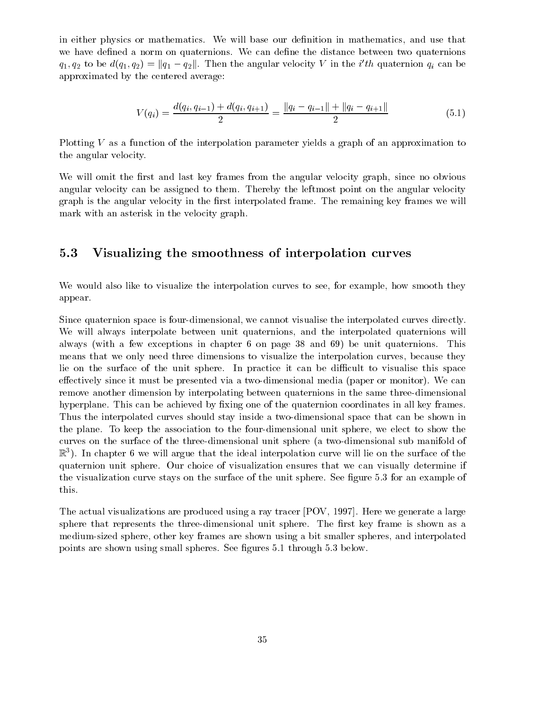in either physics or mathematics. We will base our definition in mathematics, and use that we have defined a norm on quaternions. We can define the distance between two quaternions  $q_1, q_2$  to be  $a(q_1, q_2) = ||q_1 - q_2||$ . Then the angular velocity V in the  $i$  th quaternion  $q_i$  can be approximated by the centered average:

$$
V(q_i) = \frac{d(q_i, q_{i-1}) + d(q_i, q_{i+1})}{2} = \frac{\|q_i - q_{i-1}\| + \|q_i - q_{i+1}\|}{2}
$$
(5.1)

Plotting V as a function of the interpolation parameter yields a graph of an approximation to the angular velocity.

We will omit the first and last key frames from the angular velocity graph, since no obvious angular velocity can be assigned to them. Thereby the leftmost point on the angular velocity graph is the angular velocity in the first interpolated frame. The remaining key frames we will mark with an asterisk in the velocity graph.

## 5.3 Visualizing the smoothness of interpolation curves

We would also like to visualize the interpolation curves to see, for example, how smooth they appear.

Since quaternion space is four-dimensional, we cannot visualise the interpolated curves directly. We will always interpolate between unit quaternions, and the interpolated quaternions will always (with a few exceptions in chapter 6 on page 38 and 69) be unit quaternions. This means that we only need three dimensions to visualize the interpolation curves, because they lie on the surface of the unit sphere. In practice it can be difficult to visualise this space effectively since it must be presented via a two-dimensional media (paper or monitor). We can remove another dimension by interpolating between quaternions in the same three-dimensional hyperplane. This can be achieved by fixing one of the quaternion coordinates in all key frames. Thus the interpolated curves should stay inside a two-dimensional space that can be shown in the plane. To keep the association to the four-dimensional unit sphere, we elect to show the curves on the surface of the three-dimensional unit sphere (a two-dimensional sub manifold of  $\mathbb R$  ). In chapter 6 we will argue that the ideal interpolation curve will lie on the surface of the  $\blacksquare$ quaternion unit sphere. Our choice of visualization ensures that we can visually determine if the visualization curve stays on the surface of the unit sphere. See figure 5.3 for an example of this.

The actual visualizations are produced using a ray tracer [POV, 1997]. Here we generate a large sphere that represents the three-dimensional unit sphere. The first key frame is shown as a medium-sized sphere, other key frames are shown using a bit smaller spheres, and interpolated points are shown using small spheres. See figures 5.1 through 5.3 below.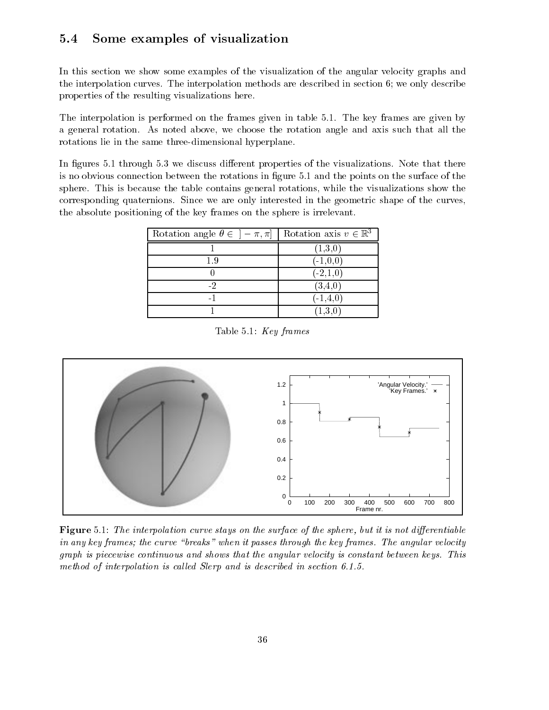## 5.4 Some examples of visualization

In this section we show some examples of the visualization of the angular velocity graphs and the interpolation curves. The interpolation methods are described in section 6; we only describe properties of the resulting visualizations here.

The interpolation is performed on the frames given in table 5.1. The key frames are given by a general rotation. As noted above, we choose the rotation angle and axis such that all the rotations lie in the same three-dimensional hyperplane.

In figures 5.1 through 5.3 we discuss different properties of the visualizations. Note that there is no obvious connection between the rotations in gure 5.1 and the points on the surface of the sphere. This is because the table contains general rotations, while the visualizations show the corresponding quaternions. Since we are only interested in the geometric shape of the curves, the absolute positioning of the key frames on the sphere is irrelevant.

| Rotation angle $\theta \in \left[-\pi, \pi\right]$ | Rotation axis $v \in \mathbb{R}^3$ |  |
|----------------------------------------------------|------------------------------------|--|
|                                                    | (1,3,0)                            |  |
| 1.9                                                | $(-1,0,0)$                         |  |
|                                                    | $(-2,1,0)$                         |  |
|                                                    | $\scriptstyle{(3,4,0)}$            |  |
|                                                    | $(-1, 4, 0)$                       |  |
|                                                    | (1.3,0                             |  |

Table 5.1: Key frames



Figure 5.1: The interpolation curve stays on the surface of the sphere, but it is not differentiable in any key frames; the curve "breaks" when it passes through the key frames. The angular velocity graph is piecewise continuous and shows that the angular velocity is constant between keys. This method of interpolation is called Slerp and is described in section  $6.1.5$ .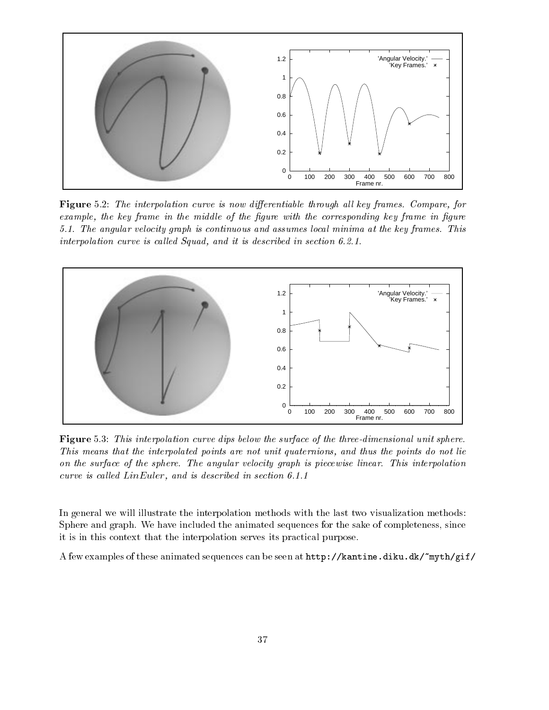

Figure 5.2: The interpolation curve is now differentiable through all key frames. Compare, for example, the key frame in the middle of the figure with the corresponding key frame in figure 5.1. The angular velocity graph is continuous and assumes local minima at the key frames. This interpolation curve is called Squad, and it is described in section  $6.2.1$ .



Figure 5.3: This interpolation curve dips below the surface of the three-dimensional unit sphere. This means that the interpolated points are not unit quaternions, and thus the points do not lie on the surface of the sphere. The angular velocity graph is piecewise linear. This interpolation curve is called  $LinEuler$ , and is described in section 6.1.1

In general we will illustrate the interpolation methods with the last two visualization methods: Sphere and graph. We have included the animated sequences for the sake of completeness, since it is in this context that the interpolation serves its practical purpose.

A few examples of these animated sequences can be seen at http://kantine.diku.dk/~myth/gif/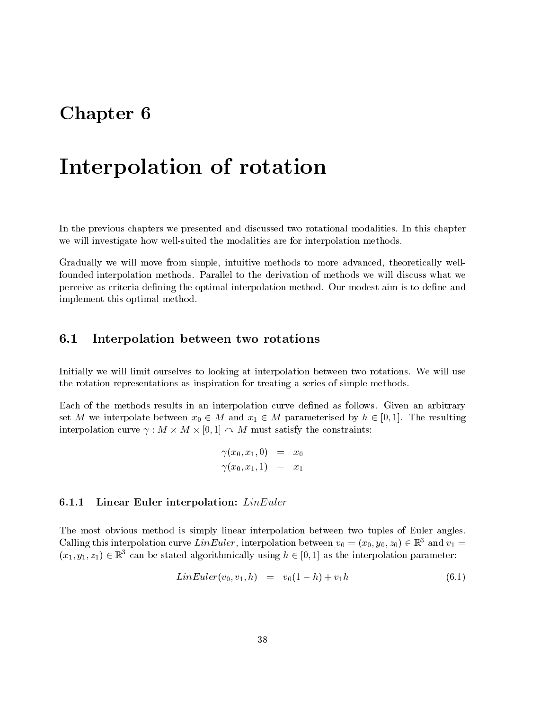# Chapter 6

# Interpolation of rotation

In the previous chapters we presented and discussed two rotational modalities. In this chapter we will investigate how well-suited the modalities are for interpolation methods.

Gradually we will move from simple, intuitive methods to more advanced, theoretically wellfounded interpolation methods. Parallel to the derivation of methods we will discuss what we perceive as criteria defining the optimal interpolation method. Our modest aim is to define and implement this optimal method.

#### $6.1$ Interpolation between two rotations

Initially we will limit ourselves to looking at interpolation between two rotations. We will use the rotation representations as inspiration for treating a series of simple methods.

Each of the methods results in an interpolation curve defined as follows. Given an arbitrary set M we interpolate between  $x_0 \in M$  and  $x_1 \in M$  parameterised by  $h \in [0, 1]$ . The resulting interpolation curve  $\gamma : M \times M \times [0,1] \curvearrowright M$  must satisfy the constraints:

$$
\begin{array}{lcl} \gamma(x_0,x_1,0) & = & x_0 \\ \gamma(x_0,x_1,1) & = & x_1 \end{array}
$$

#### 6.1.1 Linear Euler interpolation: LinEuler

The most obvious method is simply linear interpolation between two tuples of Euler angles. Calling this interpolation curve LinEuler, interpolation between  $v_0 = (x_0, y_0, z_0) \in \mathbb{R}^3$  and  $v_1 =$  $(x_1, y_1, z_1) \in \mathbb{R}^3$  can be stated algorithmically using  $h \in [0, 1]$  as the interpolation parameter:

$$
LinEuler(v_0, v_1, h) = v_0(1-h) + v_1h \tag{6.1}
$$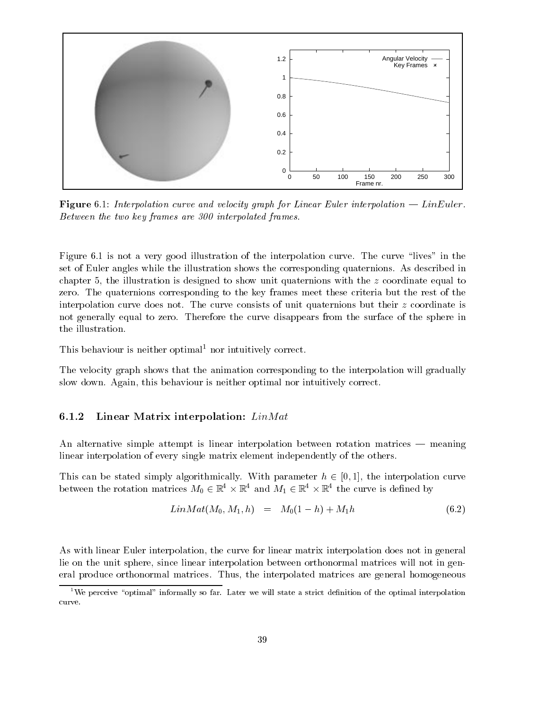

**Figure** 6.1: Interpolation curve and velocity graph for Linear Euler interpolation  $\frac{1}{L}$  LinEuler. Between the two key frames are 300 interpolated frames.

Figure 6.1 is not a very good illustration of the interpolation curve. The curve "lives" in the set of Euler angles while the illustration shows the corresponding quaternions. As described in chapter 5, the illustration is designed to show unit quaternions with the z coordinate equal to zero. The quaternions corresponding to the key frames meet these criteria but the rest of the interpolation curve does not. The curve consists of unit quaternions but their  $z$  coordinate is not generally equal to zero. Therefore the curve disappears from the surface of the sphere in the illustration.

This behaviour is neither optimal<sup>1</sup> nor intuitively correct.

The velocity graph shows that the animation corresponding to the interpolation will gradually slow down. Again, this behaviour is neither optimal nor intuitively correct.

#### 6.1.2 Linear Matrix interpolation:  $Lin Mat$

An alternative simple attempt is linear interpolation between rotation matrices  $-$  meaning linear interpolation of every single matrix element independently of the others.

This can be stated simply algorithmically. With parameter  $h \in [0, 1]$ , the interpolation curve between the rotation matrices  $M_0 \in \mathbb{R}^+ \times \mathbb{R}^+$  and  $M_1 \in \mathbb{R}^+ \times \mathbb{R}^+$  the curve is defined by

$$
LinMat(M_0, M_1, h) = M_0(1 - h) + M_1h \qquad (6.2)
$$

As with linear Euler interpolation, the curve for linear matrix interpolation does not in general lie on the unit sphere, since linear interpolation between orthonormal matrices will not in general produce orthonormal matrices. Thus, the interpolated matrices are general homogeneous

 $1$ <sup>1</sup>We perceive "optimal" informally so far. Later we will state a strict definition of the optimal interpolation curve.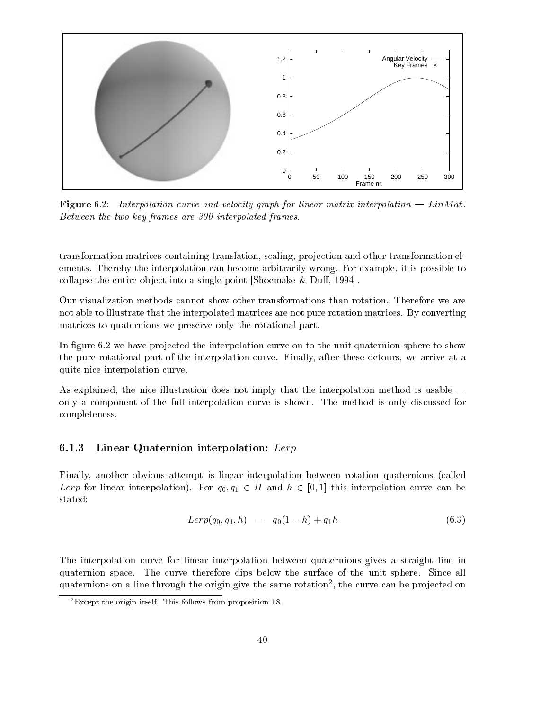

Figure 6.2: Interpolation curve and velocity graph for linear matrix interpolation  $\sim$  LinMat. Between the two key frames are 300 interpolated frames.

transformation matrices containing translation, scaling, projection and other transformation elements. Thereby the interpolation can become arbitrarily wrong. For example, it is possible to collapse the entire object into a single point [Shoemake  $&$  Duff, 1994].

Our visualization methods cannot show other transformations than rotation. Therefore we are not able to illustrate that the interpolated matrices are not pure rotation matrices. By converting matrices to quaternions we preserve only the rotational part.

In figure  $6.2$  we have projected the interpolation curve on to the unit quaternion sphere to show the pure rotational part of the interpolation curve. Finally, after these detours, we arrive at a quite nice interpolation curve.

As explained, the nice illustration does not imply that the interpolation method is usable  $$ only a component of the full interpolation curve is shown. The method is only discussed for completeness.

## 6.1.3 Linear Quaternion interpolation:  $Lerp$

Finally, another obvious attempt is linear interpolation between rotation quaternions (called Lerp for linear interpolation). For  $q_0, q_1 \in H$  and  $h \in [0, 1]$  this interpolation curve can be stated:

$$
Lerp(q_0, q_1, h) = q_0(1 - h) + q_1 h \tag{6.3}
$$

The interpolation curve for linear interpolation between quaternions gives a straight line in quaternion space. The curve therefore dips below the surface of the unit sphere. Since all quaternions on a line through the origin give the same rotation<sup>2</sup> , the curve can be pro jected on

 ${}^{2}$ Except the origin itself. This follows from proposition 18.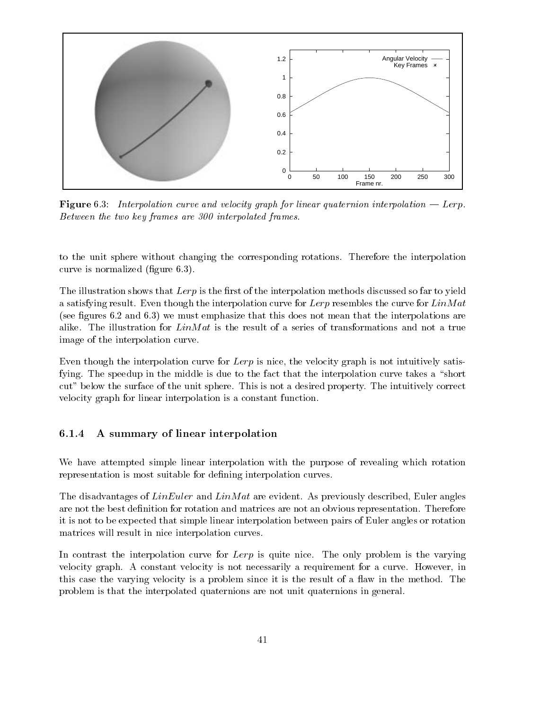

**Figure** 6.3: Interpolation curve and velocity graph for linear quaternion interpolation  $\equiv$  Lerp. Between the two key frames are 300 interpolated frames.

to the unit sphere without changing the corresponding rotations. Therefore the interpolation curve is normalized (figure  $6.3$ ).

The illustration shows that  $Lerp$  is the first of the interpolation methods discussed so far to yield a satisfying result. Even though the interpolation curve for  $Lerp$  resembles the curve for  $LinMat$ (see figures  $6.2$  and  $6.3$ ) we must emphasize that this does not mean that the interpolations are alike. The illustration for  $Lin Mat$  is the result of a series of transformations and not a true image of the interpolation curve.

Even though the interpolation curve for  $Lerp$  is nice, the velocity graph is not intuitively satisfying. The speedup in the middle is due to the fact that the interpolation curve takes a "short cut" below the surface of the unit sphere. This is not a desired property. The intuitively correct velocity graph for linear interpolation is a constant function.

#### 6.1.4 6.1.4 A summary of linear interpolation

We have attempted simple linear interpolation with the purpose of revealing which rotation representation is most suitable for defining interpolation curves.

The disadvantages of  $LinEuler$  and  $LinMat$  are evident. As previously described, Euler angles are not the best definition for rotation and matrices are not an obvious representation. Therefore it is not to be expected that simple linear interpolation between pairs of Euler angles or rotation matrices will result in nice interpolation curves.

In contrast the interpolation curve for Lerp is quite nice. The only problem is the varying velocity graph. A constant velocity is not necessarily a requirement for a curve. However, in this case the varying velocity is a problem since it is the result of a flaw in the method. The problem is that the interpolated quaternions are not unit quaternions in general.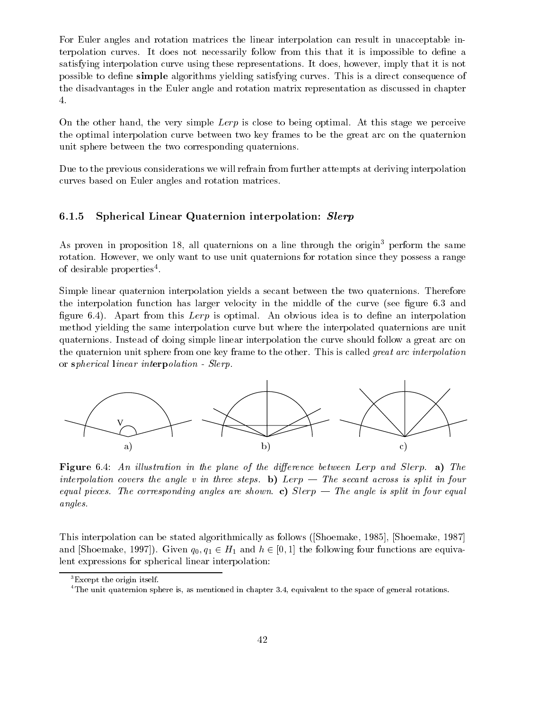For Euler angles and rotation matrices the linear interpolation can result in unacceptable interpolation curves. It does not necessarily follow from this that it is impossible to dene a satisfying interpolation curve using these representations. It does, however, imply that it is not possible to define simple algorithms yielding satisfying curves. This is a direct consequence of the disadvantages in the Euler angle and rotation matrix representation as discussed in chapter 4.

On the other hand, the very simple  $Lerp$  is close to being optimal. At this stage we perceive the optimal interpolation curve between two key frames to be the great arc on the quaternion unit sphere between the two corresponding quaternions.

Due to the previous considerations we will refrain from further attempts at deriving interpolation curves based on Euler angles and rotation matrices.

### 6.1.5 Spherical Linear Quaternion interpolation: Slerp

As proven in proposition 18, all quaternions on a line through the origin<sup>3</sup> perform the same rotation. However, we only want to use unit quaternions for rotation since they possess a range of desirable properties<sup>4</sup>.

Simple linear quaternion interpolation yields a secant between the two quaternions. Therefore the interpolation function has larger velocity in the middle of the curve (see figure 6.3 and figure 6.4). Apart from this  $Lerp$  is optimal. An obvious idea is to define an interpolation method yielding the same interpolation curve but where the interpolated quaternions are unit quaternions. Instead of doing simple linear interpolation the curve should follow a great arc on the quaternion unit sphere from one key frame to the other. This is called great arc interpolation or spherical linear interpolation - Slerp.



**Figure** 6.4: An illustration in the plane of the difference between Lerp and Slerp. a) The interpolation covers the angle v in three steps. b) Lerp  $-$  The secant across is split in four equal pieces. The corresponding angles are shown. c) Slerp  $-$  The angle is split in four equal angles.

This interpolation can be stated algorithmically as follows ([Shoemake, 1985], [Shoemake, 1987] and [Shoemake, 1997]). Given  $q_0, q_1 \in H_1$  and  $h \in [0, 1]$  the following four functions are equivalent expressions for spherical linear interpolation:

<sup>3</sup>Except the origin itself.

<sup>&</sup>lt;sup>4</sup>The unit quaternion sphere is, as mentioned in chapter 3.4, equivalent to the space of general rotations.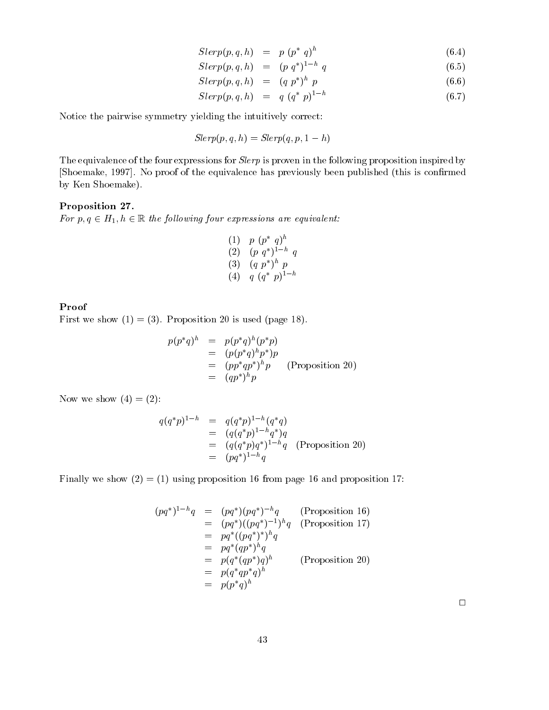$$
Slerp(p,q,h) = p (p^* q)^h \qquad (6.4)
$$

$$
Slerp(p, q, h) = (p \, q^*)^{1-h} \, q \tag{6.5}
$$

$$
Slerp(p,q,h) = (q p^*)^h p \qquad (6.6)
$$

$$
Slerp(p, q, h) = q (q^* p)^{1-h}
$$
\n(6.7)

Notice the pairwise symmetry yielding the intuitively correct:

$$
Slerp(p, q, h) = Slerp(q, p, 1 - h)
$$

The equivalence of the four expressions for *Slerp* is proven in the following proposition inspired by [Shoemake, 1997]. No proof of the equivalence has previously been published (this is confirmed by Ken Shoemake).

#### Proposition 27.

For  $p, q \in H_1, h \in \mathbb{R}$  the following four expressions are equivalent:

(1) 
$$
p (p^* q)^h
$$
  
\n(2)  $(p q^*)^{1-h} q$   
\n(3)  $(q p^*)^h p$   
\n(4)  $q (q^* p)^{1-h}$ 

#### Proof

First we show  $(1) = (3)$ . Proposition 20 is used (page 18).

$$
p(p^*q)^h = p(p^*q)^h(p^*p)
$$
  
= 
$$
(p(p^*q)^h p^*)p
$$
  
= 
$$
(pp^*qp^*)^hp
$$
 (Proposition 20)  
= 
$$
(qp^*)^hp
$$

Now we show  $(4) = (2)$ :

$$
q(q^*p)^{1-h} = q(q^*p)^{1-h}(q^*q)
$$
  
=  $(q(q^*p)^{1-h}q^*)q$   
=  $(q(q^*p)q^*)^{1-h}q$  (Proposition 20)  
=  $(pq^*)^{1-h}q$ 

Finally we show  $(2) = (1)$  using proposition 16 from page 16 and proposition 17:

$$
(pq^*)^{1-h}q = (pq^*)(pq^*)^{-h}q
$$
 (Proposition 16)  
\n
$$
= (pq^*)((pq^*)^{-1})^hq
$$
 (Proposition 17)  
\n
$$
= pq^*( (pq^*)^*)^hq
$$
  
\n
$$
= pq^*(qp^*)^hq
$$
  
\n
$$
= p(q^*(qp^*)q)^h
$$
 (Proposition 20)  
\n
$$
= p(q^*qp^*q)^h
$$
  
\n
$$
= p(p^*q)^h
$$

 $\Box$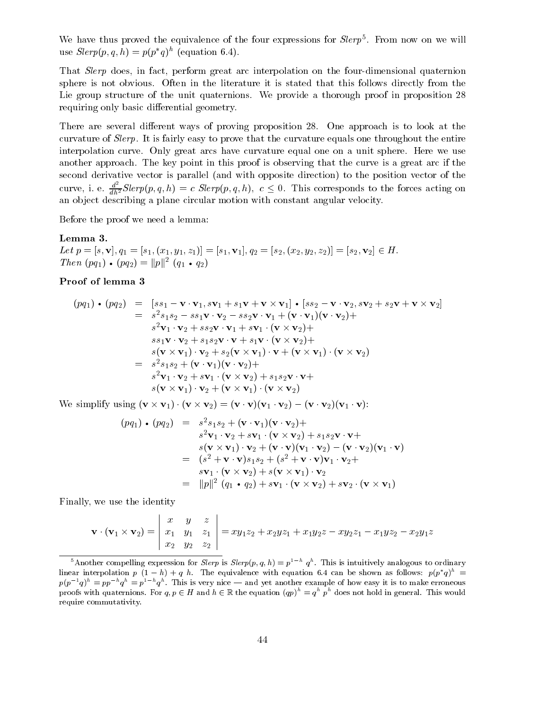We have thus proved the equivalence of the four expressions for  $Step 5.$  From now on we will use  $Step(p, q, n) = p(p, q)$  (equation 6.4).

That *Slerp* does, in fact, perform great arc interpolation on the four-dimensional quaternion sphere is not obvious. Often in the literature it is stated that this follows directly from the Lie group structure of the unit quaternions. We provide a thorough proof in proposition 28 requiring only basic differential geometry.

There are several different ways of proving proposition 28. One approach is to look at the curvature of Slerp. It is fairly easy to prove that the curvature equals one throughout the entire interpolation curve. Only great arcs have curvature equal one on a unit sphere. Here we use another approach. The key point in this proof is observing that the curve is a great arc if the second derivative vector is parallel (and with opposite direction) to the position vector of the curve, i. e.  $\frac{a}{dh^2}Slerp(p,q,h) = c \;Slerp(p,q,h), c \leq 0$ . This corresponds to the forces acting on an ob ject describing a plane circular motion with constant angular velocity.

Before the proof we need a lemma:

#### Lemma 3.

Let  $p = [s, \mathbf{v}], q_1 = [s_1, (x_1, y_1, z_1)] = [s_1, \mathbf{v}_1], q_2 = [s_2, (x_2, y_2, z_2)] = [s_2, \mathbf{v}_2] \in H.$  $I$  nen (pq<sub>1</sub>) • (pq<sub>2</sub>) =  $||p||^2$  (q<sub>1</sub> • q<sub>2</sub>)  $\mathbf{z}$ )

### Proof of lemma 3

$$
(pq_1) \cdot (pq_2) = [ss_1 - \mathbf{v} \cdot \mathbf{v}_1, s\mathbf{v}_1 + s_1\mathbf{v} + \mathbf{v} \times \mathbf{v}_1] \cdot [ss_2 - \mathbf{v} \cdot \mathbf{v}_2, s\mathbf{v}_2 + s_2\mathbf{v} + \mathbf{v} \times \mathbf{v}_2]
$$
  
\n
$$
= s^2s_1s_2 - ss_1\mathbf{v} \cdot \mathbf{v}_2 - ss_2\mathbf{v} \cdot \mathbf{v}_1 + (\mathbf{v} \cdot \mathbf{v}_1)(\mathbf{v} \cdot \mathbf{v}_2) +
$$
  
\n
$$
s^2\mathbf{v}_1 \cdot \mathbf{v}_2 + ss_2\mathbf{v} \cdot \mathbf{v}_1 + s\mathbf{v}_1 \cdot (\mathbf{v} \times \mathbf{v}_2) +
$$
  
\n
$$
ss_1\mathbf{v} \cdot \mathbf{v}_2 + s_1s_2\mathbf{v} \cdot \mathbf{v} + s_1\mathbf{v} \cdot (\mathbf{v} \times \mathbf{v}_2) +
$$
  
\n
$$
s(\mathbf{v} \times \mathbf{v}_1) \cdot \mathbf{v}_2 + s_2(\mathbf{v} \times \mathbf{v}_1) \cdot \mathbf{v} + (\mathbf{v} \times \mathbf{v}_1) \cdot (\mathbf{v} \times \mathbf{v}_2)
$$
  
\n
$$
= s^2s_1s_2 + (\mathbf{v} \cdot \mathbf{v}_1)(\mathbf{v} \cdot \mathbf{v}_2) +
$$
  
\n
$$
s^2\mathbf{v}_1 \cdot \mathbf{v}_2 + s\mathbf{v}_1 \cdot (\mathbf{v} \times \mathbf{v}_2) + s_1s_2\mathbf{v} \cdot \mathbf{v} +
$$
  
\n
$$
s(\mathbf{v} \times \mathbf{v}_1) \cdot \mathbf{v}_2 + (\mathbf{v} \times \mathbf{v}_1) \cdot (\mathbf{v} \times \mathbf{v}_2)
$$

We simplify using  $(\mathbf{v} \times \mathbf{v}_1) \cdot (\mathbf{v} \times \mathbf{v}_2) = (\mathbf{v} \cdot \mathbf{v})(\mathbf{v}_1 \cdot \mathbf{v}_2) - (\mathbf{v} \cdot \mathbf{v}_2)(\mathbf{v}_1 \cdot \mathbf{v})$ :

$$
(pq_1) \cdot (pq_2) = s^2 s_1 s_2 + (\mathbf{v} \cdot \mathbf{v}_1)(\mathbf{v} \cdot \mathbf{v}_2) +
$$
  
\n
$$
s^2 \mathbf{v}_1 \cdot \mathbf{v}_2 + s \mathbf{v}_1 \cdot (\mathbf{v} \times \mathbf{v}_2) + s_1 s_2 \mathbf{v} \cdot \mathbf{v} +
$$
  
\n
$$
s(\mathbf{v} \times \mathbf{v}_1) \cdot \mathbf{v}_2 + (\mathbf{v} \cdot \mathbf{v})(\mathbf{v}_1 \cdot \mathbf{v}_2) - (\mathbf{v} \cdot \mathbf{v}_2)(\mathbf{v}_1 \cdot \mathbf{v})
$$
  
\n
$$
= (s^2 + \mathbf{v} \cdot \mathbf{v})s_1 s_2 + (s^2 + \mathbf{v} \cdot \mathbf{v})\mathbf{v}_1 \cdot \mathbf{v}_2 +
$$
  
\n
$$
s\mathbf{v}_1 \cdot (\mathbf{v} \times \mathbf{v}_2) + s(\mathbf{v} \times \mathbf{v}_1) \cdot \mathbf{v}_2
$$
  
\n
$$
= ||p||^2 (q_1 \cdot q_2) + s\mathbf{v}_1 \cdot (\mathbf{v} \times \mathbf{v}_2) + s\mathbf{v}_2 \cdot (\mathbf{v} \times \mathbf{v}_1)
$$

Finally, we use the identity

and the contract of the contract of the contract of the contract of the contract of the contract of the contract of the contract of the contract of the contract of the contract of the contract of the contract of the contra

$$
\mathbf{v} \cdot (\mathbf{v}_1 \times \mathbf{v}_2) = \begin{vmatrix} x & y & z \\ x_1 & y_1 & z_1 \\ x_2 & y_2 & z_2 \end{vmatrix} = xy_1z_2 + x_2yz_1 + x_1y_2z - xy_2z_1 - x_1yz_2 - x_2y_1z
$$

 

<sup>-</sup>Another compelling expression for *Sterp* is *Sterp*(p, q, n) = p<sup>- or</sup> q<sup>-</sup>. This is intuitively analogous to ordinary linear interpolation  $p$  (1  $-$  h)  $+$  q h. The equivalence with equation 6.4 can be shown as follows:  $p(p|q)$  =  $p(p+q)^{n} = pp+q^{n}+q^{n}$ . This is very nice — and yet another example of how easy it is to make erroneous proofs with quaternions. For  $q, p \in H$  and  $h \in \mathbb{R}$  the equation  $(qp)^{h} = q^{h} p^{h}$  does not hold in general. This w require commutativity.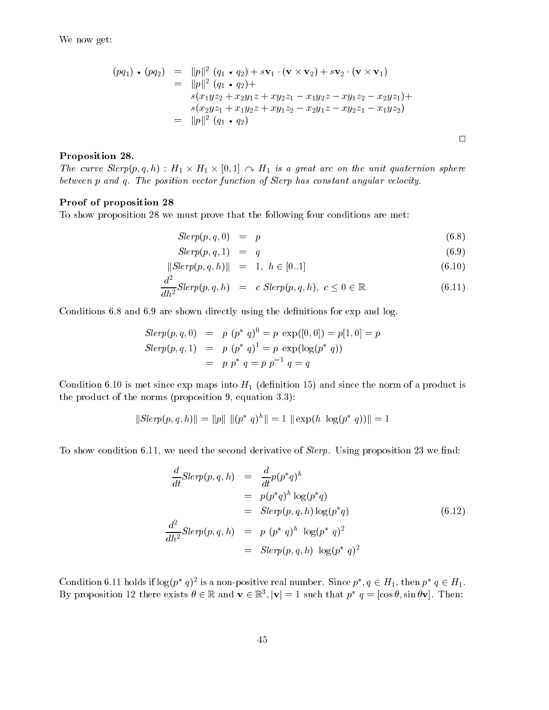We now get:

$$
(pq_1) \cdot (pq_2) = ||p||^2 (q_1 \cdot q_2) + s\mathbf{v}_1 \cdot (\mathbf{v} \times \mathbf{v}_2) + s\mathbf{v}_2 \cdot (\mathbf{v} \times \mathbf{v}_1)
$$
  
\n
$$
= ||p||^2 (q_1 \cdot q_2) +
$$
  
\n
$$
s(x_1yz_2 + x_2y_1z + xy_2z_1 - x_1y_2z - xy_1z_2 - x_2yz_1) +
$$
  
\n
$$
s(x_2yz_1 + x_1y_2z + xy_1z_2 - x_2y_1z - xy_2z_1 - x_1yz_2)
$$
  
\n
$$
= ||p||^2 (q_1 \cdot q_2)
$$

#### Proposition 28.

The curve  $Step(p, q, n)$ :  $H_1 \times H_1 \times [0, 1] \cap A H_1$  is a great arc on the unit quaternion sphere between p and q. The position vector function of Slerp has constant angular velocity.

#### Proof of proposition 28

To show proposition 28 we must prove that the following four conditions are met:

$$
Slerp(p,q,0) = p \tag{6.8}
$$

$$
Slerp(p,q,1) = q \tag{6.9}
$$

$$
||Slerp(p, q, h)|| = 1, h \in [0..1]
$$
\n(6.10)

$$
\frac{d^2}{dh^2}Slerp(p,q,h) = c \,Slerp(p,q,h), \ c \le 0 \in \mathbb{R} \tag{6.11}
$$

Conditions 6.8 and 6.9 are shown directly using the definitions for exp and log.

$$
Slerp(p, q, 0) = p (p^* q)^0 = p \exp([0, 0]) = p[1, 0] = p
$$
  
\n
$$
Slerp(p, q, 1) = p (p^* q)^1 = p \exp(\log(p^* q))
$$
  
\n
$$
= p p^* q = p p^{-1} q = q
$$

Condition 6.10 is met since  $\exp$  maps into  $H_1$  (definition 15) and since the norm of a product is the product of the norms (proposition 9, equation 3.3): External proposition 9, equation 3.3)<br>  $||Slerp(p, q, h)|| = ||p|| ||(p^* q)^h|| = 1$ 

$$
||Slerp(p, q, h)|| = ||p|| ||(p^* q)^h|| = 1 ||\exp(h \log(p^* q))|| = 1
$$

To show condition 6.11, we need the second derivative of  $Slerp$ . Using proposition 23 we find:

$$
\frac{d}{dt}Slerp(p,q,h) = \frac{d}{dt}p(p^*q)^h
$$
\n
$$
= p(p^*q)^h \log(p^*q)
$$
\n
$$
= Slerp(p,q,h) \log(p^*q)
$$
\n
$$
\frac{d^2}{dh^2}Slerp(p,q,h) = p (p^* q)^h \log(p^* q)^2
$$
\n
$$
= Slerp(p,q,h) \log(p^* q)^2
$$
\n(6.12)

Condition 6.11 holds if  $log(p-q)^{-1}$  is a non-positive real number. Since  $p_-, q \in H_1$ , then  $p_- q \in H_1$ . By proposition 12 there exists  $v \in \mathbb{R}$  and  $v \in \mathbb{R}^+$ ,  $|v| = 1$  such that  $p \mid q = |\cos v|$ , sin  $\sigma v|$ . Then: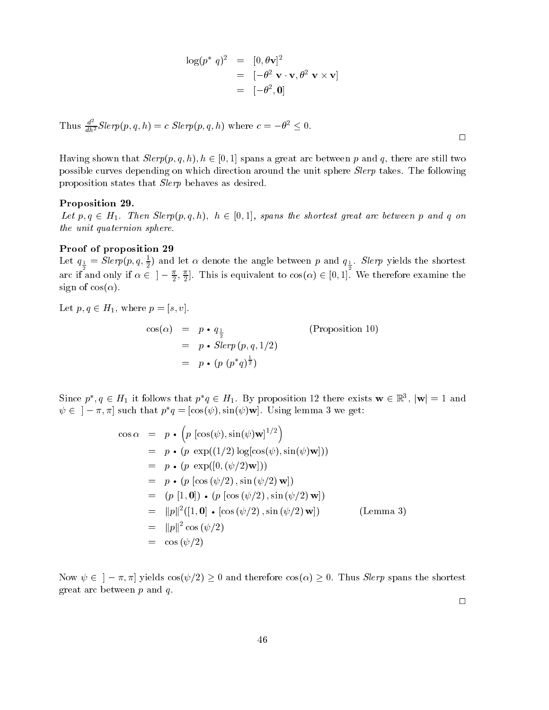$$
\log(p^* q)^2 = [0, \theta \mathbf{v}]^2
$$
  
=  $[-\theta^2 \mathbf{v} \cdot \mathbf{v}, \theta^2 \mathbf{v} \times \mathbf{v}]$   
=  $[-\theta^2, \mathbf{0}]$ 

Thus 
$$
\frac{d^2}{dh^2}Slerp(p, q, h) = c \text{ }Slerp(p, q, h)
$$
 where  $c = -\theta^2 \leq 0$ .

Having shown that  $Slerp(p, q, h), h \in [0, 1]$  spans a great arc between p and q, there are still two possible curves depending on which direction around the unit sphere Slerp takes. The following proposition states that Slerp behaves as desired.

#### Proposition 29.

Let  $p, q \in H_1$ . Then Slerp $(p, q, h)$ ,  $h \in [0, 1]$ , spans the shortest great arc between p and q on the unit quaternion sphere.

#### Proof of proposition 29

Let  $q_{\frac{1}{2}} = \text{supp}(p, q, \frac{1}{2})$  and let  $\alpha$  denote the angle between p and  $q_{\frac{1}{2}}$ . Sterp yields the shortest arc if and only if  $\alpha \in \pi$   $-\frac{1}{2}$ ,  $\frac{1}{2}$ . This is equivalent to  $cos(\alpha) \in [0,1]$ . We therefore examine the sign of  $cos(\alpha)$ .

Let  $p, q \in H_1$ , where  $p = [s, v]$ . cos(  $r = \frac{1}{2}$  (Proposition 10)  $r \sim \text{Sov}(r \ (r \mid r) = 1)$  $= p \cdot (p (p * q)^{\frac{1}{2}})$ 

Since p,  $q \in H_1$  it follows that  $p, q \in H_1$ . By proposition 12 there exists  $w \in \mathbb{R}^+$ ,  $|w| = 1$  and  $\psi \in ]-\pi, \pi]$  such that  $p^*q = [\cos(\psi), \sin(\psi) \mathbf{w}]$ . Using lemma 3 we get:

$$
\cos \alpha = p \cdot (p [\cos(\psi), \sin(\psi) \mathbf{w}]^{1/2})
$$
  
\n
$$
= p \cdot (p \exp((1/2) \log[\cos(\psi), \sin(\psi) \mathbf{w}]))
$$
  
\n
$$
= p \cdot (p \exp([0, (\psi/2) \mathbf{w}]))
$$
  
\n
$$
= p \cdot (p [\cos (\psi/2), \sin (\psi/2) \mathbf{w}])
$$
  
\n
$$
= (p [1, \mathbf{0}]) \cdot (p [\cos (\psi/2), \sin (\psi/2) \mathbf{w}])
$$
  
\n
$$
= ||p||^2 ([1, \mathbf{0}] \cdot [\cos (\psi/2), \sin (\psi/2) \mathbf{w}])
$$
 (Lemma 3)  
\n
$$
= ||p||^2 \cos (\psi/2)
$$
  
\n
$$
= \cos (\psi/2)
$$

Now  $\psi \in [-\pi, \pi]$  yields  $\cos(\psi/2) \geq 0$  and therefore  $\cos(\alpha) \geq 0$ . Thus *Slerp* spans the shortest great arc between  $p$  and  $q$ .

 $\Box$ 

| ٦ | ٦ |
|---|---|
|   |   |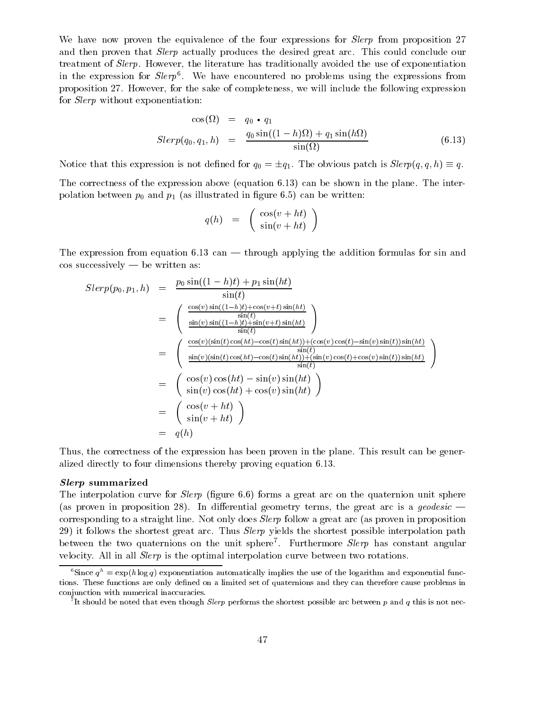We have now proven the equivalence of the four expressions for *Slerp* from proposition 27 and then proven that Slerp actually produces the desired great arc. This could conclude our treatment of Slerp. However, the literature has traditionally avoided the use of exponentiation in the expression for  $Step$  . We have encountered no problems using the expressions from proposition 27. However, for the sake of completeness, we will include the following expression for Slerp without exponentiation:

$$
\cos(\Omega) = q_0 \cdot q_1
$$
  
\n
$$
Slerp(q_0, q_1, h) = \frac{q_0 \sin((1 - h)\Omega) + q_1 \sin(h\Omega)}{\sin(\Omega)}
$$
 (6.13)

Notice that this expression is not defined for  $q_0 = \pm q_1$ . The obvious patch is  $Slerp(q, q, h) \equiv q$ .

The correctness of the expression above (equation 6.13) can be shown in the plane. The interpolation between  $p_0$  and  $p_1$  (as illustrated in figure 6.5) can be written:

$$
q(h) = \begin{pmatrix} \cos(v+ht) \\ \sin(v+ht) \end{pmatrix}
$$

The expression from equation 6.13 can — through applying the addition formulas for sin and  $\cos$  successively  $-$  be written as:

$$
Slerp(p_0, p_1, h) = \frac{p_0 \sin((1-h)t) + p_1 \sin(ht)}{\sin(t)}
$$
  
\n
$$
= \begin{pmatrix} \frac{\cos(v) \sin((1-h)t) + \cos(v+t) \sin(ht)}{\sin(t)} \\ \frac{\sin(v) \sin((1-h)t) + \sin(v+t) \sin(ht)}{\sin(t)} \end{pmatrix}
$$
  
\n
$$
= \begin{pmatrix} \frac{\cos(v)(\sin(t) \cos(ht) - \cos(t) \sin(ht)) + (\cos(v) \cos(t) - \sin(v) \sin(t)) \sin(ht)}{\sin(t)} \\ \frac{\sin(v)(\sin(t) \cos(ht) - \cos(t) \sin(ht)) + (\sin(v) \cos(t) + \cos(v) \sin(t)) \sin(ht)}{\sin(t)} \end{pmatrix}
$$
  
\n
$$
= \begin{pmatrix} \cos(v) \cos(ht) - \sin(v) \sin(ht) \\ \sin(v) \cos(ht) + \cos(v) \sin(ht) \\ \sin(v + ht) \end{pmatrix}
$$
  
\n
$$
= \begin{pmatrix} \cos(v + ht) \\ \sin(v + ht) \end{pmatrix}
$$
  
\n
$$
= q(h)
$$

Thus, the correctness of the expression has been proven in the plane. This result can be generalized directly to four dimensions thereby proving equation 6.13.

#### $S$  summarized  $S$

The interpolation curve for *Sterp* (figure 6.6) forms a great arc on the quaternion unit sphere (as proven in proposition 28). In differential geometry terms, the great arc is a *geodesic* corresponding to a straight line. Not only does Slerp follow a great arc (as proven in proposition 29) it follows the shortest great arc. Thus *Slerp* yields the shortest possible interpolation path between the two quatermons on the unit sphere . Furthermore  $\beta \ell \ell \gamma \rho$  has constant angular velocity. All in all Slerp is the optimal interpolation curve between two rotations.

<sup>&</sup>lt;sup>6</sup>Since  $q^h = \exp(h \log q)$  exponentiation automatically implies the use of the logarithm and exponential functions. These functions are only defined on a limited set of quaternions and they can therefore cause problems in conjunction with numerical inaccuracies.

The should be noted that even though *Slerp* performs the shortest possible arc between  $p$  and  $q$  this is not nec-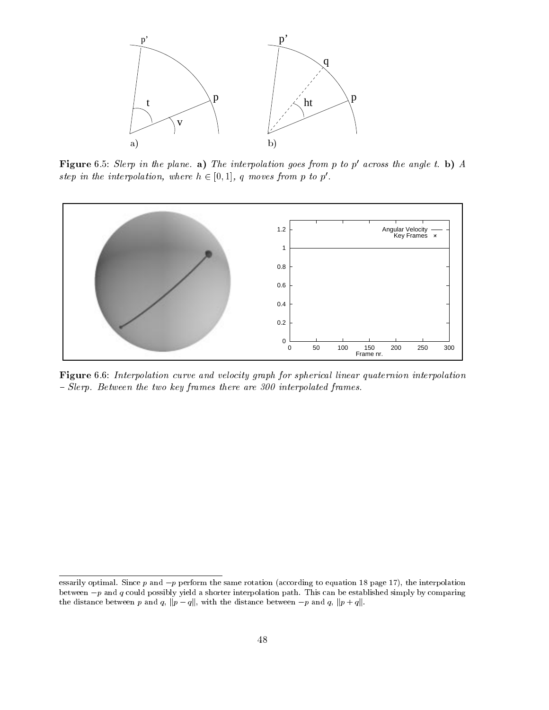

Figure 6.5: Slerp in the plane. a) The interpolation goes from p to  $p'$  across the angle t. b) A step in the interpolation, where  $h \in [0, 1]$ , q moves from p to p'.



Figure 6.6: Interpolation curve and velocity graph for spherical linear quaternion interpolation - Slerp. Between the two key frames there are 300 interpolated frames.

essarily optimal. Since  $p$  and  $-p$  perform the same rotation (according to equation 18 page 17), the interpolation between  $-p$  and q could possibly yield a shorter interpolation path. This can be established simply by comparing the distance between p and q,  $||p - q||$ , with the distance between  $-p$  and q,  $||p + q||$ .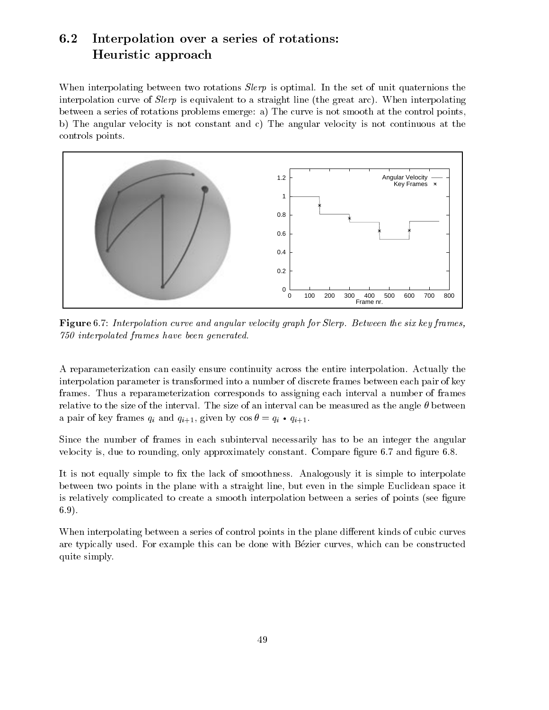## 6.2 Interpolation over a series of rotations: Heuristic approach

When interpolating between two rotations *Slerp* is optimal. In the set of unit quaternions the interpolation curve of  $Slerp$  is equivalent to a straight line (the great arc). When interpolating between a series of rotations problems emerge: a) The curve is not smooth at the control points, b) The angular velocity is not constant and c) The angular velocity is not continuous at the controls points.



Figure 6.7: Interpolation curve and angular velocity graph for Slerp. Between the six key frames, 750 interpolated frames have been generated.

A reparameterization can easily ensure continuity across the entire interpolation. Actually the interpolation parameter is transformed into a number of discrete frames between each pair of key frames. Thus a reparameterization corresponds to assigning each interval a number of frames relative to the size of the interval. The size of an interval can be measured as the angle  $\theta$  between a part of  $\mathbb{R}^n$  frames  $\mathbb{R}^n$  and  $\mathbb{R}^n$  and  $\mathbb{R}^n$  (1, given by cos  $\mathbb{R}^n$  and  $\mathbb{R}^n$ 

Since the number of frames in each subinterval necessarily has to be an integer the angular velocity is, due to rounding, only approximately constant. Compare figure 6.7 and figure 6.8.

It is not equally simple to fix the lack of smoothness. Analogously it is simple to interpolate between two points in the plane with a straight line, but even in the simple Euclidean space it is relatively complicated to create a smooth interpolation between a series of points (see figure 6.9).

When interpolating between a series of control points in the plane different kinds of cubic curves are typically used. For example this can be done with Bezier curves, which can be constructed quite simply.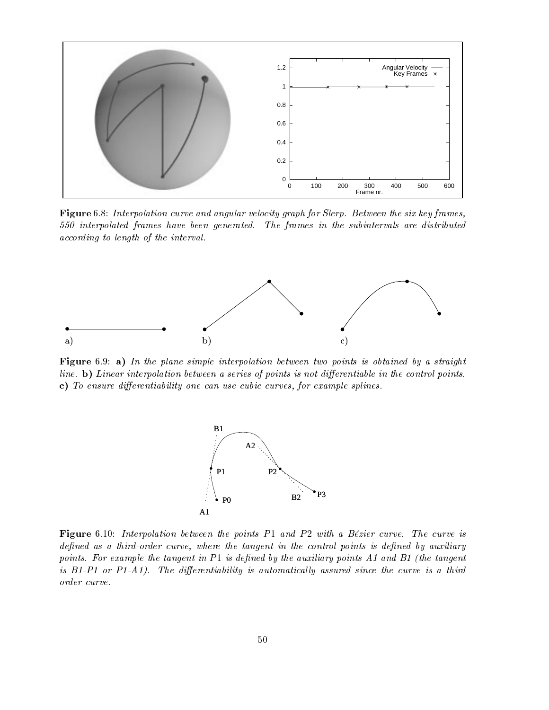

Figure 6.8: Interpolation curve and angular velocity graph for Slerp. Between the six key frames, 550 interpolated frames have been generated. The frames in the subintervals are distributed according to length of the interval.



Figure 6.9: a) In the plane simple interpolation between two points is obtained by a straight line. b) Linear interpolation between a series of points is not differentiable in the control points. c) To ensure differentiability one can use cubic curves, for example splines.



Figure 6.10: Interpolation between the points  $P1$  and  $P2$  with a Bézier curve. The curve is defined as a third-order curve, where the tangent in the control points is defined by auxiliary points. For example the tangent in  $P1$  is defined by the auxiliary points A1 and B1 (the tangent is  $B1-P1$  or  $P1-A1$ ). The differentiability is automatically assured since the curve is a third order curve.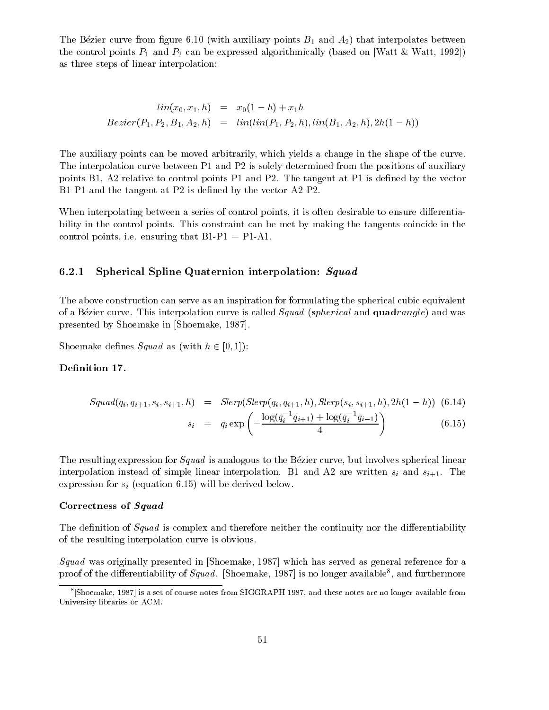The Bézier curve from figure 6.10 (with auxiliary points  $B_1$  and  $A_2$ ) that interpolates between the control points  $P_1$  and  $P_2$  can be expressed algorithmically (based on [Watt & Watt, 1992]) as three steps of linear interpolation:

$$
lin(x_0, x_1, h) = x_0(1-h) + x_1h
$$
  
\n
$$
Bezier(P_1, P_2, B_1, A_2, h) = lin(lin(P_1, P_2, h), lin(B_1, A_2, h), 2h(1-h))
$$

The auxiliary points can be moved arbitrarily, which yields a change in the shape of the curve. The interpolation curve between P1 and P2 is solely determined from the positions of auxiliary points  $B1$ ,  $A2$  relative to control points  $P1$  and  $P2$ . The tangent at  $P1$  is defined by the vector B1-P1 and the tangent at P2 is defined by the vector A2-P2.

When interpolating between a series of control points, it is often desirable to ensure differentiability in the control points. This constraint can be met by making the tangents coincide in the control points, i.e. ensuring that  $B1-P1 = P1-A1$ .

#### 6.2.1 Spherical Spline Quaternion interpolation: Squad

The above construction can serve as an inspiration for formulating the spherical cubic equivalent of a Bézier curve. This interpolation curve is called *Squad (spherical and quadrangle)* and was presented by Shoemake in [Shoemake, 1987].

Shoemake defines  $Squad$  as (with  $h \in [0, 1]$ ):

#### Definition 17.

$$
Squad(q_i, q_{i+1}, s_i, s_{i+1}, h) = Slerp(Slerp(q_i, q_{i+1}, h), Slerp(s_i, s_{i+1}, h), 2h(1 - h))
$$
(6.14)  

$$
s_i = q_i \exp\left(-\frac{\log(q_i^{-1}q_{i+1}) + \log(q_i^{-1}q_{i-1})}{4}\right)
$$
(6.15)

The resulting expression for *Squad* is analogous to the Bézier curve, but involves spherical linear interpolation instead of simple linear interpolation. B1 and A2 are written si and si+1. The expression for single-size for single-size for size  $\mu$  (equation below. The derived below. The derived below. The derived below. The derived below. The derived below. The derived below. The derived below. The derived bel

#### Correctness of Squad

The definition of Squad is complex and therefore neither the continuity nor the differentiability of the resulting interpolation curve is obvious.

Squad was originally presented in [Shoemake, 1987] which has served as general reference for a proof of the differentiability of  $Squaa$ . [Shoemake, 1987] is no longer available , and furthermore

<sup>8</sup> [Shoemake, 1987] is a set of course notes from SIGGRAPH 1987, and these notes are no longer available from University libraries or ACM.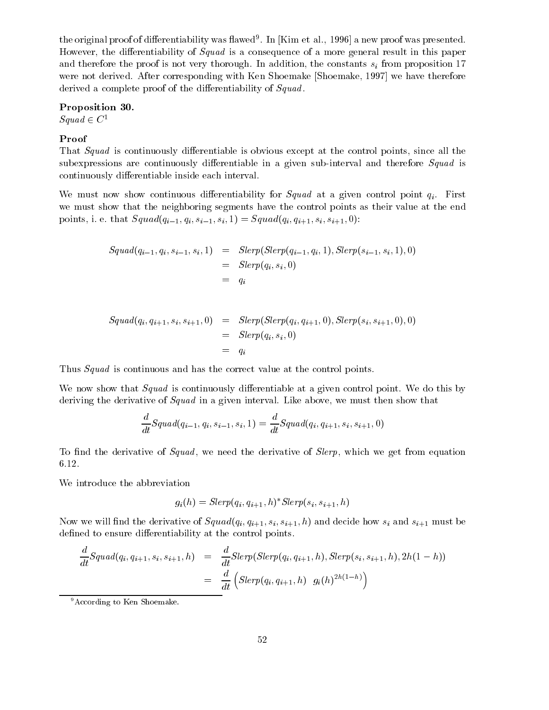the original proof of differentiability was hawed . In [Kim et al., 1990] a new proof was presented. However, the differentiability of  $Squad$  is a consequence of a more general result in this paper and the proof is not proof is not very thorough. In addition, the constants size  $\mathbb{Z}_p$  is the proposition 17 were not derived. After corresponding with Ken Shoemake [Shoemake, 1997] we have therefore derived a complete proof of the differentiability of Squad.

#### Proposition 30.

 $Squad \in C^1$ 

### Proof

That Squad is continuously differentiable is obvious except at the control points, since all the subexpressions are continuously differentiable in a given sub-interval and therefore  $Squad$  is continuously differentiable inside each interval.

We must now show continuous differentiability for Squad at a given control point  $q_i$ . First we must show that the neighboring segments have the control points as their value at the end points, i. e. that  $Squad(q_{i-1}, q_i, s_{i-1}, s_i, 1) = Squad(q_{i}, q_{i+1}, s_{i}, s_{i+1}, 0)$ :

$$
Squad(q_{i-1}, q_i, s_{i-1}, s_i, 1) = Slerp(Slerp(q_{i-1}, q_i, 1), Slerp(s_{i-1}, s_i, 1), 0)
$$
  
=  $Slerp(q_i, s_i, 0)$   
=  $q_i$ 

$$
Squad(q_i, q_{i+1}, s_i, s_{i+1}, 0) = Slerp(Slerp(q_i, q_{i+1}, 0), Slerp(s_i, s_{i+1}, 0), 0)
$$
  

$$
= Slerp(q_i, s_i, 0)
$$
  

$$
= q_i
$$

Thus Squad is continuous and has the correct value at the control points.

We now show that *Squad* is continuously differentiable at a given control point. We do this by deriving the derivative of *Squad* in a given interval. Like above, we must then show that

$$
\frac{d}{dt}Squad(q_{i-1}, q_i, s_{i-1}, s_i, 1) = \frac{d}{dt}Squad(q_i, q_{i+1}, s_i, s_{i+1}, 0)
$$

To find the derivative of Squad, we need the derivative of Slerp, which we get from equation

We introduce the abbreviation

$$
g_i(h) = Slerp(q_i, q_{i+1}, h)^*Slerp(s_i, s_{i+1}, h)
$$

Now we will find the derivative of  $Squad(q_{i}, q_{i+1}, s_{i}, s_{i+1}, h)$  and decide how  $s_{i}$  and  $s_{i+1}$  must be defined to ensure differentiability at the control points.

$$
\frac{d}{dt}Squad(q_i, q_{i+1}, s_i, s_{i+1}, h) = \frac{d}{dt}Slerp(Slerp(q_i, q_{i+1}, h), Slerp(s_i, s_{i+1}, h), 2h(1 - h))
$$
\n
$$
= \frac{d}{dt} \left( Slerp(q_i, q_{i+1}, h) g_i(h)^{2h(1 - h)} \right)
$$

<sup>&</sup>lt;sup>9</sup>According to Ken Shoemake.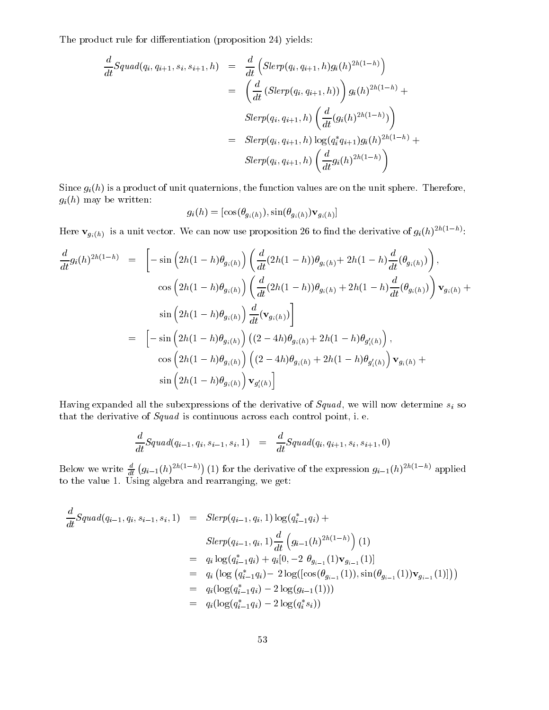The product rule for differentiation (proposition 24) yields:

$$
\frac{d}{dt}Squad(q_i, q_{i+1}, s_i, s_{i+1}, h) = \frac{d}{dt} \Big( Slerp(q_i, q_{i+1}, h)g_i(h)^{2h(1-h)} \Big) \n= \Big( \frac{d}{dt} \left( Slerp(q_i, q_{i+1}, h) \right) \Big) g_i(h)^{2h(1-h)} + \nSlerp(q_i, q_{i+1}, h) \Big( \frac{d}{dt} (g_i(h)^{2h(1-h)}) \Big) \n= Slerp(q_i, q_{i+1}, h) \log(q_i^* q_{i+1}) g_i(h)^{2h(1-h)} + \nSlerp(q_i, q_{i+1}, h) \Big( \frac{d}{dt} g_i(h)^{2h(1-h)} \Big)
$$

Since  $g_i(h)$  is a product of unit quaternions, the function values are on the unit sphere. Therefore,  $g_i(h)$  may be written:

$$
g_i(h) = [\cos(\theta_{g_i(h)}), \sin(\theta_{g_i(h)}) \mathbf{v}_{g_i(h)}]
$$

Here  $\mathbf{v}_{g_i(h)}$  is a unit vector. We can now use proposition 20 to find the derivative of  $g_i(h)$ -  $\infty$ :

$$
\frac{d}{dt}g_i(h)^{2h(1-h)} = \left[ -\sin\left(2h(1-h)\theta_{g_i(h)}\right) \left( \frac{d}{dt}(2h(1-h))\theta_{g_i(h)} + 2h(1-h)\frac{d}{dt}(\theta_{g_i(h)}) \right) \right],
$$
  
\n
$$
\cos\left(2h(1-h)\theta_{g_i(h)}\right) \left( \frac{d}{dt}(2h(1-h))\theta_{g_i(h)} + 2h(1-h)\frac{d}{dt}(\theta_{g_i(h)}) \right) \mathbf{v}_{g_i(h)} +
$$
  
\n
$$
\sin\left(2h(1-h)\theta_{g_i(h)}\right) \frac{d}{dt}(\mathbf{v}_{g_i(h)})
$$
  
\n
$$
= \left[ -\sin\left(2h(1-h)\theta_{g_i(h)}\right) \left( (2-4h)\theta_{g_i(h)} + 2h(1-h)\theta_{g'_i(h)} \right) \right],
$$
  
\n
$$
\cos\left(2h(1-h)\theta_{g_i(h)}\right) \left( (2-4h)\theta_{g_i(h)} + 2h(1-h)\theta_{g'_i(h)} \right) \mathbf{v}_{g_i(h)} +
$$
  
\n
$$
\sin\left(2h(1-h)\theta_{g_i(h)}\right) \mathbf{v}_{g'_i(h)} \right]
$$

Having expanded all the subexpressions of the derivative of Squad , we will now determine si so that the derivative of Squad is continuous across each control point, i. e.

$$
\frac{d}{dt}Squad(q_{i-1},q_i,s_{i-1},s_i,1) = \frac{d}{dt}Squad(q_i,q_{i+1},s_i,s_{i+1},0)
$$

Below we write  $\frac{d}{dt} (g_{i-1}(h)^{2h(1-h)})$  (1) for the derivative of the expression  $g_{i-1}(h)^{2h(1-h)}$  applied  $t = 1.1$  Using algebra and real  $t = 1.1$ 

$$
\frac{d}{dt}Squad(q_{i-1}, q_i, s_{i-1}, s_i, 1) = Slerp(q_{i-1}, q_i, 1) \log(q_{i-1}^* q_i) +
$$
\n
$$
Slerp(q_{i-1}, q_i, 1) \frac{d}{dt} \left( g_{i-1}(h)^{2h(1-h)} \right) (1)
$$
\n
$$
= q_i \log(q_{i-1}^* q_i) + q_i [0, -2 \theta_{g_{i-1}}(1) \mathbf{v}_{g_{i-1}}(1)]
$$
\n
$$
= q_i \left( \log(q_{i-1}^* q_i) - 2 \log([\cos(\theta_{g_{i-1}}(1)), \sin(\theta_{g_{i-1}}(1)) \mathbf{v}_{g_{i-1}}(1)]) \right)
$$
\n
$$
= q_i (\log(q_{i-1}^* q_i) - 2 \log(q_{i-1}^*(1)))
$$
\n
$$
= q_i (\log(q_{i-1}^* q_i) - 2 \log(q_i^* s_i))
$$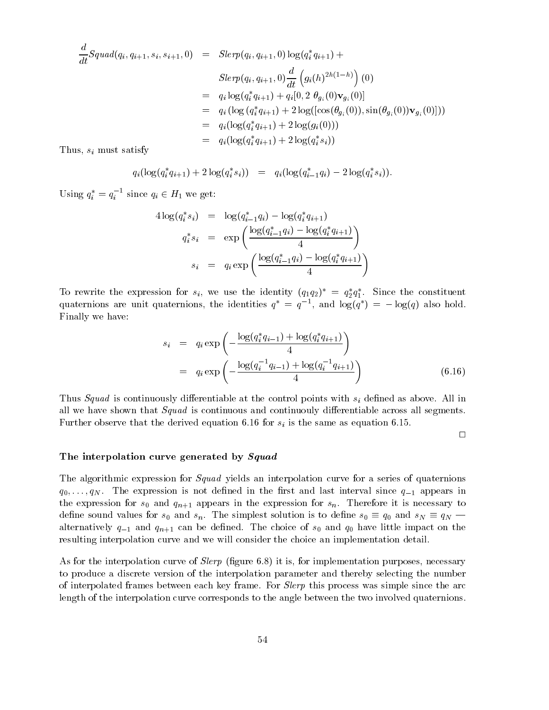$$
\frac{d}{dt}Squad(q_i, q_{i+1}, s_i, s_{i+1}, 0) = Slerp(q_i, q_{i+1}, 0) \log(q_i^*q_{i+1}) +
$$
\n
$$
Slerp(q_i, q_{i+1}, 0) \frac{d}{dt} \left( g_i(h)^{2h(1-h)} \right) (0)
$$
\n
$$
= q_i \log(q_i^*q_{i+1}) + q_i[0, 2 \theta_{g_i}(0) \mathbf{v}_{g_i}(0)]
$$
\n
$$
= q_i (\log(q_i^*q_{i+1}) + 2 \log([\cos(\theta_{g_i}(0)), \sin(\theta_{g_i}(0)) \mathbf{v}_{g_i}(0)]) )
$$
\n
$$
= q_i (\log(q_i^*q_{i+1}) + 2 \log(q_i^*s_i))
$$

 $T$  and  $T$  and  $T$  are satisfy satisfy satisfy  $\mathcal{S}$  . Thus, the same satisfy  $\mathcal{S}$ 

$$
q_i(\log(q_i^*q_{i+1}) + 2\log(q_i^*s_i)) = q_i(\log(q_{i-1}^*q_i) - 2\log(q_i^*s_i)).
$$

Using  $q_i = q_i$  since  $q_i \in H_1$  we get:

$$
4 \log(q_i^* s_i) = \log(q_{i-1}^* q_i) - \log(q_i^* q_{i+1})
$$
  
\n
$$
q_i^* s_i = \exp\left(\frac{\log(q_{i-1}^* q_i) - \log(q_i^* q_{i+1})}{4}\right)
$$
  
\n
$$
s_i = q_i \exp\left(\frac{\log(q_{i-1}^* q_i) - \log(q_i^* q_{i+1})}{4}\right)
$$

To rewrite the expression for  $s_i$ , we use the identity  $(q_1q_2) = q_2q_1$ . Since the constituent quaternions are unit quaternions, the identities  $q = q$  =, and log(q) =  $-\log(q)$  also hold. Finally we have:

$$
s_i = q_i \exp\left(-\frac{\log(q_i^* q_{i-1}) + \log(q_i^* q_{i+1})}{4}\right)
$$
  
=  $q_i \exp\left(-\frac{\log(q_i^{-1} q_{i-1}) + \log(q_i^{-1} q_{i+1})}{4}\right)$  (6.16)

Thus Squad is continuously dierentiable at the control points with single at the control points with single as above. All including  $\mu$ all we have shown that  $Squad$  is continuous and continuouly differentiable across all segments. Further observe that the derived equation 6.16 for si is the same as equation 6.16 for si is the same as equation 6.15.16 for si is the same as equation 6.15.16 for si is the same as equation 6.15.16.16.16.16.16.16.16.16.

 $\Box$ 

#### The interpolation curve generated by Squad

The algorithmic expression for *Squad* yields an interpolation curve for a series of quaternions  $q_0, \ldots, q_N$ . The expression is not defined in the first and last interval since  $q_{-1}$  appears in the expression for  $s_0$  and  $q_{n+1}$  appears in the expression for  $s_n$ . Therefore it is necessary to define sound values for  $s_0$  and  $s_n$ . The simplest solution is to define  $s_0 \equiv q_0$  and  $s_N \equiv q_N$  – alternatively  $q_{-1}$  and  $q_{n+1}$  can be defined. The choice of  $s_0$  and  $q_0$  have little impact on the resulting interpolation curve and we will consider the choice an implementation detail.

As for the interpolation curve of  $Slerp$  (figure 6.8) it is, for implementation purposes, necessary to produce a discrete version of the interpolation parameter and thereby selecting the number of interpolated frames between each key frame. For *Slerp* this process was simple since the arc length of the interpolation curve corresponds to the angle between the two involved quaternions.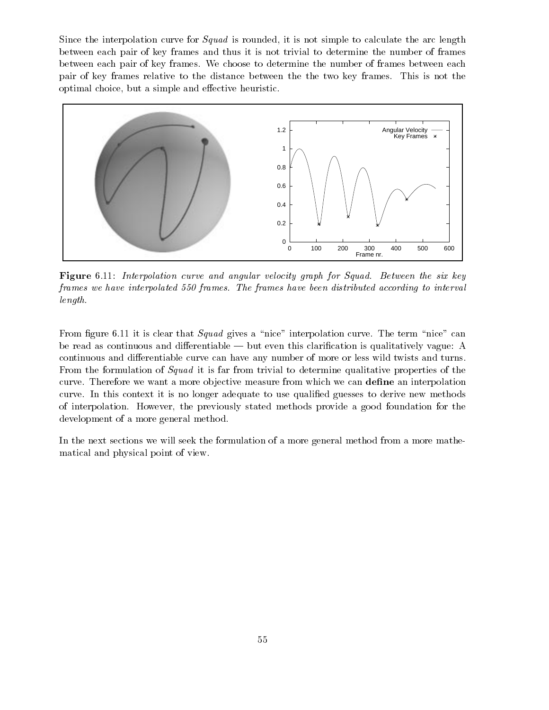Since the interpolation curve for *Squad* is rounded, it is not simple to calculate the arc length between each pair of key frames and thus it is not trivial to determine the number of frames between each pair of key frames. We choose to determine the number of frames between each pair of key frames relative to the distance between the the two key frames. This is not the optimal choice, but a simple and effective heuristic.



Figure 6.11: Interpolation curve and angular velocity graph for Squad. Between the six key frames we have interpolated 550 frames. The frames have been distributed according to interval length.

From figure 6.11 it is clear that  $Squad$  gives a "nice" interpolation curve. The term "nice" can be read as continuous and differentiable — but even this clarification is qualitatively vague: A continuous and differentiable curve can have any number of more or less wild twists and turns. From the formulation of *Squad* it is far from trivial to determine qualitative properties of the curve. Therefore we want a more objective measure from which we can define an interpolation curve. In this context it is no longer adequate to use qualified guesses to derive new methods of interpolation. However, the previously stated methods provide a good foundation for the development of a more general method.

In the next sections we will seek the formulation of a more general method from a more mathematical and physical point of view.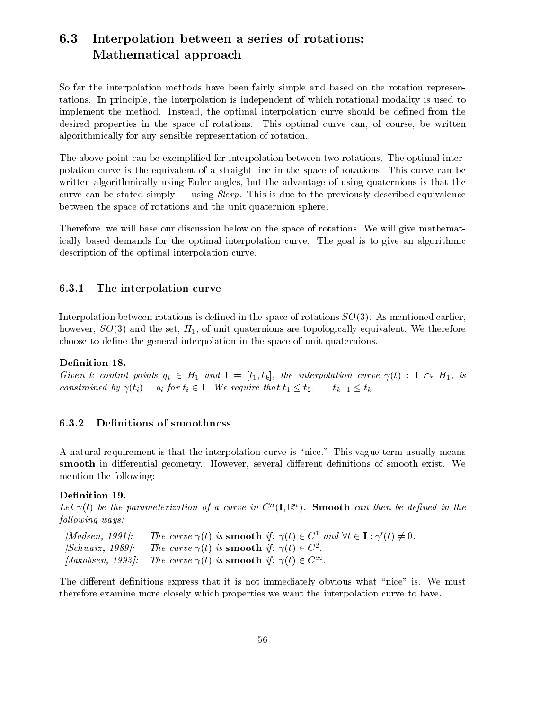## 6.3 Interpolation between a series of rotations: Mathematical approach

So far the interpolation methods have been fairly simple and based on the rotation representations. In principle, the interpolation is independent of which rotational modality is used to implement the method. Instead, the optimal interpolation curve should be defined from the desired properties in the space of rotations. This optimal curve can, of course, be written algorithmically for any sensible representation of rotation.

The above point can be exemplified for interpolation between two rotations. The optimal interpolation curve is the equivalent of a straight line in the space of rotations. This curve can be written algorithmically using Euler angles, but the advantage of using quaternions is that the curve can be stated simply  $-$  using *Slerp*. This is due to the previously described equivalence between the space of rotations and the unit quaternion sphere.

Therefore, we will base our discussion below on the space of rotations. We will give mathematically based demands for the optimal interpolation curve. The goal is to give an algorithmic description of the optimal interpolation curve.

### 6.3.1 The interpolation curve

Interpolation between rotations is defined in the space of rotations  $SO(3)$ . As mentioned earlier, however,  $SO(3)$  and the set,  $H_1$ , of unit quaternions are topologically equivalent. We therefore choose to define the general interpolation in the space of unit quaternions.

### Definition 18.

Given  $\kappa$  control points  $q_i \in H_1$  and  $\mathbf{I} = [t_1, t_k]$ , the interpolation curve  $\gamma(t)$  :  $\mathbf{I} \curvearrowright H_1$ , is constrained by  $\gamma(t_i) = q_i$  for  $t_i \in I$ . We require that  $t_1 \leq t_2,\ldots,t_{k-1} \leq t_k$ .

### 6.3.2 Denitions of smoothness

A natural requirement is that the interpolation curve is "nice." This vague term usually means smooth in differential geometry. However, several different definitions of smooth exist. We mention the following:

### Definition 19.

Let  $\gamma(t)$  be the parameterization of a curve in  $C^*(\mathbf{I}, \mathbb{K}^n)$ . Smooth can then be aefined in the following ways:

[Madsen, 1991]: The curve  $\gamma(t)$  is smooth if:  $\gamma(t) \in C^1$  and  $\forall t \in I : \gamma'(t) \neq 0$ . [Schwarz, 1989]: The curve  $\gamma(t)$  is smooth if:  $\gamma(t) \in C^2$ . [Jakobsen, 1993]: The curve  $\gamma(t)$  is smooth if:  $\gamma(t) \in C^{\infty}$ .

The different definitions express that it is not immediately obvious what "nice" is. We must therefore examine more closely which properties we want the interpolation curve to have.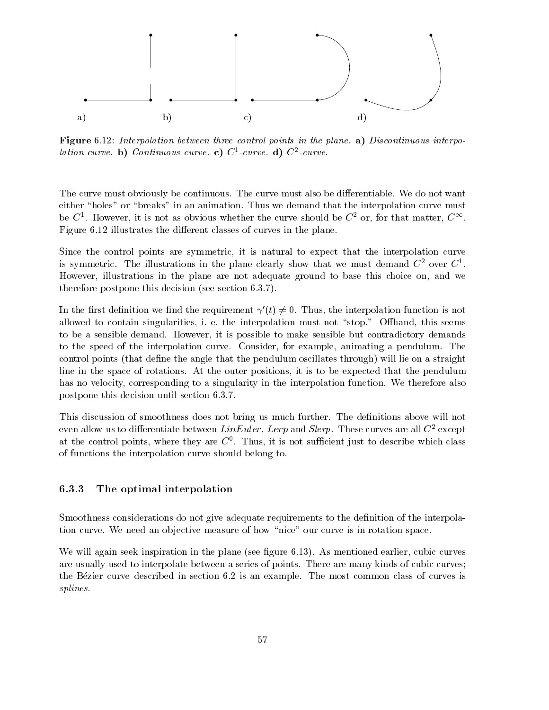

Figure 6.12: Interpolation between three control points in the plane. a) Discontinuous interpo $l$ ation curve. **b**) Continuous curve. **c**) C<sup>-</sup>-curve. **d**) C<sup>-</sup>-curve.

The curve must obviously be continuous. The curve must also be differentiable. We do not want either "holes" or "breaks" in an animation. Thus we demand that the interpolation curve must be C  $\,$ . However, it is not as obvious whether the curve should be C  $\,$  or, for that matter, C  $\,$  . Figure 6.12 illustrates the different classes of curves in the plane.

Since the control points are symmetric, it is natural to expect that the interpolation curve is symmetric. The illustrations in the plane clearly show that we must demand  $C^2$  over  $C^1$ . However, illustrations in the plane are not adequate ground to base this choice on, and we therefore postpone this decision (see section 6.3.7).

In the first definition we find the requirement  $\gamma'(t) \neq 0$ . Thus, the interpolation function is not allowed to contain singularities, i. e. the interpolation must not "stop." Offhand, this seems to be a sensible demand. However, it is possible to make sensible but contradictory demands to the speed of the interpolation curve. Consider, for example, animating a pendulum. The control points (that define the angle that the pendulum oscillates through) will lie on a straight line in the space of rotations. At the outer positions, it is to be expected that the pendulum has no velocity, corresponding to a singularity in the interpolation function. We therefore also postpone this decision until section 6.3.7.

This discussion of smoothness does not bring us much further. The definitions above will not even allow us to differentiate between  $LinEuler$ , Lerp and Slerp. These curves are all  $C^2$  except at the control points, where they are  $C^*$ . Thus, it is not sumclent just to describe which class of functions the interpolation curve should belong to.

#### 6.3.3 The optimal interpolation

Smoothness considerations do not give adequate requirements to the definition of the interpolation curve. We need an objective measure of how "nice" our curve is in rotation space.

We will again seek inspiration in the plane (see figure 6.13). As mentioned earlier, cubic curves are usually used to interpolate between a series of points. There are many kinds of cubic curves; the Bezier curve described in section 6.2 is an example. The most common class of curves is splines.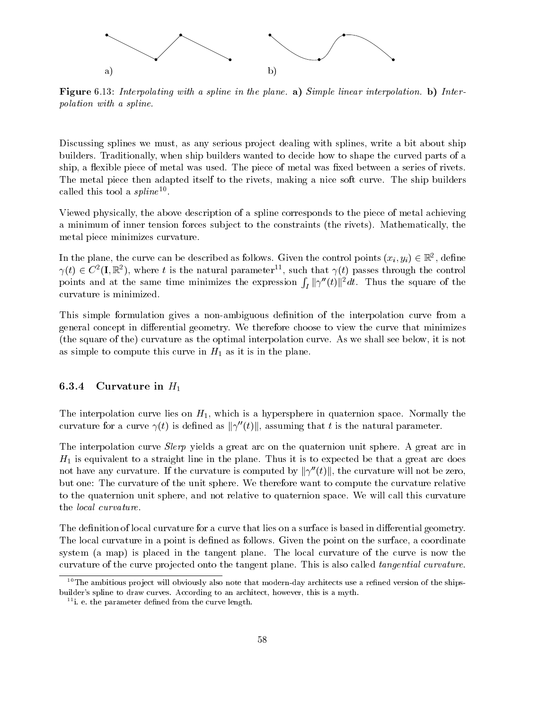

Figure 6.13: Interpolating with a spline in the plane. a) Simple linear interpolation. b) Interpolation with a spline.

Discussing splines we must, as any serious project dealing with splines, write a bit about ship builders. Traditionally, when ship builders wanted to decide how to shape the curved parts of a ship, a flexible piece of metal was used. The piece of metal was fixed between a series of rivets. The metal piece then adapted itself to the rivets, making a nice soft curve. The ship builders called this tool a  $spline^{10}$ .

Viewed physically, the above description of a spline corresponds to the piece of metal achieving a minimum of inner tension forces sub ject to the constraints (the rivets). Mathematically, the metal piece minimizes curvature.

In the plane, the curve can be described as follows. Given the control points  $(x_i, y_i) \in \mathbb{R}^+$ , define  $\gamma(t) \in C$  (I, K ), where t is the natural parameter  $\gamma$ , such that  $\gamma(t)$  passes through the control points and at the same time minimizes the expression  $\int_I ||\gamma''(t)||^2 dt$ . Thus the square of the curvature is minimized.

This simple formulation gives a non-ambiguous definition of the interpolation curve from a general concept in differential geometry. We therefore choose to view the curve that minimizes (the square of the) curvature as the optimal interpolation curve. As we shall see below, it is not as simple to compute this curve in  $H_1$  as it is in the plane.

#### 6.3.4 Curvature in  $H_1$

The interpolation curve lies on  $H_1$ , which is a hypersphere in quaternion space. Normally the curvature for a curve  $\gamma(t)$  is defined as  $\|\gamma''(t)\|$ , assuming that t is the natural parameter.

The interpolation curve *Slerp* yields a great arc on the quaternion unit sphere. A great arc in  $H_1$  is equivalent to a straight line in the plane. Thus it is to expected be that a great arc does not have any curvature. If the curvature is computed by  $\|\gamma''(t)\|$ , the curvature will not be zero, but one: The curvature of the unit sphere. We therefore want to compute the curvature relative to the quaternion unit sphere, and not relative to quaternion space. We will call this curvature the local curvature.

The definition of local curvature for a curve that lies on a surface is based in differential geometry. The local curvature in a point is defined as follows. Given the point on the surface, a coordinate system (a map) is placed in the tangent plane. The local curvature of the curve is now the curvature of the curve projected onto the tangent plane. This is also called *tangential curvature*.

 $10$ The ambitious project will obviously also note that modern-day architects use a refined version of the shipsbuilder's spline to draw curves. According to an architect, however, this is a myth.

 $11$ i. e. the parameter defined from the curve length.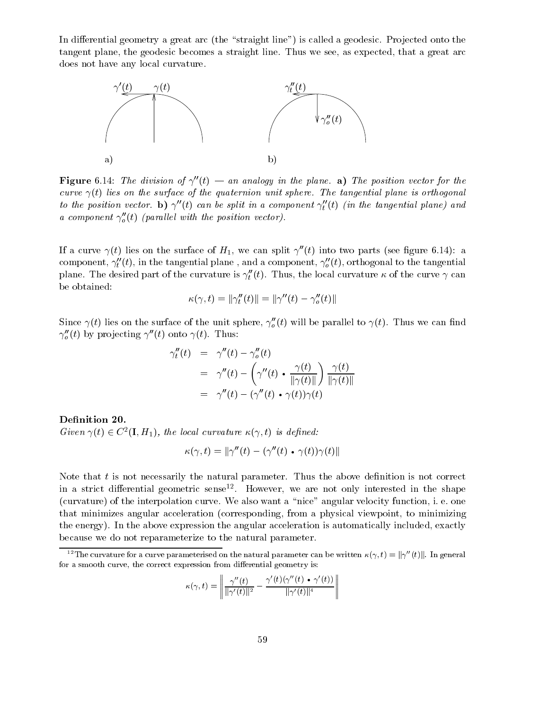In differential geometry a great arc (the "straight line") is called a geodesic. Projected onto the tangent plane, the geodesic becomes a straight line. Thus we see, as expected, that a great arc does not have any local curvature.



**Figure** 6.14: The division of  $\gamma''(t)$  — an analogy in the plane. a) The position vector for the curve  $\gamma(t)$  lies on the surface of the quaternion unit sphere. The tangential plane is orthogonal to the position vector. **b**)  $\gamma$  (t) can be split in a component  $\gamma_t$  (t) (in the tangential plane) and a component  $\gamma_o(t)$  (parallel with the position vector).

If a curve  $\gamma(t)$  lies on the surface of  $H_1$ , we can split  $\gamma''(t)$  into two parts (see figure 6.14): a component,  $\gamma_t$  (t), in the tangential plane , and a component,  $\gamma_o$  (t), orthogonal to the tangential plane. The desired part of the curvature is  $\gamma_t$  (t). Thus, the local curvature  $\kappa$  of the curve  $\gamma$  can be obtained:

$$
\kappa(\gamma, t) = ||\gamma_t''(t)|| = ||\gamma''(t) - \gamma_o''(t)||
$$

Since  $\gamma(t)$  hes on the surface of the unit sphere,  $\gamma_o(t)$  will be parallel to  $\gamma(t)$ . Thus we can find  $\gamma_o(t)$  by projecting  $\gamma$  (*t*) onto  $\gamma(t)$ . Thus:

$$
\gamma_t''(t) = \gamma''(t) - \gamma_o''(t)
$$
  
= 
$$
\gamma''(t) - \left(\gamma''(t) \cdot \frac{\gamma(t)}{\|\gamma(t)\|}\right) \frac{\gamma(t)}{\|\gamma(t)\|}
$$
  
= 
$$
\gamma''(t) - (\gamma''(t) \cdot \gamma(t))\gamma(t)
$$

Definition 20. Given  $\gamma(t) \in C^{-}(1, H_1)$ , the local curvature  $\kappa(\gamma, t)$  is defined:

$$
\kappa(\gamma,t)=\|\gamma''(t)-(\gamma''(t)\mathrel{\scriptstyle\bullet} \gamma(t))\gamma(t)\|
$$

Note that  $t$  is not necessarily the natural parameter. Thus the above definition is not correct in a strict dierential geometric sense12 . However, we are not only interested in the shape (curvature) of the interpolation curve. We also want a \nice" angular velocity function, i. e. one that minimizes angular acceleration (corresponding, from a physical viewpoint, to minimizing the energy). In the above expression the angular acceleration is automatically included, exactly because we do not reparameterize to the natural parameter.

$$
\kappa(\gamma,t)=\left\|\frac{\gamma''(t)}{\|\gamma'(t)\|^2}-\frac{\gamma'(t)(\gamma''(t)\bullet\gamma'(t))}{\|\gamma'(t)\|^4}\right\|
$$

The curvature for a curve parameterised on the natural parameter can be written  $\kappa(\gamma,t)=\|\gamma\|(t)\|$ . In general for a smooth curve, the correct expression from differential geometry is: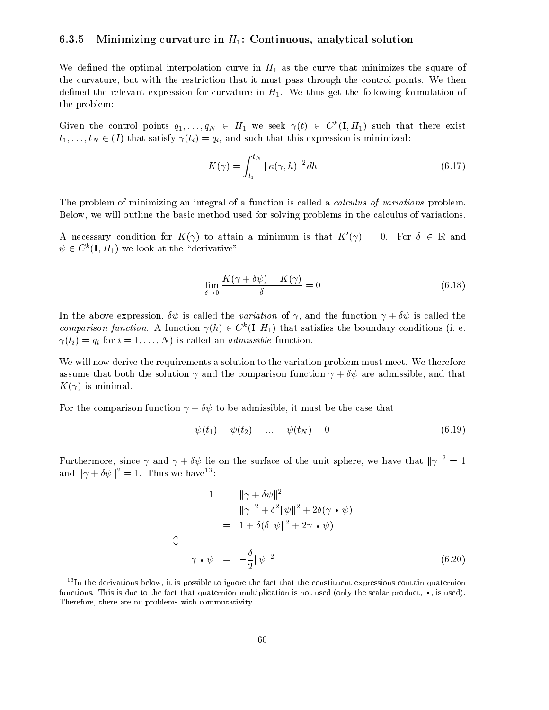### 6.3.5 Minimizing curvature in  $H_1$ : Continuous, analytical solution

We defined the optimal interpolation curve in  $H_1$  as the curve that minimizes the square of the curvature, but with the restriction that it must pass through the control points. We then defined the relevant expression for curvature in  $H_1$ . We thus get the following formulation of the problem:

Given the control points  $q_1,\ldots,q_N \in H_1$  we seek  $\gamma(t) \in C^*(1,H_1)$  such that there exist  $t_1,\ldots,t_N \in (I)$  that satisfy  $\gamma(t_i) = q_i$ , and such that this expression is minimized:

$$
K(\gamma) = \int_{t_1}^{t_N} ||\kappa(\gamma, h)||^2 dh \qquad (6.17)
$$

The problem of minimizing an integral of a function is called a *calculus of variations* problem. Below, we will outline the basic method used for solving problems in the calculus of variations.

A necessary condition for  $K(\gamma)$  to attain a minimum is that  $K'(\gamma) = 0$ . For  $\delta \in \mathbb{R}$  and  $\psi \in C^{\infty}(\mathbf{I}, H_1)$  we look at the "derivative":

$$
\lim_{\delta \to 0} \frac{K(\gamma + \delta \psi) - K(\gamma)}{\delta} = 0 \tag{6.18}
$$

In the above expression,  $\delta\psi$  is called the variation of  $\gamma$ , and the function  $\gamma + \delta\psi$  is called the *comparison function.* A function  $\gamma(n) \in C^{\infty}(\mathbf{I}, H_1)$  that satisfies the boundary conditions (i. e. (ti)  $q_0$  for interpretation. In the called an administration function  $q_0$ 

We will now derive the requirements a solution to the variation problem must meet. We therefore assume that both the solution  $\gamma$  and the comparison function  $\gamma + \delta \psi$  are admissible, and that  $K(\gamma)$  is minimal.

For the comparison function  $\gamma + \delta \psi$  to be admissible, it must be the case that

$$
\psi(t_1) = \psi(t_2) = \dots = \psi(t_N) = 0 \tag{6.19}
$$

Furthermore, since  $\gamma$  and  $\gamma + \delta \psi$  lie on the surface of the unit sphere, we have that  $\|\gamma\|^2 = 1$ and  $\|\gamma + \theta \psi\|_1 = 1$ . Thus we have  $\gamma$ :

$$
1 = \|\gamma + \delta\psi\|^2
$$
  
\n
$$
= \|\gamma\|^2 + \delta^2 \|\psi\|^2 + 2\delta(\gamma \cdot \psi)
$$
  
\n
$$
= 1 + \delta(\delta \|\psi\|^2 + 2\gamma \cdot \psi)
$$
  
\n
$$
\gamma \cdot \psi = -\frac{\delta}{2} \|\psi\|^2
$$
\n(6.20)

 $13$ In the derivations below, it is possible to ignore the fact that the constituent expressions contain quaternion functions. This is due to that  $\mathbf{r}$  is not used (only the scalar product). The scalar product,  $\mathbf{r}$ Therefore, there are no problems with commutativity.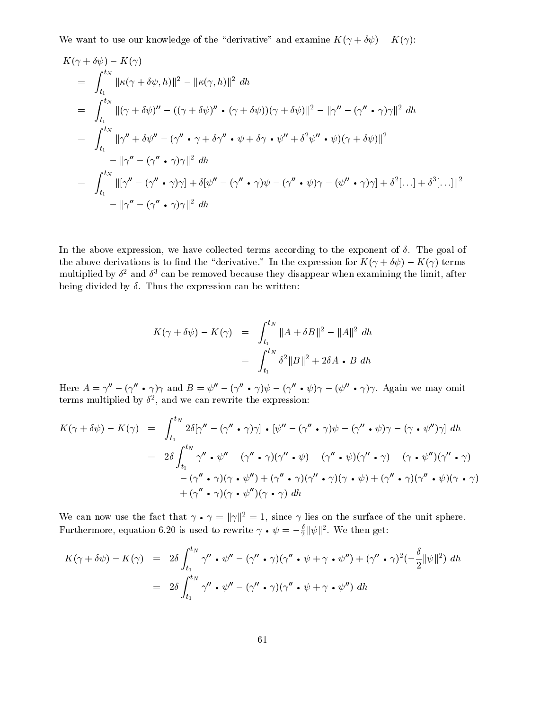We want to use our knowledge of the "derivative" and examine  $K(\gamma + \delta \psi) - K(\gamma)$ :

$$
K(\gamma + \delta\psi) - K(\gamma)
$$
  
\n
$$
= \int_{t_1}^{t_N} ||\kappa(\gamma + \delta\psi, h)||^2 - ||\kappa(\gamma, h)||^2 dh
$$
  
\n
$$
= \int_{t_1}^{t_N} ||(\gamma + \delta\psi)'' - ((\gamma + \delta\psi)'' \cdot (\gamma + \delta\psi))(\gamma + \delta\psi)||^2 - ||\gamma'' - (\gamma'' \cdot \gamma)\gamma||^2 dh
$$
  
\n
$$
= \int_{t_1}^{t_N} ||\gamma'' + \delta\psi'' - (\gamma'' \cdot \gamma + \delta\gamma'' \cdot \psi + \delta\gamma \cdot \psi'' + \delta^2\psi'' \cdot \psi)(\gamma + \delta\psi)||^2
$$
  
\n
$$
- ||\gamma'' - (\gamma'' \cdot \gamma)\gamma||^2 dh
$$
  
\n
$$
= \int_{t_1}^{t_N} ||[\gamma'' - (\gamma'' \cdot \gamma)\gamma] + \delta[\psi'' - (\gamma'' \cdot \gamma)\psi - (\gamma'' \cdot \psi)\gamma - (\psi'' \cdot \gamma)\gamma] + \delta^2[...] + \delta^3[...]||^2
$$
  
\n
$$
- ||\gamma'' - (\gamma'' \cdot \gamma)\gamma||^2 dh
$$

In the above expression, we have collected terms according to the exponent of  $\delta$ . The goal of the above derivations is to find the "derivative." In the expression for  $K(\gamma + \delta \psi) - K(\gamma)$  terms  $\min$  multiplied by  $v$  and  $v$  can be removed because they disappear when examining the limit, after being divided by  $\delta$ . Thus the expression can be written:

$$
K(\gamma + \delta \psi) - K(\gamma) = \int_{t_1}^{t_N} ||A + \delta B||^2 - ||A||^2 dh
$$
  
= 
$$
\int_{t_1}^{t_N} \delta^2 ||B||^2 + 2\delta A \cdot B dh
$$

Here  $A = \gamma - (\gamma \cdot \gamma)\gamma$  and  $B = \psi - (\gamma \cdot \gamma)\psi - (\gamma \cdot \psi)\gamma - (\psi \cdot \gamma)\gamma$ . Again we may omit terms multiplied by <sup>2</sup> , and we can rewrite the expression:

$$
K(\gamma + \delta\psi) - K(\gamma) = \int_{t_1}^{t_N} 2\delta[\gamma'' - (\gamma'' \cdot \gamma)\gamma] \cdot [\psi'' - (\gamma'' \cdot \gamma)\psi - (\gamma'' \cdot \psi)\gamma - (\gamma \cdot \psi'')\gamma] dh
$$
  
\n
$$
= 2\delta \int_{t_1}^{t_N} \gamma'' \cdot \psi'' - (\gamma'' \cdot \gamma)(\gamma'' \cdot \psi) - (\gamma'' \cdot \psi)(\gamma'' \cdot \gamma) - (\gamma \cdot \psi'')(\gamma'' \cdot \gamma)
$$
  
\n
$$
- (\gamma'' \cdot \gamma)(\gamma \cdot \psi'') + (\gamma'' \cdot \gamma)(\gamma'' \cdot \gamma)(\gamma \cdot \psi) + (\gamma'' \cdot \gamma)(\gamma'' \cdot \psi)(\gamma \cdot \gamma)
$$
  
\n
$$
+ (\gamma'' \cdot \gamma)(\gamma \cdot \psi'')(\gamma \cdot \gamma) dh
$$

We can now use the fact that  $\gamma \cdot \gamma = ||\gamma||^2 = 1$ , since  $\gamma$  nes on the surface of the unit sphere. Furthermore, equation 6.20 is used to rewrite  $\gamma \bullet \psi = -\frac{1}{2} \|\psi\|$ . We then get:

$$
K(\gamma + \delta\psi) - K(\gamma) = 2\delta \int_{t_1}^{t_N} \gamma'' \cdot \psi'' - (\gamma'' \cdot \gamma)(\gamma'' \cdot \psi + \gamma \cdot \psi'') + (\gamma'' \cdot \gamma)^2 (-\frac{\delta}{2} \|\psi\|^2) dh
$$
  
=  $2\delta \int_{t_1}^{t_N} \gamma'' \cdot \psi'' - (\gamma'' \cdot \gamma)(\gamma'' \cdot \psi + \gamma \cdot \psi'') dh$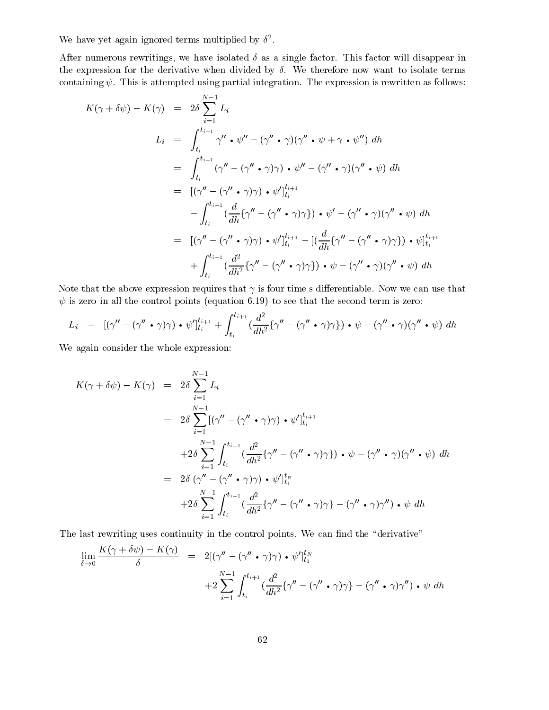we have yet again ignored terms multiplied by  $\theta$ .

After numerous rewritings, we have isolated  $\delta$  as a single factor. This factor will disappear in the expression for the derivative when divided by  $\delta$ . We therefore now want to isolate terms containing  $\psi$ . This is attempted using partial integration. The expression is rewritten as follows:

$$
K(\gamma + \delta \psi) - K(\gamma) = 2\delta \sum_{i=1}^{N-1} L_i
$$
  
\n
$$
L_i = \int_{t_i}^{t_{i+1}} \gamma'' \cdot \psi'' - (\gamma'' \cdot \gamma)(\gamma'' \cdot \psi + \gamma \cdot \psi'') dh
$$
  
\n
$$
= \int_{t_i}^{t_{i+1}} (\gamma'' - (\gamma'' \cdot \gamma)\gamma) \cdot \psi'' - (\gamma'' \cdot \gamma)(\gamma'' \cdot \psi) dh
$$
  
\n
$$
= [(\gamma'' - (\gamma'' \cdot \gamma)\gamma) \cdot \psi']_{t_i}^{t_{i+1}}
$$
  
\n
$$
- \int_{t_i}^{t_{i+1}} (\frac{d}{dh} \{\gamma'' - (\gamma'' \cdot \gamma)\gamma\}) \cdot \psi' - (\gamma'' \cdot \gamma)(\gamma'' \cdot \psi) dh
$$
  
\n
$$
= [(\gamma'' - (\gamma'' \cdot \gamma)\gamma) \cdot \psi']_{t_i}^{t_{i+1}} - [(\frac{d}{dh} \{\gamma'' - (\gamma'' \cdot \gamma)\gamma\}) \cdot \psi]_{t_i}^{t_{i+1}}
$$
  
\n
$$
+ \int_{t_i}^{t_{i+1}} (\frac{d^2}{dh^2} \{\gamma'' - (\gamma'' \cdot \gamma)\gamma\}) \cdot \psi - (\gamma'' \cdot \gamma)(\gamma'' \cdot \psi) dh
$$

Note that the above expression requires that  $\gamma$  is four time s differentiable. Now we can use that  $\psi$  is zero in all the control points (equation 6.19) to see that the second term is zero:

$$
L_i = [(\gamma'' - (\gamma'' \cdot \gamma)\gamma) \cdot \psi']_{t_i}^{t_{i+1}} + \int_{t_i}^{t_{i+1}} (\frac{d^2}{dh^2} {\gamma'' - (\gamma'' \cdot \gamma)\gamma}) \cdot \psi - (\gamma'' \cdot \gamma)(\gamma'' \cdot \psi) dh
$$

We again consider the whole expression:

$$
K(\gamma + \delta \psi) - K(\gamma) = 2\delta \sum_{i=1}^{N-1} L_i
$$
  
=  $2\delta \sum_{i=1}^{N-1} [(\gamma'' - (\gamma'' \cdot \gamma)\gamma) \cdot \psi']_{t_i}^{t_{i+1}}$   
+  $2\delta \sum_{i=1}^{N-1} \int_{t_i}^{t_{i+1}} (\frac{d^2}{dh^2} {\gamma'' - (\gamma'' \cdot \gamma)\gamma}) \cdot \psi - (\gamma'' \cdot \gamma)(\gamma'' \cdot \psi) dh$   
=  $2\delta [(\gamma'' - (\gamma'' \cdot \gamma)\gamma) \cdot \psi']_{t_1}^{t_n}$   
+  $2\delta \sum_{i=1}^{N-1} \int_{t_i}^{t_{i+1}} (\frac{d^2}{dh^2} {\gamma'' - (\gamma'' \cdot \gamma)\gamma} - (\gamma'' \cdot \gamma)\gamma'') \cdot \psi dh$ 

The last rewriting uses continuity in the control points. We can find the "derivative"

$$
\lim_{\delta \to 0} \frac{K(\gamma + \delta \psi) - K(\gamma)}{\delta} = 2[(\gamma'' - (\gamma'' \cdot \gamma)\gamma) \cdot \psi']_{t_1}^{t_N}
$$
  
+2
$$
\sum_{i=1}^{N-1} \int_{t_i}^{t_{i+1}} \left(\frac{d^2}{dh^2} \{\gamma'' - (\gamma'' \cdot \gamma)\gamma\} - (\gamma'' \cdot \gamma)\gamma''\right) \cdot \psi \ dh
$$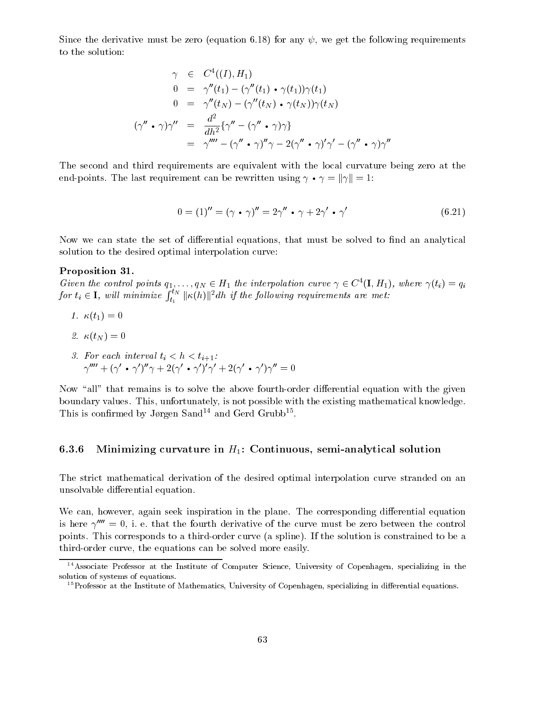Since the derivative must be zero (equation 6.18) for any  $\psi$ , we get the following requirements to the solution:

$$
\gamma \in C^{4}((I), H_{1})
$$
\n
$$
0 = \gamma''(t_{1}) - (\gamma''(t_{1}) \cdot \gamma(t_{1}))\gamma(t_{1})
$$
\n
$$
0 = \gamma''(t_{N}) - (\gamma''(t_{N}) \cdot \gamma(t_{N}))\gamma(t_{N})
$$
\n
$$
(\gamma'' \cdot \gamma)\gamma'' = \frac{d^{2}}{dh^{2}}\{\gamma'' - (\gamma'' \cdot \gamma)\gamma\}
$$
\n
$$
= \gamma''' - (\gamma'' \cdot \gamma)''\gamma - 2(\gamma'' \cdot \gamma)'\gamma' - (\gamma'' \cdot \gamma)\gamma''
$$

The second and third requirements are equivalent with the local curvature being zero at the end-points. The last requirement can be rewritten using  $\gamma \bullet \gamma = ||\gamma|| = 1$ :

$$
0 = (1)'' = (\gamma \cdot \gamma)'' = 2\gamma'' \cdot \gamma + 2\gamma' \cdot \gamma'
$$
 (6.21)

Now we can state the set of differential equations, that must be solved to find an analytical solution to the desired optimal interpolation curve:

#### Proposition 31.

Given the control points  $q_1,\ldots,q_N \in H_1$  the interpolation curve  $\gamma \in C^{\{1,\,H_1\}}$ , where  $\gamma(t_i) \equiv q_i$ for  $t_i \in \mathbf{I}$ , will minimize  $\int_{t_1}^{t_N} \|\kappa(h)\|^2 dh$  if the following requirements are met:

- 1.  $\kappa(t_1)=0$
- $\overline{1}$  ,  $\overline{1}$  ,  $\overline{1}$  ,  $\overline{1}$  ,  $\overline{1}$  ,  $\overline{1}$  ,  $\overline{1}$  ,  $\overline{1}$  ,  $\overline{1}$  ,  $\overline{1}$  ,  $\overline{1}$  ,  $\overline{1}$  ,  $\overline{1}$  ,  $\overline{1}$  ,  $\overline{1}$  ,  $\overline{1}$  ,  $\overline{1}$  ,  $\overline{1}$  ,  $\overline{1}$  ,  $\overline{1}$  ,
- $\mathbf{1}$ . For each interval time  $\mathbf{1}$  , the form interval time  $\mathbf{1}$  , the form interval time  $\mathbf{1}$  $\gamma$  + ( $\gamma$  •  $\gamma$  )  $\gamma$  +  $z$ ( $\gamma$  •  $\gamma$  )  $\gamma$  +  $z$ ( $\gamma$  •  $\gamma$  )  $\gamma$  =  $0$

Now "all" that remains is to solve the above fourth-order differential equation with the given boundary values. This, unfortunately, is not possible with the existing mathematical knowledge. I mis is confirmed by Jørgen Sand<sup>-1</sup> and Gerd Grubb<sup>-1</sup>.

#### 6.3.6 Minimizing curvature in  $H_1$ : Continuous, semi-analytical solution

The strict mathematical derivation of the desired optimal interpolation curve stranded on an unsolvable differential equation.

We can, however, again seek inspiration in the plane. The corresponding differential equation is here  $\gamma^{\prime\prime\prime\prime} = 0$ , i. e. that the fourth derivative of the curve must be zero between the control points. This corresponds to a third-order curve (a spline). If the solution is constrained to be a third-order curve, the equations can be solved more easily.

<sup>&</sup>lt;sup>14</sup>Associate Professor at the Institute of Computer Science, University of Copenhagen, specializing in the solution of systems of equations.

<sup>&</sup>lt;sup>15</sup>Professor at the Institute of Mathematics, University of Copenhagen, specializing in differential equations.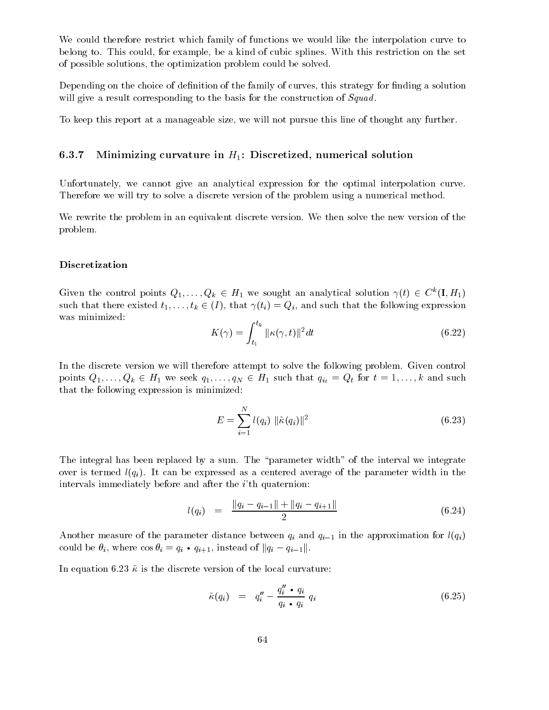We could therefore restrict which family of functions we would like the interpolation curve to belong to. This could, for example, be a kind of cubic splines. With this restriction on the set of possible solutions, the optimization problem could be solved.

Depending on the choice of definition of the family of curves, this strategy for finding a solution will give a result corresponding to the basis for the construction of *Squad*.

To keep this report at a manageable size, we will not pursue this line of thought any further.

#### 6.3.7 Minimizing curvature in  $H_1$ : Discretized, numerical solution

Unfortunately, we cannot give an analytical expression for the optimal interpolation curve. Therefore we will try to solve a discrete version of the problem using a numerical method.

We rewrite the problem in an equivalent discrete version. We then solve the new version of the problem.

#### Discretization

Given the control points  $Q_1,\ldots,Q_k \in H_1$  we sought an analytical solution  $\gamma(t) \in C^{\infty}(I,H_1)$ such that there existed  $t_1,\ldots,t_k \in (I)$ , that  $\gamma(t_i) = Q_i$ , and such that the following expression was minimized:

$$
K(\gamma) = \int_{t_1}^{t_k} ||\kappa(\gamma, t)||^2 dt \qquad (6.22)
$$

In the discrete version we will therefore attempt to solve the following problem. Given control points  $Q_1,\ldots,Q_k \in H_1$  we seek  $q_1,\ldots,q_N \in H_1$  such that  $q_{i_t} = Q_t$  for  $t = 1,\ldots,k$  and such that the following expression is minimized:

$$
E = \sum_{i=1}^{N} l(q_i) \|\tilde{\kappa}(q_i)\|^2
$$
\n(6.23)

The integral has been replaced by a sum. The "parameter width" of the interval we integrate over is termed  $l(q_i)$ . It can be expressed as a centered average of the parameter width in the intervals immediately before and after the *i*'th quaternion:

$$
l(q_i) = \frac{\|q_i - q_{i-1}\| + \|q_i - q_{i+1}\|}{2} \tag{6.24}
$$

Another measure of the parameter distance between  $p$  in the approximation for l(qi) in the approximation for l(qi)) could be  $\theta_i$ , where  $\cos \theta_i = q_i \cdot q_{i+1}$ , instead of  $||q_i - q_{i-1}||$ .

In equation 6.23  $\tilde{\kappa}$  is the discrete version of the local curvature:

$$
\tilde{\kappa}(q_i) = q_i'' - \frac{q_i'' \cdot q_i}{q_i \cdot q_i} q_i \qquad (6.25)
$$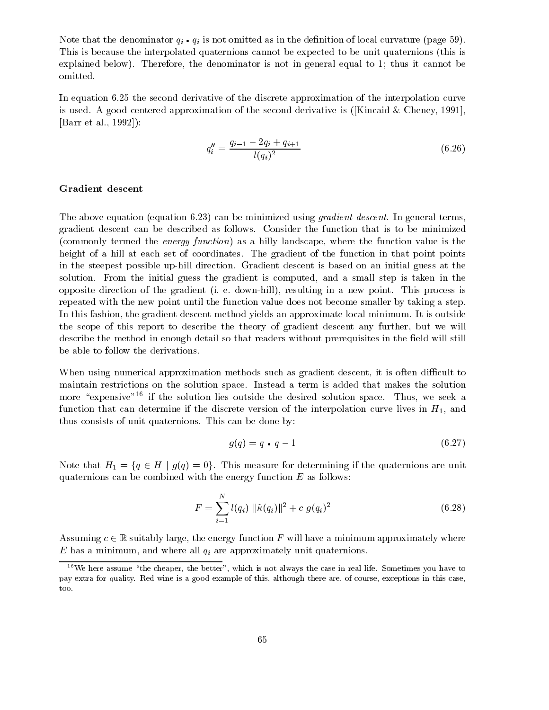Note that the denominator  $q_i$  ,  $q_i$  is not omitted as in the demicrical contract curvature (page 59). This is because the interpolated quaternions cannot be expected to be unit quaternions (this is explained below). Therefore, the denominator is not in general equal to 1; thus it cannot be omitted.

In equation 6.25 the second derivative of the discrete approximation of the interpolation curve is used. A good centered approximation of the second derivative is ([Kincaid & Cheney, 1991], [Barr et al., 1992]):

$$
q_i'' = \frac{q_{i-1} - 2q_i + q_{i+1}}{l(q_i)^2} \tag{6.26}
$$

#### Gradient descent

The above equation (equation 6.23) can be minimized using *gradient descent*. In general terms, gradient descent can be described as follows. Consider the function that is to be minimized (commonly termed the energy function) as a hilly landscape, where the function value is the height of a hill at each set of coordinates. The gradient of the function in that point points in the steepest possible up-hill direction. Gradient descent is based on an initial guess at the solution. From the initial guess the gradient is computed, and a small step is taken in the opposite direction of the gradient (i. e. down-hill), resulting in a new point. This process is repeated with the new point until the function value does not become smaller by taking a step. In this fashion, the gradient descent method yields an approximate local minimum. It is outside the scope of this report to describe the theory of gradient descent any further, but we will describe the method in enough detail so that readers without prerequisites in the field will still be able to follow the derivations.

When using numerical approximation methods such as gradient descent, it is often difficult to maintain restrictions on the solution space. Instead a term is added that makes the solution more "expensive"<sup>16</sup> if the solution lies outside the desired solution space. Thus, we seek a function that can determine if the discrete version of the interpolation curve lives in  $H_1$ , and thus consists of unit quaternions. This can be done by:

$$
g(q) = q \cdot q - 1 \tag{6.27}
$$

Note that  $H_1 = \{q \in H \mid g(q)=0\}$ . This measure for determining if the quaternions are unit quaternions can be combined with the energy function  $E$  as follows:

$$
F = \sum_{i=1}^{N} l(q_i) \|\tilde{\kappa}(q_i)\|^2 + c \ g(q_i)^2 \tag{6.28}
$$

Assuming  $c \in \mathbb{R}$  suitably large, the energy function F will have a minimum approximately where  $\equiv$  minimum and minimum, and where all qi are all  $\alpha$  proximately unit quaternions.

 $16$ We here assume "the cheaper, the better", which is not always the case in real life. Sometimes you have to pay extra for quality. Red wine is a good example of this, although there are, of course, exceptions in this case, too.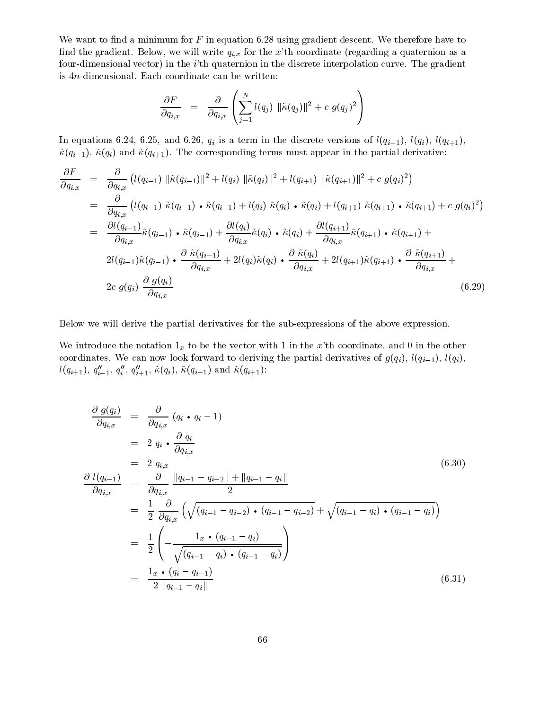We want to find a minimum for  $F$  in equation 6.28 using gradient descent. We therefore have to find the gradient. Below, we will write  $q_{i,x}$  for the x'th coordinate (regarding a quaternion as a four-dimensional vector) in the i'th quaternion in the discrete interpolation curve. The gradient is 4n-dimensional. Each coordinate can be written:

$$
\frac{\partial F}{\partial q_{i,x}} = \frac{\partial}{\partial q_{i,x}} \left( \sum_{j=1}^N l(q_j) \|\tilde{\kappa}(q_j)\|^2 + c \ g(q_j)^2 \right)
$$

In each equations 6.24, and 6.24, and 6.26, qi is a term in the contract versions of l(qi), l(qi), l(qi), l(qi  $~\tilde{\kappa}(q_{i-1}), ~\tilde{\kappa}(q_i)$  and  $~\tilde{\kappa}(q_{i+1}).$  The corresponding terms must appear in the partial derivative:

$$
\frac{\partial F}{\partial q_{i,x}} = \frac{\partial}{\partial q_{i,x}} \left( l(q_{i-1}) \left\| \tilde{\kappa}(q_{i-1}) \right\|^2 + l(q_i) \left\| \tilde{\kappa}(q_i) \right\|^2 + l(q_{i+1}) \left\| \tilde{\kappa}(q_{i+1}) \right\|^2 + c \, g(q_i)^2 \right)
$$
\n
$$
= \frac{\partial}{\partial q_{i,x}} \left( l(q_{i-1}) \, \tilde{\kappa}(q_{i-1}) \cdot \tilde{\kappa}(q_{i-1}) + l(q_i) \, \tilde{\kappa}(q_i) \cdot \tilde{\kappa}(q_i) + l(q_{i+1}) \, \tilde{\kappa}(q_{i+1}) \cdot \tilde{\kappa}(q_{i+1}) + c \, g(q_i)^2 \right)
$$
\n
$$
= \frac{\partial l(q_{i-1})}{\partial q_{i,x}} \tilde{\kappa}(q_{i-1}) \cdot \tilde{\kappa}(q_{i-1}) + \frac{\partial l(q_i)}{\partial q_{i,x}} \tilde{\kappa}(q_i) \cdot \tilde{\kappa}(q_i) + \frac{\partial l(q_{i+1})}{\partial q_{i,x}} \tilde{\kappa}(q_{i+1}) \cdot \tilde{\kappa}(q_{i+1}) +
$$
\n
$$
2l(q_{i-1}) \tilde{\kappa}(q_{i-1}) \cdot \frac{\partial \tilde{\kappa}(q_{i-1})}{\partial q_{i,x}} + 2l(q_i) \tilde{\kappa}(q_i) \cdot \frac{\partial \tilde{\kappa}(q_i)}{\partial q_{i,x}} + 2l(q_{i+1}) \tilde{\kappa}(q_{i+1}) \cdot \frac{\partial \tilde{\kappa}(q_{i+1})}{\partial q_{i,x}} +
$$
\n
$$
2c \, g(q_i) \, \frac{\partial \, g(q_i)}{\partial q_{i,x}} \tag{6.29}
$$

Below we will derive the partial derivatives for the sub-expressions of the above expression.

We introduce the notation  $1_x$  to be the vector with 1 in the x'th coordinate, and 0 in the other coordinates. We can now look forward to deriving the partial derivatives of  $g(q_i)$ ,  $l(q_{i-1})$ ,  $l(q_i)$ ,  $\iota(q_{i+1}), q_{i-1}, q_i, q_{i+1}, \kappa(q_i), \kappa(q_{i-1})$  and  $\kappa(q_{i+1})$ :

$$
\frac{\partial g(q_i)}{\partial q_{i,x}} = \frac{\partial}{\partial q_{i,x}} (q_i \cdot q_i - 1)
$$
\n
$$
= 2 q_i \cdot \frac{\partial q_i}{\partial q_{i,x}}
$$
\n
$$
= 2 q_{i,x} \frac{\partial q_i}{\partial q_{i,x}}
$$
\n
$$
\frac{\partial l(q_{i-1})}{\partial q_{i,x}} = \frac{\partial}{\partial q_{i,x}} \frac{||q_{i-1} - q_{i-2}|| + ||q_{i-1} - q_i||}{2}
$$
\n
$$
= \frac{1}{2} \frac{\partial}{\partial q_{i,x}} \left( \sqrt{(q_{i-1} - q_{i-2}) \cdot (q_{i-1} - q_{i-2})} + \sqrt{(q_{i-1} - q_i) \cdot (q_{i-1} - q_i)} \right)
$$
\n
$$
= \frac{1}{2} \left( -\frac{1_x \cdot (q_{i-1} - q_i)}{\sqrt{(q_{i-1} - q_i) \cdot (q_{i-1} - q_i)}} \right)
$$
\n
$$
= \frac{1_x \cdot (q_i - q_{i-1})}{2 ||q_{i-1} - q_i||}
$$
\n(6.31)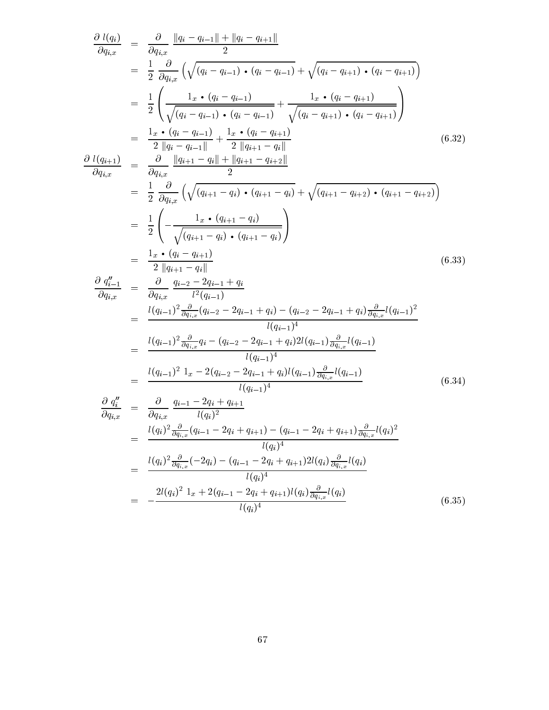$$
\frac{\partial l(q_i)}{\partial q_{i,x}} = \frac{\partial}{\partial q_{i,x}} \frac{\|q_i - q_{i-1}\| + \|q_i - q_{i+1}\|}{2}
$$
\n
$$
= \frac{1}{2} \frac{\partial}{\partial q_{i,x}} \left( \sqrt{(q_i - q_{i-1}) \cdot (q_i - q_{i-1})} + \sqrt{(q_i - q_{i+1}) \cdot (q_i - q_{i+1})} \right)
$$
\n
$$
= \frac{1}{2} \left( \frac{1_x \cdot (q_i - q_{i-1}) \cdot (q_i - q_{i-1})}{\sqrt{(q_i - q_{i-1}) \cdot (q_i - q_{i+1})} + \frac{1_x \cdot (q_i - q_{i+1})}{\sqrt{(q_i - q_{i+1}) \cdot (q_i - q_{i+1})}} \right)
$$
\n
$$
= \frac{1_x \cdot (q_i - q_{i-1})}{2} + \frac{1_x \cdot (q_i - q_{i+1})}{2} \right)
$$
\n
$$
\frac{\partial l(q_{i+1})}{\partial q_{i,x}} = \frac{\frac{\partial}{\partial q_{i,x}} \frac{\|q_{i+1} - q_i\| + \|q_{i+1} - q_{i+2}\|}{2}}{\frac{\partial q_{i,x}}{\sqrt{(q_{i+1} - q_i) \cdot (q_{i+1} - q_i)}} + \sqrt{(q_{i+1} - q_{i+2}) \cdot (q_{i+1} - q_{i+2})} \right)
$$
\n
$$
= \frac{1}{2} \left( \frac{1_x \cdot (q_{i-1} - q_i) \cdot (q_{i+1} - q_i)}{\sqrt{(q_{i+1} - q_i) \cdot (q_{i+1} - q_i)}} \right)
$$
\n
$$
= \frac{1_x \cdot (q_{i-1} - q_i) \cdot (q_{i+1} - q_i)}{\frac{\partial q_{i-1}}{\partial q_{i,x}} + \frac{\partial q_{i-2} - 2q_{i-1} + q_i}{2} \right)
$$
\n
$$
= \frac{1_x \cdot (q_{i-1} - 2q_i) \cdot (q_{i+1} - q_i)}{\frac{\partial q_{i-1}}{\partial q_{i,x}} - \frac{\partial q_{i-2} - 2q_{i-1} + q_i}{2} \right)
$$
\n
$$
= \frac{1_x \cdot (q_{i-1})^2}{2} \frac{q_{i-2
$$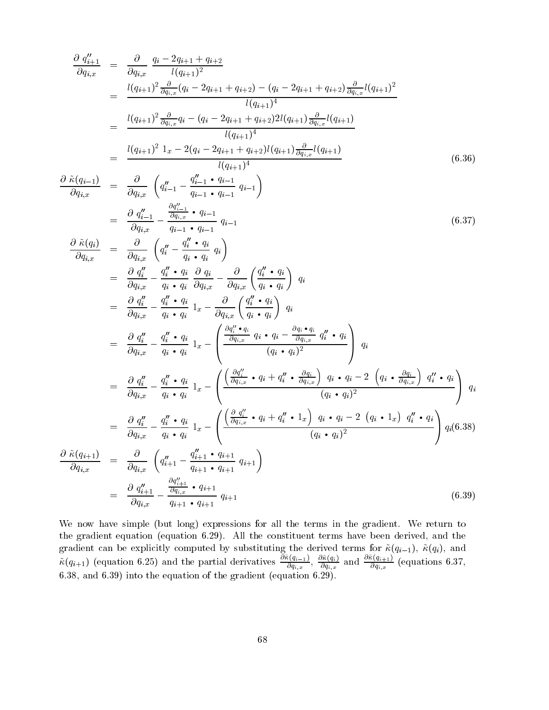$$
\frac{\partial q_{i+1}''}{\partial q_{i,x}} = \frac{\partial}{\partial q_{i,x}} \frac{q_i - 2q_{i+1} + q_{i+2}}{l(q_{i+1})^2}
$$
\n
$$
= \frac{l(q_{i+1})^2 \frac{\partial}{\partial q_{i,x}} (q_i - 2q_{i+1} + q_{i+2}) - (q_i - 2q_{i+1} + q_{i+2}) \frac{\partial}{\partial q_{i,x}} l(q_{i+1})^2}{l(q_{i+1})^4}
$$
\n
$$
= \frac{l(q_{i+1})^2 \frac{\partial}{\partial q_{i,x}} q_i - (q_i - 2q_{i+1} + q_{i+2}) 2l(q_{i+1}) \frac{\partial}{\partial q_{i,x}} l(q_{i+1})}{l(q_{i+1})^4}
$$
\n
$$
= \frac{l(q_{i+1})^2 1_x - 2(q_i - 2q_{i+1} + q_{i+2}) l(q_{i+1}) \frac{\partial}{\partial q_{i,x}} l(q_{i+1})}{l(q_{i+1})^4} \tag{6.36}
$$

$$
\frac{\partial\,\, \tilde{\kappa}(q_{i-})}{\partial q_{i,x}}
$$

$$
\frac{\partial \tilde{\kappa}(q_{i-1})}{\partial q_{i,x}} = \frac{\partial}{\partial q_{i,x}} \left( q''_{i-1} - \frac{q''_{i-1} \cdot q_{i-1}}{q_{i-1} \cdot q_{i-1}} q_{i-1} \right)
$$
\n
$$
= \frac{\partial q''_{i-1}}{\partial q_{i,x}} - \frac{\frac{\partial q''_{i-1}}{\partial q_{i,x}} \cdot q_{i-1}}{q_{i-1} \cdot q_{i-1}} q_{i-1}
$$
\n(6.37)

$$
\frac{\partial \tilde{\kappa}(q_{i})}{\partial q_{i,x}} = \frac{\partial}{\partial q_{i,x}} \left( q_{i}'' - \frac{q_{i}'' \cdot q_{i}}{q_{i} \cdot q_{i}} q_{i} \right)
$$
\n
$$
= \frac{\partial q_{i}''}{\partial q_{i,x}} - \frac{q_{i}'' \cdot q_{i}}{q_{i} \cdot q_{i}} \frac{\partial q_{i}}{\partial q_{i,x}} - \frac{\partial}{\partial q_{i,x}} \left( \frac{q_{i}'' \cdot q_{i}}{q_{i} \cdot q_{i}} \right) q_{i}
$$
\n
$$
= \frac{\partial q_{i}''}{\partial q_{i,x}} - \frac{q_{i}'' \cdot q_{i}}{q_{i} \cdot q_{i}} 1_{x} - \frac{\partial}{\partial q_{i,x}} \left( \frac{q_{i}'' \cdot q_{i}}{q_{i} \cdot q_{i}} \right) q_{i}
$$
\n
$$
= \frac{\partial q_{i}''}{\partial q_{i,x}} - \frac{q_{i}'' \cdot q_{i}}{q_{i} \cdot q_{i}} 1_{x} - \left( \frac{\frac{\partial q_{i}'' \cdot q_{i}}{\partial q_{i,x}} q_{i} \cdot q_{i} - \frac{\partial q_{i} \cdot q_{i}}{\partial q_{i,x}} q_{i}'' \cdot q_{i}}{(q_{i} \cdot q_{i})^{2}} \right) q_{i}
$$
\n
$$
= \frac{\partial q_{i}''}{\partial q_{i,x}} - \frac{q_{i}'' \cdot q_{i}}{q_{i} \cdot q_{i}} 1_{x} - \left( \frac{\frac{\partial q_{i}''}{\partial q_{i,x}} \cdot q_{i} + q_{i}'' \cdot \frac{\partial q_{i}}{\partial q_{i,x}} \right) q_{i} \cdot q_{i} - 2 \left( q_{i} \cdot \frac{\partial q_{i}}{\partial q_{i,x}} \right) q_{i}'' \cdot q_{i}}{(q_{i} \cdot q_{i})^{2}} \right) q_{i}
$$
\n
$$
= \frac{\partial q_{i}''}{\partial q_{i,x}} - \frac{q_{i}'' \cdot q_{i}}{q_{i} \cdot q_{i}} 1_{x} - \left( \frac{\frac{\partial q_{i}''}{\partial q_{i,x}} \cdot q_{i} + q_{i}'' \cdot 1_{x} \right) q_{i} \cdot q_{i} - 2 \left( q_{i} \cdot
$$

We now have simple (but long) expressions for all the terms in the gradient. We return to the gradient equation (equation 6.29). All the constituent terms have been derived, and the gradient can be explicitly computed by substituting the derived terms for  $\alpha$   $\alpha$ ,  $\alpha$   $\beta$ ,  $\alpha$  $\kappa(q_{i+1})$  (equation 6.25) and the partial derivatives  $\frac{2\kappa}{\lambda q_i}$ ,  $\frac{2\kappa}{\lambda q_i}$  $\frac{\partial q_{i,x}}{\partial q_{i,x}}$ ,  $\frac{\partial q_{i,x}}{\partial q_{i,x}}$  and  $\frac{\partial q_{i,x}}{\partial q_{i,x}}$  (equations 6.37, 6.38, and 6.39) into the equation of the gradient (equation 6.29).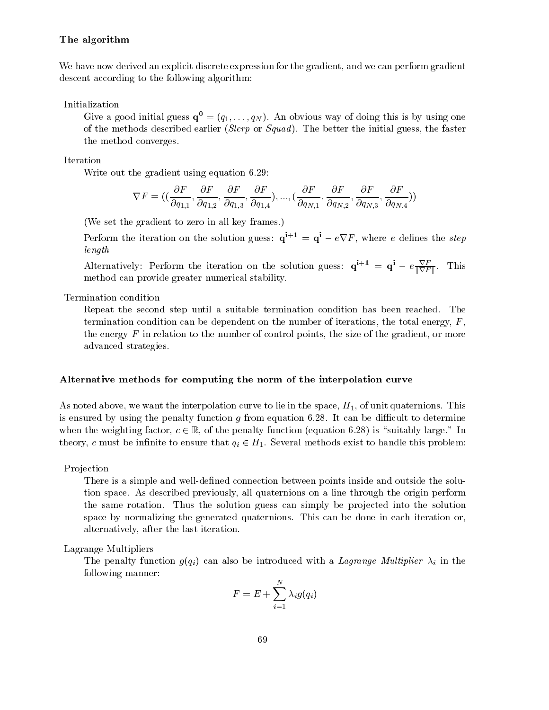#### The algorithm

We have now derived an explicit discrete expression for the gradient, and we can perform gradient descent according to the following algorithm:

Initialization

Give a good initial guess  $\mathbf{q}^0 = (q_1,\ldots,q_N)$ . An obvious way of doing this is by using one of the methods described earlier (Slerp or  $Squad$ ). The better the initial guess, the faster the method converges.

Iteration

Write out the gradient using equation 6.29:

$$
\nabla F=((\frac{\partial F}{\partial q_{1,1}},\frac{\partial F}{\partial q_{1,2}},\frac{\partial F}{\partial q_{1,3}},\frac{\partial F}{\partial q_{1,4}}),...,(\frac{\partial F}{\partial q_{N,1}},\frac{\partial F}{\partial q_{N,2}},\frac{\partial F}{\partial q_{N,3}},\frac{\partial F}{\partial q_{N,4}}))
$$

(We set the gradient to zero in all key frames.)

Perform the iteration on the solution guess:  $q^{i+1} = q^i - e \nabla F$ , where e defines the step length

Alternatively: Perform the iteration on the solution guess:  $q^+$  =  $q^+$  =  $q^+$  =  $e^+$  $k \cdot \mathbf{r} = \mathbf{r}$ method can provide greater numerical stability.

Termination condition

Repeat the second step until a suitable termination condition has been reached. The termination condition can be dependent on the number of iterations, the total energy,  $F$ , the energy  $F$  in relation to the number of control points, the size of the gradient, or more advanced strategies.

#### Alternative methods for computing the norm of the interpolation curve

As noted above, we want the interpolation curve to lie in the space,  $H_1$ , of unit quaternions. This is ensured by using the penalty function  $g$  from equation 6.28. It can be difficult to determine when the weighting factor,  $c \in \mathbb{R}$ , of the penalty function (equation 6.28) is "suitably large." In theory, c must be infinite to ensure that  $q_i \in H_1$ . Several methods exist to handle this problem:

Projection

There is a simple and well-defined connection between points inside and outside the solution space. As described previously, all quaternions on a line through the origin perform the same rotation. Thus the solution guess can simply be projected into the solution space by normalizing the generated quaternions. This can be done in each iteration or, alternatively, after the last iteration.

Lagrange Multipliers

The penalty function g(qi) can also be introduced with a Lagrange Multiplier in the Lagrange Multiplier in the following manner:

$$
F=E+\sum_{i=1}^N\lambda_i g(q_i)
$$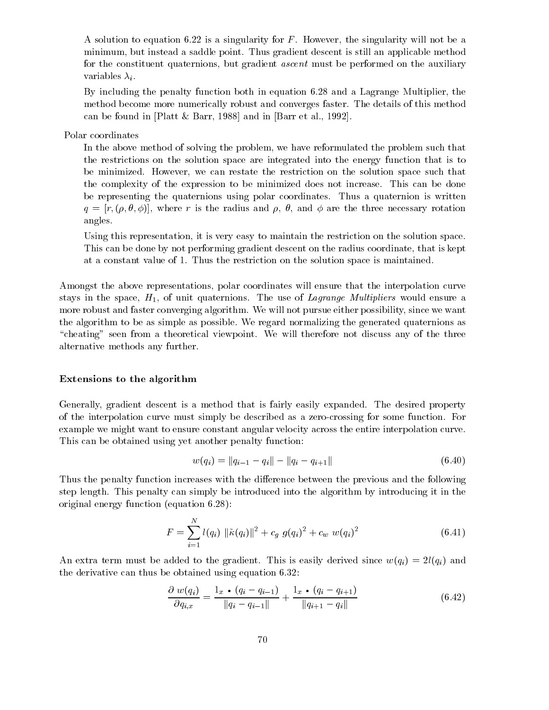A solution to equation 6.22 is a singularity for  $F$ . However, the singularity will not be a minimum, but instead a saddle point. Thus gradient descent is still an applicable method for the constituent quaternions, but gradient *ascent* must be performed on the auxiliary variables  $\lambda_i$ .

By including the penalty function both in equation 6.28 and a Lagrange Multiplier, the method become more numerically robust and converges faster. The details of this method can be found in [Platt & Barr, 1988] and in [Barr et al., 1992].

Polar coordinates

In the above method of solving the problem, we have reformulated the problem such that the restrictions on the solution space are integrated into the energy function that is to be minimized. However, we can restate the restriction on the solution space such that the complexity of the expression to be minimized does not increase. This can be done be representing the quaternions using polar coordinates. Thus a quaternion is written  $q = [r, (\rho, \theta, \phi)]$ , where r is the radius and  $\rho$ ,  $\theta$ , and  $\phi$  are the three necessary rotation angles.

Using this representation, it is very easy to maintain the restriction on the solution space. This can be done by not performing gradient descent on the radius coordinate, that is kept at a constant value of 1. Thus the restriction on the solution space is maintained.

Amongst the above representations, polar coordinates will ensure that the interpolation curve stays in the space,  $H_1$ , of unit quaternions. The use of Lagrange Multipliers would ensure a more robust and faster converging algorithm. We will not pursue either possibility, since we want the algorithm to be as simple as possible. We regard normalizing the generated quaternions as "cheating" seen from a theoretical viewpoint. We will therefore not discuss any of the three alternative methods any further.

#### Extensions to the algorithm

Generally, gradient descent is a method that is fairly easily expanded. The desired property of the interpolation curve must simply be described as a zero-crossing for some function. For example we might want to ensure constant angular velocity across the entire interpolation curve. This can be obtained using yet another penalty function:

$$
w(q_i) = ||q_{i-1} - q_i|| - ||q_i - q_{i+1}|| \tag{6.40}
$$

Thus the penalty function increases with the difference between the previous and the following step length. This penalty can simply be introduced into the algorithm by introducing it in the original energy function (equation 6.28):

$$
F = \sum_{i=1}^{N} l(q_i) \|\tilde{\kappa}(q_i)\|^2 + c_g \ g(q_i)^2 + c_w \ w(q_i)^2 \tag{6.41}
$$

An extra term must be added to the gradient. This is easily derived since  $w(q_i) = 2l(q_i)$  and the derivative can thus be obtained using equation 6.32:

$$
\frac{\partial w(q_i)}{\partial q_{i,x}} = \frac{1_x \cdot (q_i - q_{i-1})}{\|q_i - q_{i-1}\|} + \frac{1_x \cdot (q_i - q_{i+1})}{\|q_{i+1} - q_i\|} \tag{6.42}
$$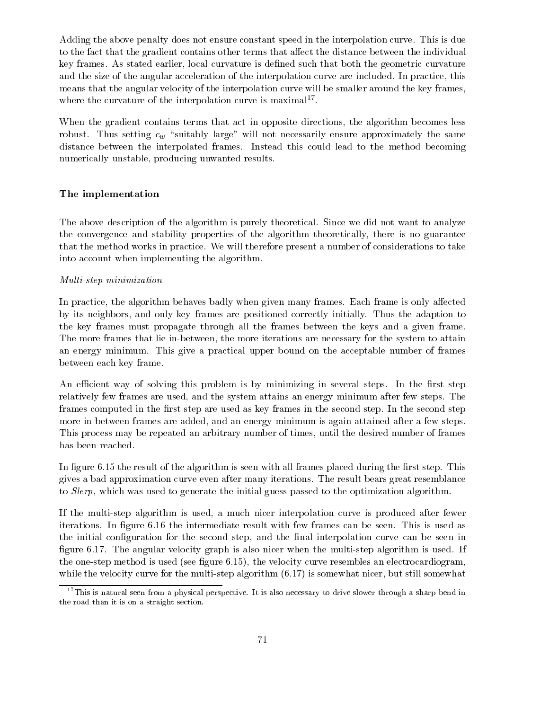Adding the above penalty does not ensure constant speed in the interpolation curve. This is due to the fact that the gradient contains other terms that affect the distance between the individual key frames. As stated earlier, local curvature is defined such that both the geometric curvature and the size of the angular acceleration of the interpolation curve are included. In practice, this means that the angular velocity of the interpolation curve will be smaller around the key frames, where the curvature of the interpolation curve is maximal. The second will be curvatured in the interpolation

When the gradient contains terms that act in opposite directions, the algorithm becomes less robust. Thus setting contracts and not necessarily ensure approximately ensure approximately the same approximately the same approximately the same approximately the same approximately the same approximately the same appr distance between the interpolated frames. Instead this could lead to the method becoming numerically unstable, producing unwanted results.

#### The implementation

The above description of the algorithm is purely theoretical. Since we did not want to analyze the convergence and stability properties of the algorithm theoretically, there is no guarantee that the method works in practice. We will therefore present a number of considerations to take into account when implementing the algorithm.

#### Multi-step minimization

In practice, the algorithm behaves badly when given many frames. Each frame is only affected by its neighbors, and only key frames are positioned correctly initially. Thus the adaption to the key frames must propagate through all the frames between the keys and a given frame. The more frames that lie in-between, the more iterations are necessary for the system to attain an energy minimum. This give a practical upper bound on the acceptable number of frames between each key frame.

An efficient way of solving this problem is by minimizing in several steps. In the first step relatively few frames are used, and the system attains an energy minimum after few steps. The frames computed in the first step are used as key frames in the second step. In the second step more in-between frames are added, and an energy minimum is again attained after a few steps. This process may be repeated an arbitrary number of times, until the desired number of frames has been reached.

In figure 6.15 the result of the algorithm is seen with all frames placed during the first step. This gives a bad approximation curve even after many iterations. The result bears great resemblance to Slerp, which was used to generate the initial guess passed to the optimization algorithm.

If the multi-step algorithm is used, a much nicer interpolation curve is produced after fewer iterations. In figure 6.16 the intermediate result with few frames can be seen. This is used as the initial configuration for the second step, and the final interpolation curve can be seen in figure 6.17. The angular velocity graph is also nicer when the multi-step algorithm is used. If the one-step method is used (see figure  $6.15$ ), the velocity curve resembles an electrocardiogram, while the velocity curve for the multi-step algorithm  $(6.17)$  is somewhat nicer, but still somewhat

 $17$ This is natural seen from a physical perspective. It is also necessary to drive slower through a sharp bend in the road than it is on a straight section.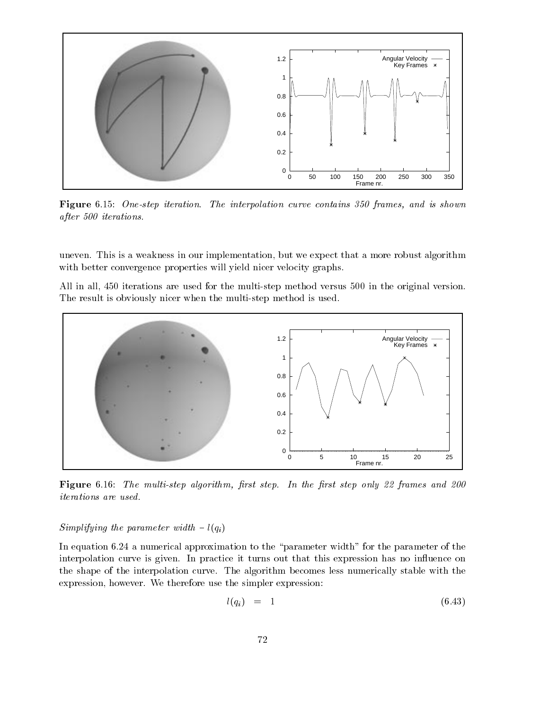

Figure 6.15: One-step iteration. The interpolation curve contains 350 frames, and is shown after 500 iterations.

uneven. This is a weakness in our implementation, but we expect that a more robust algorithm with better convergence properties will yield nicer velocity graphs.

All in all, 450 iterations are used for the multi-step method versus 500 in the original version. The result is obviously nicer when the multi-step method is used.



Figure 6.16: The multi-step algorithm, first step. In the first step only 22 frames and 200 iterations are used.

### Simplifying the parameter width  $-l(q_i)$

In equation 6.24 a numerical approximation to the "parameter width" for the parameter of the interpolation curve is given. In practice it turns out that this expression has no influence on the shape of the interpolation curve. The algorithm becomes less numerically stable with the expression, however. We therefore use the simpler expression:

$$
l(q_i) = 1 \tag{6.43}
$$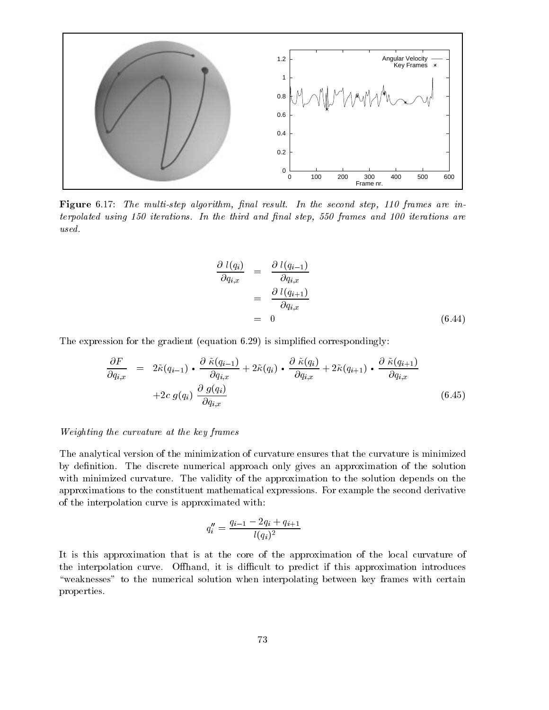

Figure 6.17: The multi-step algorithm, final result. In the second step, 110 frames are in $terpolated using 150 iterations.$  In the third and final step, 550 frames and 100 iterations are used.

$$
\begin{aligned}\n\frac{\partial \ l(q_i)}{\partial q_{i,x}} &= \frac{\partial \ l(q_{i-1})}{\partial q_{i,x}} \\
&= \frac{\partial \ l(q_{i+1})}{\partial q_{i,x}} \\
&= 0\n\end{aligned} \tag{6.44}
$$

The expression for the gradient (equation 6.29) is simplified correspondingly:

$$
\frac{\partial F}{\partial q_{i,x}} = 2\tilde{\kappa}(q_{i-1}) \cdot \frac{\partial \tilde{\kappa}(q_{i-1})}{\partial q_{i,x}} + 2\tilde{\kappa}(q_i) \cdot \frac{\partial \tilde{\kappa}(q_i)}{\partial q_{i,x}} + 2\tilde{\kappa}(q_{i+1}) \cdot \frac{\partial \tilde{\kappa}(q_{i+1})}{\partial q_{i,x}} \n+ 2c g(q_i) \frac{\partial g(q_i)}{\partial q_{i,x}}
$$
\n(6.45)

#### Weighting the curvature at the key frames

The analytical version of the minimization of curvature ensures that the curvature is minimized by definition. The discrete numerical approach only gives an approximation of the solution with minimized curvature. The validity of the approximation to the solution depends on the approximations to the constituent mathematical expressions. For example the second derivative of the interpolation curve is approximated with:

$$
q_i'' = \frac{q_{i-1}-2q_i+q_{i+1}}{l(q_i)^2}
$$

It is this approximation that is at the core of the approximation of the local curvature of the interpolation curve. Offhand, it is difficult to predict if this approximation introduces "weaknesses" to the numerical solution when interpolating between key frames with certain properties.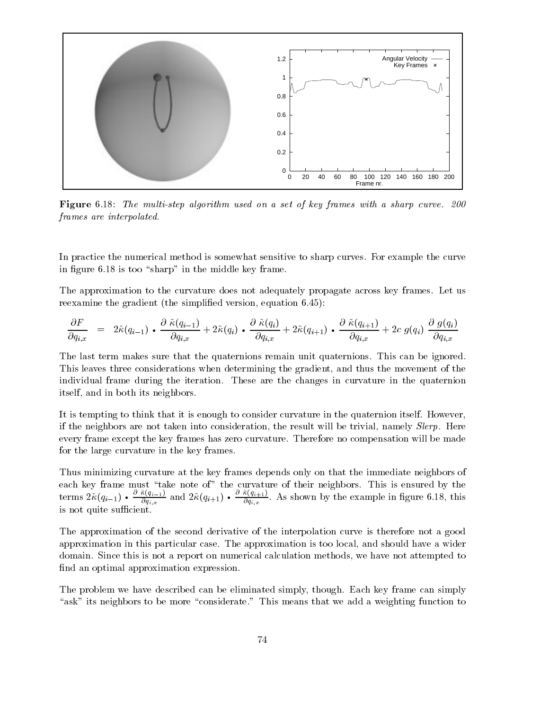

Figure 6.18: The multi-step algorithm used on a set of key frames with a sharp curve. 200 frames are interpolated.

In practice the numerical method is somewhat sensitive to sharp curves. For example the curve in figure  $6.18$  is too "sharp" in the middle key frame.

The approximation to the curvature does not adequately propagate across key frames. Let us reexamine the gradient (the simplified version, equation 6.45):

$$
\frac{\partial F}{\partial q_{i,x}} \;\; = \;\; 2\tilde{\kappa}(q_{i-1}) \,\boldsymbol{\cdot}\, \frac{\partial \; \tilde{\kappa}(q_{i-1})}{\partial q_{i,x}} + 2\tilde{\kappa}(q_i) \,\boldsymbol{\cdot}\, \frac{\partial \; \tilde{\kappa}(q_i)}{\partial q_{i,x}} + 2\tilde{\kappa}(q_{i+1}) \,\boldsymbol{\cdot}\, \frac{\partial \; \tilde{\kappa}(q_{i+1})}{\partial q_{i,x}} + 2c \; g(q_i) \; \frac{\partial \; g(q_i)}{\partial q_{i,x}}
$$

The last term makes sure that the quaternions remain unit quaternions. This can be ignored. This leaves three considerations when determining the gradient, and thus the movement of the individual frame during the iteration. These are the changes in curvature in the quaternion itself, and in both its neighbors.

It is tempting to think that it is enough to consider curvature in the quaternion itself. However, if the neighbors are not taken into consideration, the result will be trivial, namely Slerp. Here every frame except the key frames has zero curvature. Therefore no compensation will be made for the large curvature in the key frames.

Thus minimizing curvature at the key frames depends only on that the immediate neighbors of each key frame must the note of the curvature of the curvature of the curvature of the curvature of the curvature  $\overline{q}_{i,x}$  2.1.  $\overline{q}_{i,x}$  2.1. @ ~(qi1)  $\overline{Oq}_{i,x}$  and  $\overline{q}_{i,x}$  and  $\overline{Qq}_{i,x}$  $\sim$   $\sim$   $\sim$   $\sim$   $\sim$   $\sim$   $\sim$   $\sim$  $dq_{i,x}$  . The example is the example in Equation (18, this is not quite sufficient.

The approximation of the second derivative of the interpolation curve is therefore not a good approximation in this particular case. The approximation is too local, and should have a wider domain. Since this is not a report on numerical calculation methods, we have not attempted to find an optimal approximation expression.

The problem we have described can be eliminated simply, though. Each key frame can simply "ask" its neighbors to be more "considerate." This means that we add a weighting function to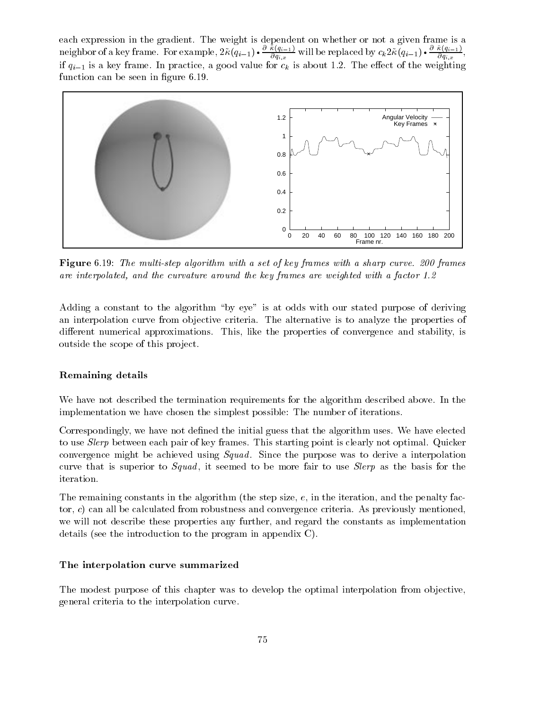each expression in the gradient. The weight is dependent on whether or not a given frame is a neighbor of a key frame. For example,  $\cdots$  ( $q_{i-1}$ )  $q_{i,x}$  and  $\frac{\partial q_{i,x}}{\partial q_{i,x}}$  will be replaced by  $c_k 2\kappa(q_{i-1}) \bullet \frac{\partial q_{i,x}}{\partial q_{i,x}},$  $Oq_{i,x}$ if is a key frame. In practice, a good value for the weighting  $\alpha$  is about 1.2. The eect of the weighting the weighting  $\alpha$ function can be seen in figure 6.19.



Figure 6.19: The multi-step algorithm with a set of key frames with a sharp curve. 200 frames are interpolated, and the curvature around the key frames are weighted with a factor 1.2

Adding a constant to the algorithm "by eye" is at odds with our stated purpose of deriving an interpolation curve from objective criteria. The alternative is to analyze the properties of different numerical approximations. This, like the properties of convergence and stability, is outside the scope of this project.

#### Remaining details

We have not described the termination requirements for the algorithm described above. In the implementation we have chosen the simplest possible: The number of iterations.

Correspondingly, we have not defined the initial guess that the algorithm uses. We have elected to use Slerp between each pair of key frames. This starting point is clearly not optimal. Quicker convergence might be achieved using *Squad*. Since the purpose was to derive a interpolation curve that is superior to  $Squad$ , it seemed to be more fair to use  $Slerp$  as the basis for the iteration.

The remaining constants in the algorithm (the step size,  $e$ , in the iteration, and the penalty factor, c) can all be calculated from robustness and convergence criteria. As previously mentioned, we will not describe these properties any further, and regard the constants as implementation details (see the introduction to the program in appendix C).

#### The interpolation curve summarized

The modest purpose of this chapter was to develop the optimal interpolation from objective, general criteria to the interpolation curve.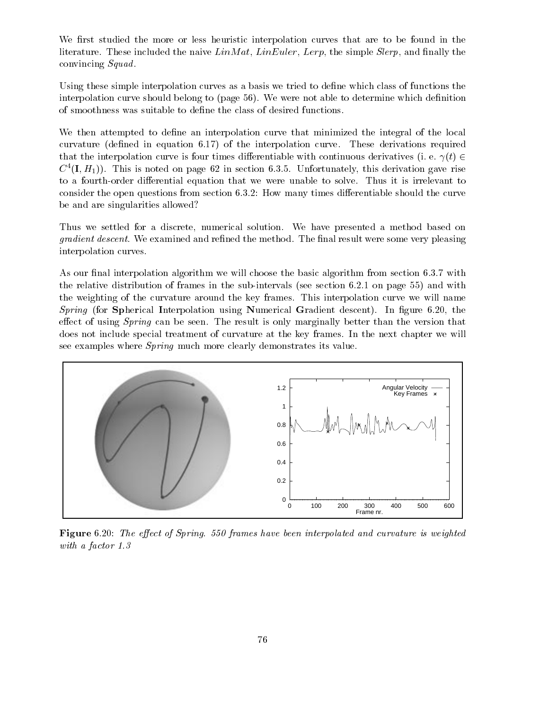We first studied the more or less heuristic interpolation curves that are to be found in the literature. These included the naive  $Lin Mat$ , LinEuler, Lerp, the simple Slerp, and finally the convincing Squad.

Using these simple interpolation curves as a basis we tried to define which class of functions the interpolation curve should belong to (page 56). We were not able to determine which definition of smoothness was suitable to dene the class of desired functions.

We then attempted to define an interpolation curve that minimized the integral of the local curvature (dened in equation 6.17) of the interpolation curve. These derivations required that the interpolation curve is four times differentiable with continuous derivatives (i. e.  $\gamma(t) \in$  $C^{\dagger}$  (**I**,  $H_1$ )). This is noted on page 62 in section 6.3.5. Unfortunately, this derivation gave rise to a fourth-order differential equation that we were unable to solve. Thus it is irrelevant to consider the open questions from section 6.3.2: How many times differentiable should the curve be and are singularities allowed?

Thus we settled for a discrete, numerical solution. We have presented a method based on *gradient descent*. We examined and refined the method. The final result were some very pleasing interpolation curves.

As our final interpolation algorithm we will choose the basic algorithm from section  $6.3.7$  with the relative distribution of frames in the sub-intervals (see section 6.2.1 on page 55) and with the weighting of the curvature around the key frames. This interpolation curve we will name Spring (for Spherical Interpolation using Numerical Gradient descent). In figure 6.20, the effect of using  $Spring$  can be seen. The result is only marginally better than the version that does not include special treatment of curvature at the key frames. In the next chapter we will see examples where Spring much more clearly demonstrates its value.



Figure 6.20: The effect of Spring. 550 frames have been interpolated and curvature is weighted with a factor 1.3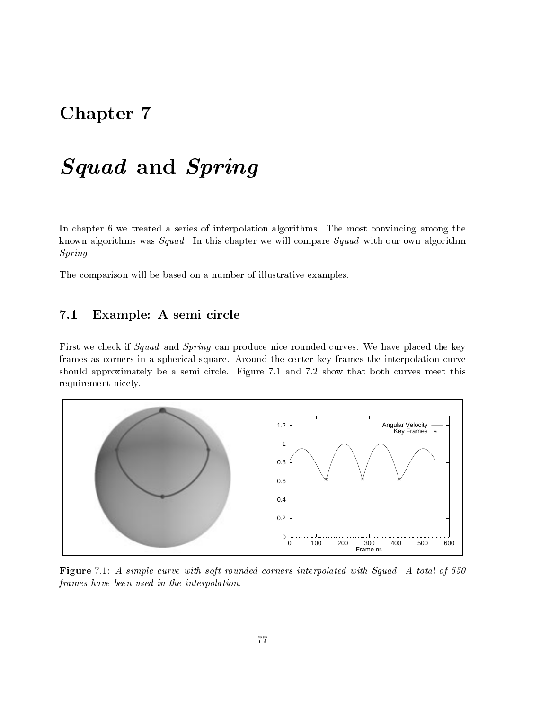# Chapter 7

# $\sim$  Squad and Springer and Springer and Springer and Springer and Springer and Springer and Springer and Springer and Springer and Springer and Springer and Springer and Springer and Springer and Springer and Springer an

In chapter 6 we treated a series of interpolation algorithms. The most convincing among the known algorithms was  $Squad$ . In this chapter we will compare  $Squad$  with our own algorithm Spring.

The comparison will be based on a number of illustrative examples.

# 7.1 Example: A semi circle

First we check if Squad and Spring can produce nice rounded curves. We have placed the key frames as corners in a spherical square. Around the center key frames the interpolation curve should approximately be a semi circle. Figure 7.1 and 7.2 show that both curves meet this requirement nicely.



Figure 7.1: A simple curve with soft rounded corners interpolated with Squad. A total of 550 frames have been used in the interpolation.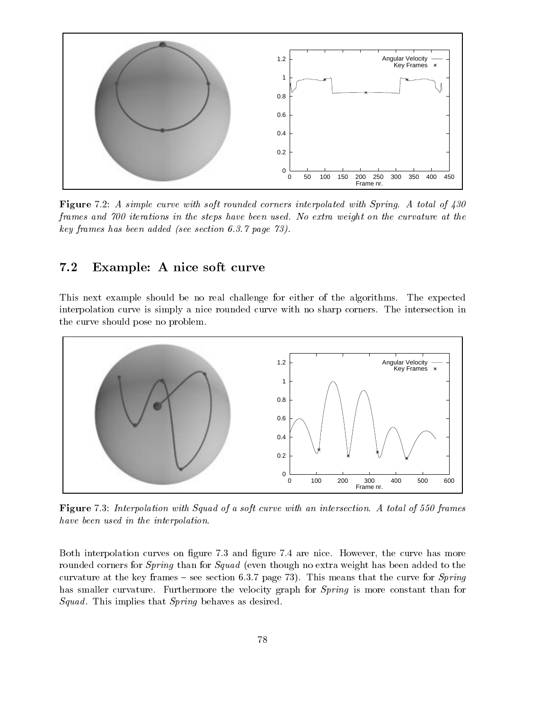

Figure 7.2: A simple curve with soft rounded corners interpolated with Spring. A total of 430 frames and 700 iterations in the steps have been used. No extra weight on the curvature at the key frames has been added (see section 6.3.7 page 73).

#### $7.2$ Example: A nice soft curve

This next example should be no real challenge for either of the algorithms. The expected interpolation curve is simply a nice rounded curve with no sharp corners. The intersection in the curve should pose no problem.



Figure 7.3: Interpolation with Squad of a soft curve with an intersection. A total of 550 frames have been used in the interpolation.

Both interpolation curves on figure 7.3 and figure 7.4 are nice. However, the curve has more rounded corners for *Spring* than for *Squad* (even though no extra weight has been added to the curvature at the key frames  $-$  see section 6.3.7 page 73). This means that the curve for *Spring* has smaller curvature. Furthermore the velocity graph for *Spring* is more constant than for Squad. This implies that Spring behaves as desired.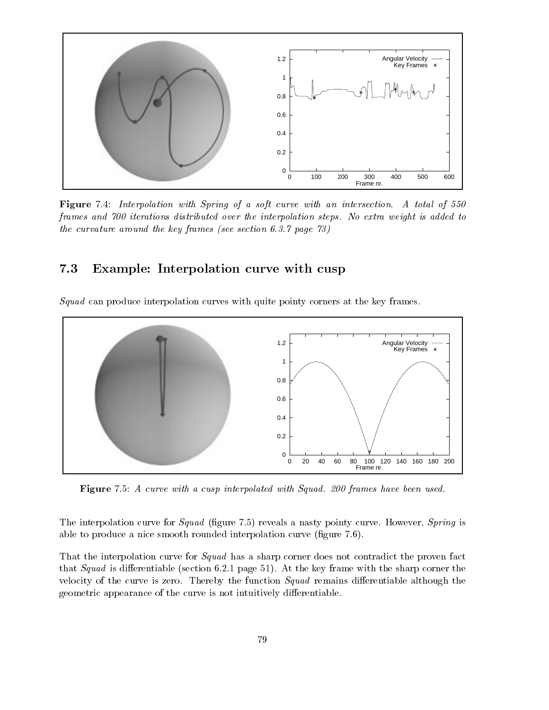

Figure 7.4: Interpolation with Spring of a soft curve with an intersection. A total of 550 frames and 700 iterations distributed over the interpolation steps. No extra weight is added to the curvature around the key frames (see section 6.3.7 page 73)

### 7.3 Example: Interpolation curve with cusp

Squad can produce interpolation curves with quite pointy corners at the key frames.



Figure 7.5: A curve with a cusp interpolated with Squad. 200 frames have been used.

The interpolation curve for *Squad* (figure 7.5) reveals a nasty pointy curve. However, *Spring* is able to produce a nice smooth rounded interpolation curve (figure 7.6).

That the interpolation curve for *Squad* has a sharp corner does not contradict the proven fact that Squad is differentiable (section 6.2.1 page 51). At the key frame with the sharp corner the velocity of the curve is zero. Thereby the function  $Squad$  remains differentiable although the geometric appearance of the curve is not intuitively differentiable.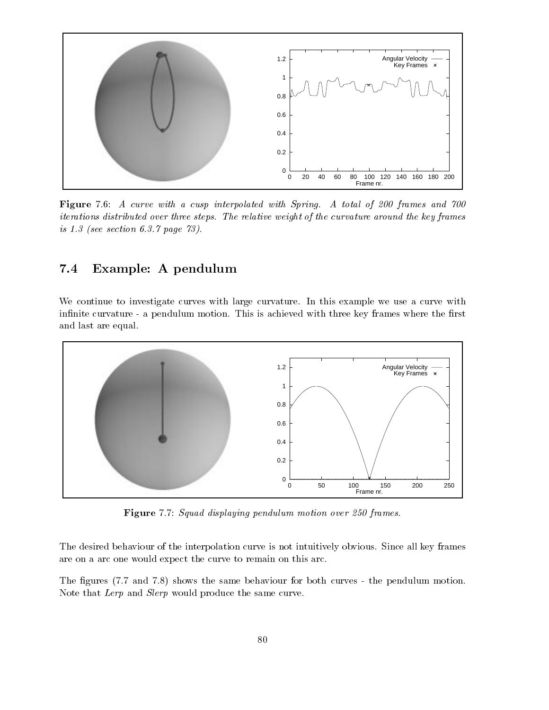

Figure 7.6: A curve with a cusp interpolated with Spring. A total of 200 frames and 700 iterations distributed over three steps. The relative weight of the curvature around the key frames is 1.3 (see section 6.3.7 page 73).

## 7.4 Example: A pendulum

We continue to investigate curves with large curvature. In this example we use a curve with infinite curvature - a pendulum motion. This is achieved with three key frames where the first and last are equal.



Figure 7.7: Squad displaying pendulum motion over 250 frames.

The desired behaviour of the interpolation curve is not intuitively obvious. Since all key frames are on a arc one would expect the curve to remain on this arc.

The figures (7.7 and 7.8) shows the same behaviour for both curves - the pendulum motion. Note that Lerp and Slerp would produce the same curve.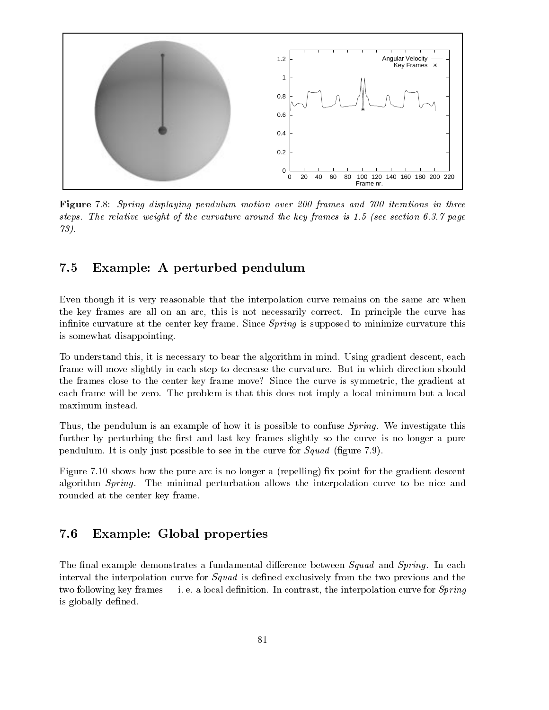

Figure 7.8: Spring displaying pendulum motion over 200 frames and 700 iterations in three steps. The relative weight of the curvature around the key frames is 1.5 (see section 6.3.7 page 73).

### 7.5 Example: A perturbed pendulum

Even though it is very reasonable that the interpolation curve remains on the same arc when the key frames are all on an arc, this is not necessarily correct. In principle the curve has infinite curvature at the center key frame. Since *Spring* is supposed to minimize curvature this is somewhat disappointing.

To understand this, it is necessary to bear the algorithm in mind. Using gradient descent, each frame will move slightly in each step to decrease the curvature. But in which direction should the frames close to the center key frame move? Since the curve is symmetric, the gradient at each frame will be zero. The problem is that this does not imply a local minimum but a local maximum instead.

Thus, the pendulum is an example of how it is possible to confuse *Spring*. We investigate this further by perturbing the first and last key frames slightly so the curve is no longer a pure pendulum. It is only just possible to see in the curve for  $Squad$  (figure 7.9).

Figure 7.10 shows how the pure arc is no longer a (repelling) fix point for the gradient descent algorithm Spring. The minimal perturbation allows the interpolation curve to be nice and rounded at the center key frame.

#### 7.6 Example: Global properties

The final example demonstrates a fundamental difference between  $Squad$  and  $Sprinq$ . In each interval the interpolation curve for *Squad* is defined exclusively from the two previous and the two following key frames  $-$  i. e. a local definition. In contrast, the interpolation curve for *Spring* is globally defined.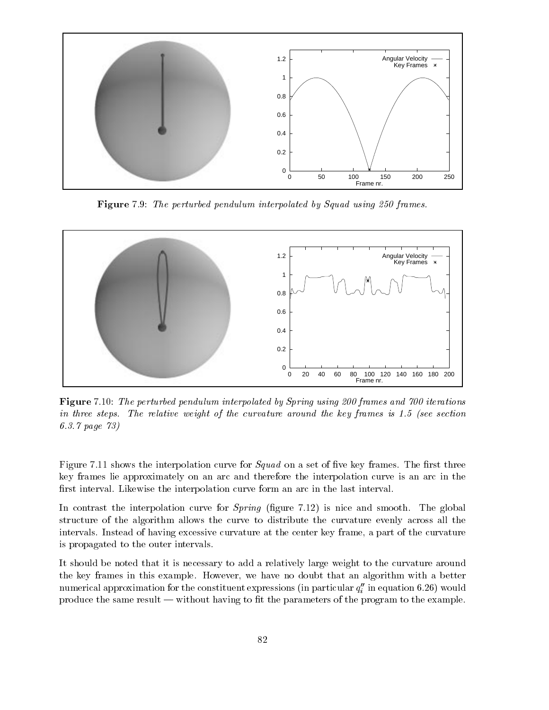

Figure 7.9: The perturbed pendulum interpolated by Squad using 250 frames.



Figure 7.10: The perturbed pendulum interpolated by Spring using 200 frames and 700 iterations in three steps. The relative weight of the curvature around the key frames is 1.5 (see section 6.3.7 page 73)

Figure 7.11 shows the interpolation curve for  $Squad$  on a set of five key frames. The first three key frames lie approximately on an arc and therefore the interpolation curve is an arc in the first interval. Likewise the interpolation curve form an arc in the last interval.

In contrast the interpolation curve for  $Spring$  (figure 7.12) is nice and smooth. The global structure of the algorithm allows the curve to distribute the curvature evenly across all the intervals. Instead of having excessive curvature at the center key frame, a part of the curvature is propagated to the outer intervals.

It should be noted that it is necessary to add a relatively large weight to the curvature around the key frames in this example. However, we have no doubt that an algorithm with a better numerical approximation for the constituent expressions (in particular  $q_i^{\phantom{\dag}}$  in equation 6.26) would produce the same result  $-$  without having to fit the parameters of the program to the example.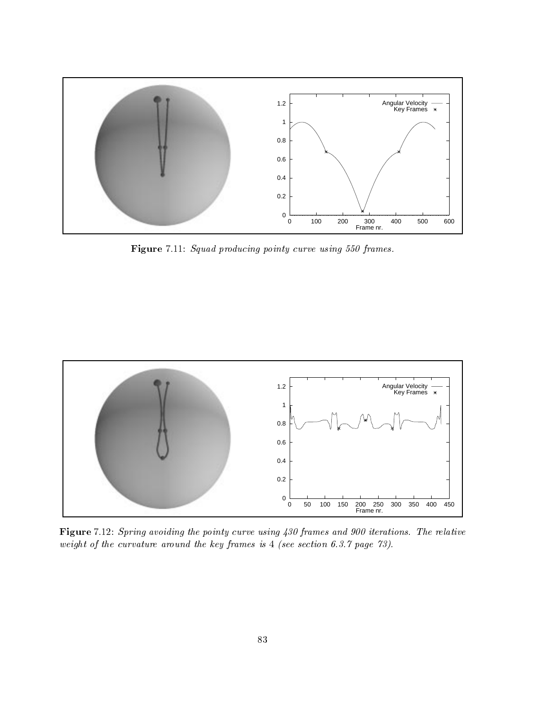

Figure 7.11: Squad producing pointy curve using 550 frames.



Figure 7.12: Spring avoiding the pointy curve using 430 frames and 900 iterations. The relative weight of the curvature around the key frames is 4 (see section 6.3.7 page 73).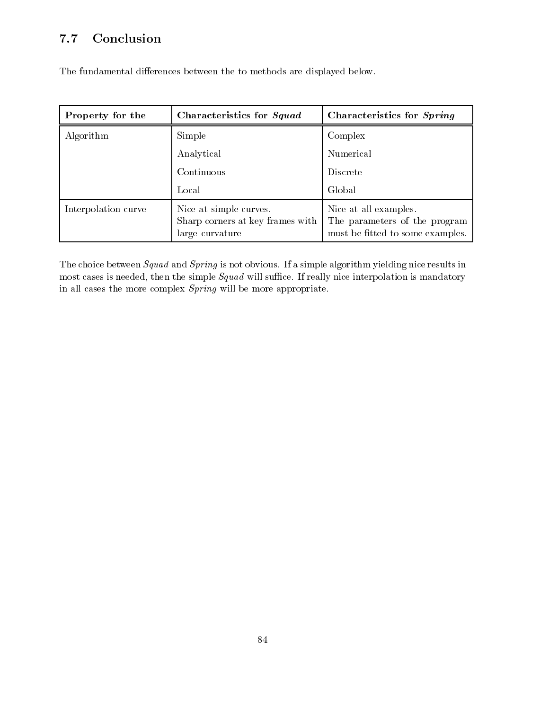# 7.7 Conclusion

| Property for the    | Characteristics for Squad                                                     | Characteristics for Spring                                                                 |
|---------------------|-------------------------------------------------------------------------------|--------------------------------------------------------------------------------------------|
| Algorithm           | Simple                                                                        | Complex                                                                                    |
|                     | Analytical                                                                    | Numerical                                                                                  |
|                     | Continuous                                                                    | <b>Discrete</b>                                                                            |
|                     | Local                                                                         | Global                                                                                     |
| Interpolation curve | Nice at simple curves.<br>Sharp corners at key frames with<br>large curvature | Nice at all examples.<br>The parameters of the program<br>must be fitted to some examples. |

The fundamental differences between the to methods are displayed below.

The choice between Squad and Spring is not obvious. If a simple algorithm yielding nice results in most cases is needed, then the simple  $Squad$  will suffice. If really nice interpolation is mandatory in all cases the more complex Spring will be more appropriate.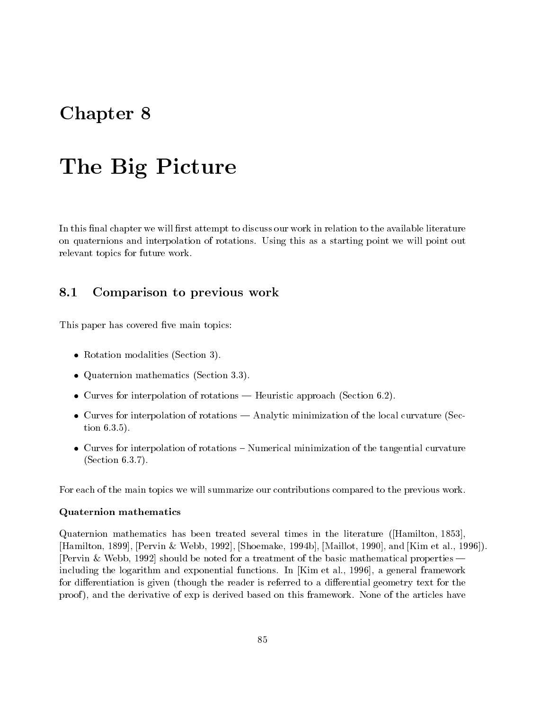# Chapter 8

# The Big Picture

In this final chapter we will first attempt to discuss our work in relation to the available literature on quaternions and interpolation of rotations. Using this as a starting point we will point out relevant topics for future work.

#### Comparison to previous work 8.1

This paper has covered five main topics:

- $\bullet$  -Kotation modalities (Section 3).
- Quaternion mathematics (Section 3.3).
- $\bullet$  Curves for interpolation of rotations Heuristic approach (Section 0.2).
- $\bullet$  -Curves for interpolation of rotations Analytic minimization of the local curvature (Section 6.3.5).
- $\bullet$  -Curves for interpolation of rotations  $-$  Numerical minimization of the tangential curvature (Section 6.3.7).

For each of the main topics we will summarize our contributions compared to the previous work.

#### Quaternion mathematics

Quaternion mathematics has been treated several times in the literature ([Hamilton, 1853], [Hamilton, 1899], [Pervin & Webb, 1992], [Shoemake, 1994b], [Maillot, 1990], and [Kim et al., 1996]). [Pervin & Webb, 1992] should be noted for a treatment of the basic mathematical properties  $$ including the logarithm and exponential functions. In [Kim et al., 1996], a general framework for differentiation is given (though the reader is referred to a differential geometry text for the proof ), and the derivative of exp is derived based on this framework. None of the articles have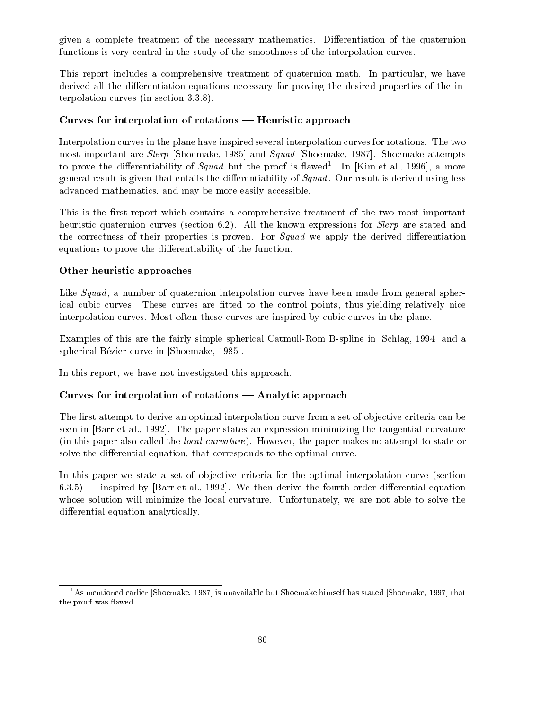given a complete treatment of the necessary mathematics. Differentiation of the quaternion functions is very central in the study of the smoothness of the interpolation curves.

This report includes a comprehensive treatment of quaternion math. In particular, we have derived all the differentiation equations necessary for proving the desired properties of the interpolation curves (in section 3.3.8).

#### Curves for interpolation of rotations  $-$  Heuristic approach

Interpolation curves in the plane have inspired several interpolation curves for rotations. The two most important are Slerp [Shoemake, 1985] and Squad [Shoemake, 1987]. Shoemake attempts to prove the differentiability of *Squad* but the proof is hawed<sup>-</sup>. In [Kim et al., 1990], a more general result is given that entails the differentiability of  $Squad$ . Our result is derived using less advanced mathematics, and may be more easily accessible.

This is the first report which contains a comprehensive treatment of the two most important heuristic quaternion curves (section 6.2). All the known expressions for *Slerp* are stated and the correctness of their properties is proven. For *Squad* we apply the derived differentiation equations to prove the differentiability of the function.

#### Other heuristic approaches

Like  $Squad$ , a number of quaternion interpolation curves have been made from general spherical cubic curves. These curves are fitted to the control points, thus yielding relatively nice interpolation curves. Most often these curves are inspired by cubic curves in the plane.

Examples of this are the fairly simple spherical Catmull-Rom B-spline in [Schlag, 1994] and a spherical Bézier curve in [Shoemake, 1985].

In this report, we have not investigated this approach.

#### Curves for interpolation of rotations  $-$  Analytic approach

The first attempt to derive an optimal interpolation curve from a set of objective criteria can be seen in [Barr et al., 1992]. The paper states an expression minimizing the tangential curvature (in this paper also called the local curvature). However, the paper makes no attempt to state or solve the differential equation, that corresponds to the optimal curve.

In this paper we state a set of objective criteria for the optimal interpolation curve (section  $6.3.5$ )  $-$  inspired by [Barr et al., 1992]. We then derive the fourth order differential equation whose solution will minimize the local curvature. Unfortunately, we are not able to solve the differential equation analytically.

 $^1$ As mentioned earlier [Shoemake, 1987] is unavailable but Shoemake himself has stated [Shoemake, 1997] that the proof was flawed.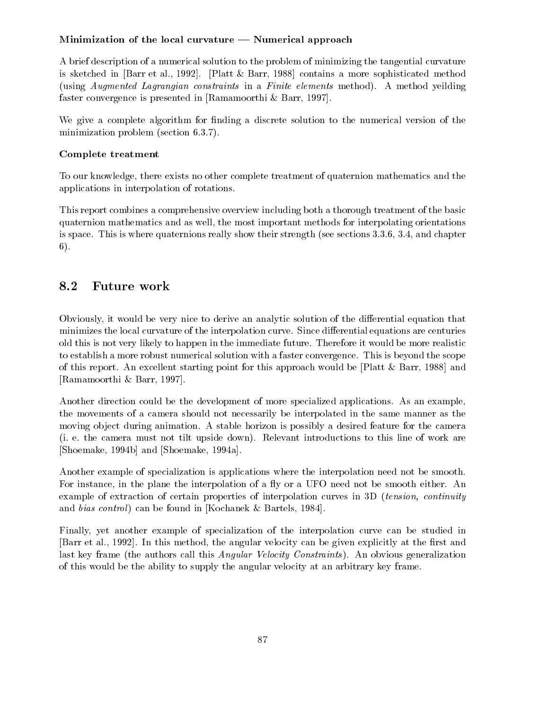### Minimization of the local curvature  $-$  Numerical approach

A brief description of a numerical solution to the problem of minimizing the tangential curvature is sketched in [Barr et al., 1992]. [Platt & Barr, 1988] contains a more sophisticated method (using Augmented Lagrangian constraints in a Finite elements method). A method yeilding faster convergence is presented in [Ramamoorthi & Barr, 1997].

We give a complete algorithm for finding a discrete solution to the numerical version of the minimization problem (section 6.3.7).

### Complete treatment

To our knowledge, there exists no other complete treatment of quaternion mathematics and the applications in interpolation of rotations.

This report combines a comprehensive overview including both a thorough treatment of the basic quaternion mathematics and as well, the most important methods for interpolating orientations is space. This is where quaternions really show their strength (see sections 3.3.6, 3.4, and chapter 6).

Obviously, it would be very nice to derive an analytic solution of the differential equation that minimizes the local curvature of the interpolation curve. Since differential equations are centuries old this is not very likely to happen in the immediate future. Therefore it would be more realistic to establish a more robust numerical solution with a faster convergence. This is beyond the scope of this report. An excellent starting point for this approach would be [Platt & Barr, 1988] and [Ramamoorthi & Barr, 1997].

Another direction could be the development of more specialized applications. As an example, the movements of a camera should not necessarily be interpolated in the same manner as the moving ob ject during animation. A stable horizon is possibly a desired feature for the camera (i. e. the camera must not tilt upside down). Relevant introductions to this line of work are [Shoemake, 1994b] and [Shoemake, 1994a].

Another example of specialization is applications where the interpolation need not be smooth. For instance, in the plane the interpolation of a fly or a UFO need not be smooth either. An example of extraction of certain properties of interpolation curves in 3D *(tension, continuity* and bias control) can be found in [Kochanek & Bartels, 1984].

Finally, yet another example of specialization of the interpolation curve can be studied in [Barr et al., 1992]. In this method, the angular velocity can be given explicitly at the first and last key frame (the authors call this *Angular Velocity Constraints*). An obvious generalization of this would be the ability to supply the angular velocity at an arbitrary key frame.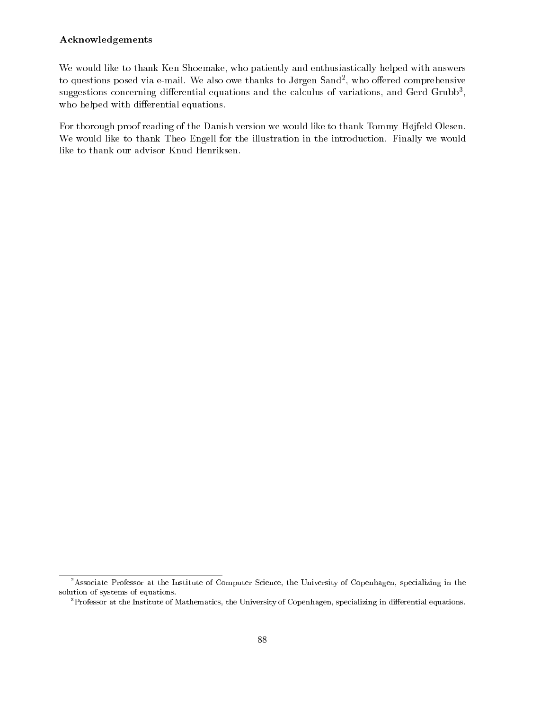### Acknowledgements

We would like to thank Ken Shoemake, who patiently and enthusiastically helped with answers to questions posed via e-mail. We also owe thanks to Jørgen Sand-, who offered comprehensive suggestions concerning differential equations and the calculus of variations, and Gerd Grubb-, Sand who helped with differential equations.

For thorough proof reading of the Danish version we would like to thank Tommy Højfeld Olesen. We would like to thank Theo Engell for the illustration in the introduction. Finally we would like to thank our advisor Knud Henriksen.

<sup>&</sup>lt;sup>2</sup>Associate Professor at the Institute of Computer Science, the University of Copenhagen, specializing in the solution of systems of equations.

 $^3\rm{Professor}$  at the Institute of Mathematics, the University of Copenhagen, specializing in differential equations.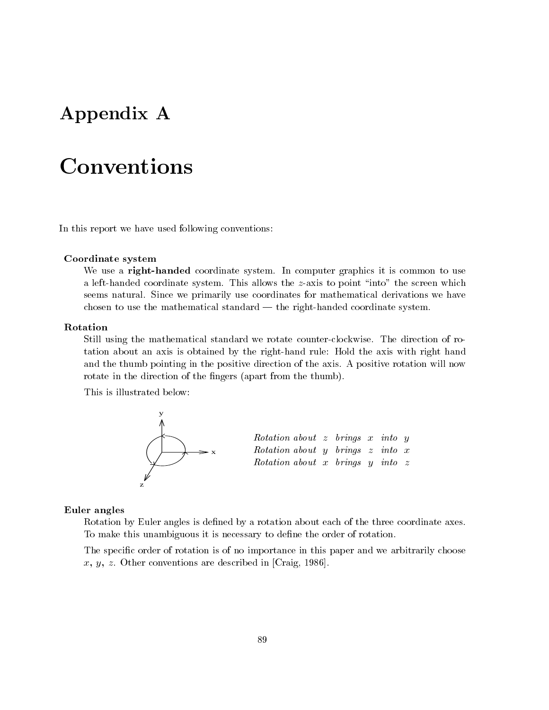# Appendix A

In this report we have used following conventions:

### Coordinate system

We use a right-handed coordinate system. In computer graphics it is common to use a left-handed coordinate system. This allows the  $z$ -axis to point "into" the screen which seems natural. Since we primarily use coordinates for mathematical derivations we have chosen to use the mathematical standard  $-$  the right-handed coordinate system.

#### Rotation

Still using the mathematical standard we rotate counter-clockwise. The direction of rotation about an axis is obtained by the right-hand rule: Hold the axis with right hand and the thumb pointing in the positive direction of the axis. A positive rotation will now rotate in the direction of the fingers (apart from the thumb).

This is illustrated below:



#### Euler angles

Rotation by Euler angles is defined by a rotation about each of the three coordinate axes. To make this unambiguous it is necessary to define the order of rotation.

The specific order of rotation is of no importance in this paper and we arbitrarily choose x, y, z. Other conventions are described in [Craig, 1986].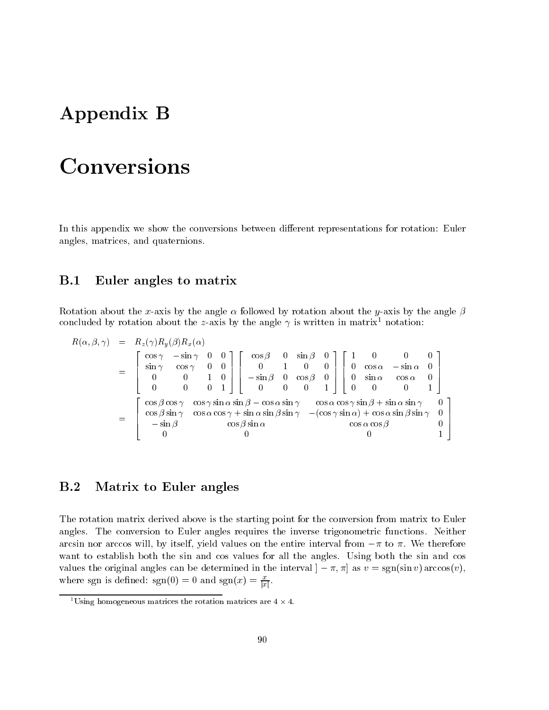# Appendix B

# Conversions

In this appendix we show the conversions between different representations for rotation: Euler angles, matrices, and quaternions.

### B.1 Euler angles to matrix

Rotation about the x-axis by the angle  $\alpha$  followed by rotation about the y-axis by the angle  $\beta$ concluded by rotation about the z-axis by the angle  $\gamma$  is written in matrix<sup>1</sup> notation:

$$
R(\alpha, \beta, \gamma) = R_z(\gamma)R_y(\beta)R_x(\alpha)
$$
  
\n
$$
= \begin{bmatrix} \cos \gamma & -\sin \gamma & 0 & 0 \\ \sin \gamma & \cos \gamma & 0 & 0 \\ 0 & 0 & 1 & 0 \\ 0 & 0 & 0 & 1 \end{bmatrix} \begin{bmatrix} \cos \beta & 0 & \sin \beta & 0 \\ 0 & 1 & 0 & 0 \\ -\sin \beta & 0 & \cos \beta & 0 \\ 0 & 0 & 0 & 1 \end{bmatrix} \begin{bmatrix} 1 & 0 & 0 & 0 \\ 0 & \cos \alpha & -\sin \alpha & 0 \\ 0 & \sin \alpha & \cos \alpha & 0 \\ 0 & 0 & 0 & 1 \end{bmatrix}
$$
  
\n
$$
= \begin{bmatrix} \cos \beta \cos \gamma & \cos \gamma \sin \alpha \sin \beta - \cos \alpha \sin \gamma & \cos \alpha \cos \gamma \sin \beta + \sin \alpha \sin \gamma & 0 \\ \cos \beta \sin \gamma & \cos \alpha \cos \gamma + \sin \alpha \sin \beta \sin \gamma & -(\cos \gamma \sin \alpha) + \cos \alpha \sin \beta \sin \gamma & 0 \\ -\sin \beta & \cos \beta \sin \alpha & \cos \alpha \cos \beta & 0 \\ 0 & 0 & 1 \end{bmatrix}
$$

#### Matrix to Euler angles  $B.2$

The rotation matrix derived above is the starting point for the conversion from matrix to Euler angles. The conversion to Euler angles requires the inverse trigonometric functions. Neither arcsin nor arccos will, by itself, yield values on the entire interval from  $-\pi$  to  $\pi$ . We therefore want to establish both the sin and cos values for all the angles. Using both the sin and cos values the original angles can be determined in the interval  $[-\pi, \pi]$  as  $v = sgn(\sin v)$  arccos $(v)$ , where sgn is defined:  $sgn(0) = 0$  and  $sgn(x) = \frac{1}{|x|}$ .

Using homogeneous matrices the rotation matrices are  $4 \times 4.$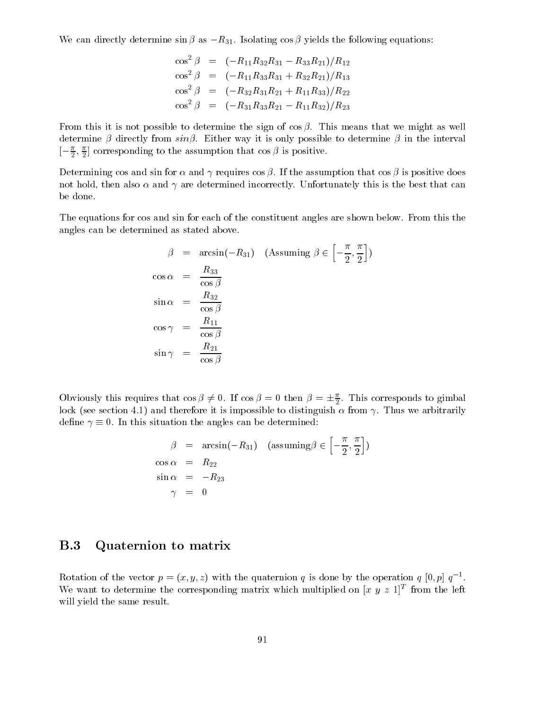We can directly determine  $\sin \beta$  as  $-R_{31}$ . Isolating  $\cos \beta$  yields the following equations:

$$
\cos^2 \beta = (-R_{11}R_{32}R_{31} - R_{33}R_{21})/R_{12}
$$
  
\n
$$
\cos^2 \beta = (-R_{11}R_{33}R_{31} + R_{32}R_{21})/R_{13}
$$
  
\n
$$
\cos^2 \beta = (-R_{32}R_{31}R_{21} + R_{11}R_{33})/R_{22}
$$
  
\n
$$
\cos^2 \beta = (-R_{31}R_{33}R_{21} - R_{11}R_{32})/R_{23}
$$

From this it is not possible to determine the sign of  $\cos \beta$ . This means that we might as well determine  $\beta$  directly from  $sin\beta$ . Either way it is only possible to determine  $\beta$  in the interval  $[-\frac{1}{2},\frac{1}{2}]$  corresponding to the assumption that cos  $\rho$  is positive.

Determining cos and sin for  $\alpha$  and  $\gamma$  requires cos  $\beta$ . If the assumption that cos  $\beta$  is positive does not hold, then also  $\alpha$  and  $\gamma$  are determined incorrectly. Unfortunately this is the best that can be done.

The equations for cos and sin for each of the constituent angles are shown below. From this the angles can be determined as stated above.

$$
\beta = \arcsin(-R_{31}) \quad \text{(Assuming } \beta \in \left[-\frac{\pi}{2}, \frac{\pi}{2}\right])
$$
\n
$$
\cos \alpha = \frac{R_{33}}{\cos \beta}
$$
\n
$$
\sin \alpha = \frac{R_{32}}{\cos \beta}
$$
\n
$$
\cos \gamma = \frac{R_{11}}{\cos \beta}
$$
\n
$$
\sin \gamma = \frac{R_{21}}{\cos \beta}
$$

Obviously this requires that  $\cos \beta \neq 0$ . If  $\cos \beta = 0$  then  $\beta = \pm \frac{1}{2}$ . This corresponds to gimbal 22 Januari - Januari - Januari - Januari - Januari - Januari - Januari - Januari - Januari - Januari - Januari lock (see section 4.1) and therefore it is impossible to distinguish  $\alpha$  from  $\gamma$ . Thus we arbitrarily define  $\gamma \equiv 0$ . In this situation the angles can be determined:

$$
\beta = \arcsin(-R_{31}) \quad \text{(assuming}\n\beta \in \left[-\frac{\pi}{2}, \frac{\pi}{2}\right])
$$
\n
$$
\cos \alpha = R_{22}
$$
\n
$$
\sin \alpha = -R_{23}
$$
\n
$$
\gamma = 0
$$

### B.3 Quaternion to matrix

Rotation of the vector  $p = (x, y, z)$  with the quaternion q is done by the operation q [0, p]  $q^{-1}$ . We want to determine the corresponding matrix which multiplied on  $|x|y|z|1$  from the left will yield the same result.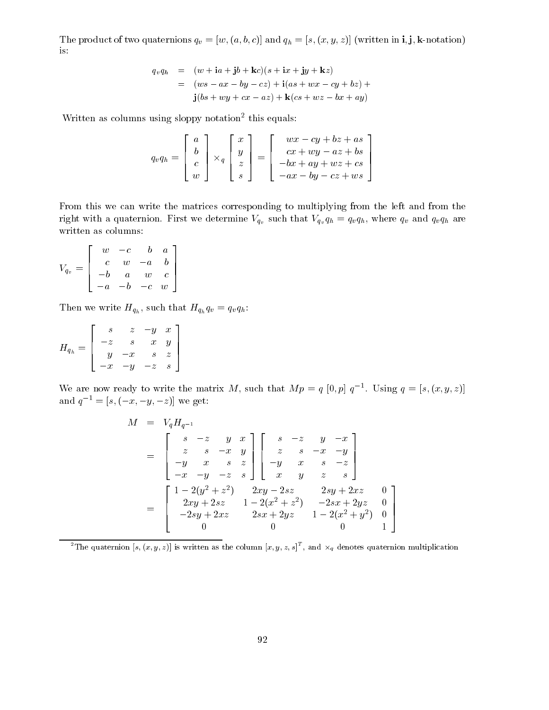The product of two quaternions  $q\, \nu =$  [w; (a; b; c)] and  $q\, \mu =$  [s; (c),  $q$ ; (c), (written in i;  $\mu$ is:

$$
q_v q_h = (w + ia + jb + kc)(s + ix + jy + kz)
$$
  
= 
$$
(ws - ax - by - cz) + i(as + wx - cy + bz) +
$$
  

$$
j(bs + wy + cx - az) + k(cs + wz - bx + ay)
$$

written as columns using sloppy notation<sup>-</sup> this equals:

$$
q_v q_h = \left[\begin{array}{c} a \\ b \\ c \\ w \end{array}\right] \times_q \left[\begin{array}{c} x \\ y \\ z \\ s \end{array}\right] = \left[\begin{array}{c} wx - cy + bz + as \\ cx + wy - az + bs \\ -bx + ay + wz + cs \\ -ax - by - cz + ws \end{array}\right]
$$

From this we can write the matrices corresponding to multiplying from the left and from the right with a quaternion. First we determine  $V_{q_v}$  such that  $V_{q_v} q_h = q_v q_h$ , where  $q_v$  and  $q_v q_h$  are written as columns:

$$
V_{q_v} = \left[ \begin{array}{cccc} w & -c & b & a \\ c & w & -a & b \\ -b & a & w & c \\ -a & -b & -c & w \end{array} \right]
$$

Then we write  $H_{q_h}$ , such that  $H_{q_h} q_v = q_v q_h$ :

$$
H_{q_h}=\left[\begin{array}{cccc} s & z & -y & x \\ -z & s & x & y \\ y & -x & s & z \\ -x & -y & -z & s \end{array}\right]
$$

We are now ready to write the matrix M, such that  $Mp = q |0, p | q$ . Using  $q = |s, (x, y, z)|$ and  $q^{-1} = [s, (-x, -y, -z)]$  we get:

$$
M = V_q H_{q^{-1}}
$$
  
= 
$$
\begin{bmatrix} s & -z & y & x \ z & s & -x & y \ -y & x & s & z \ -x & -y & -z & s \end{bmatrix} \begin{bmatrix} s & -z & y & -x \ z & s & -x & -y \ -y & x & s & -z \ x & y & z & s \end{bmatrix}
$$
  
= 
$$
\begin{bmatrix} 1-2(y^2+z^2) & 2xy-2sz & 2sy+2xz & 0 \ 2xy+2sz & 1-2(x^2+z^2) & -2sx+2yz & 0 \ -2sy+2xz & 2sx+2yz & 1-2(x^2+y^2) & 0 \ 0 & 0 & 0 & 1 \end{bmatrix}
$$

The quaternion  $[s, (x, y, z)]$  is written as the column  $[x, y, z, s]$  , and  $\overline{\times}_q$  denotes quaternion multiplication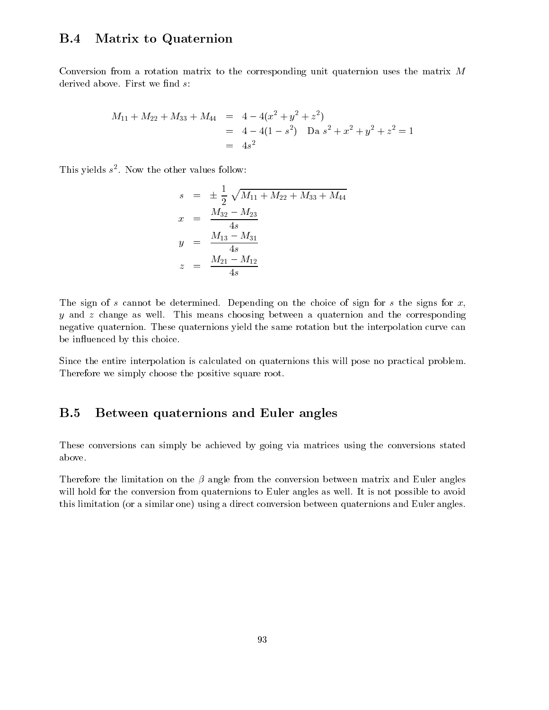### B.4 Matrix to Quaternion

Conversion from a rotation matrix to the corresponding unit quaternion uses the matrix M derived above. First we find  $s$ :

$$
M_{11} + M_{22} + M_{33} + M_{44} = 4 - 4(x^{2} + y^{2} + z^{2})
$$
  
= 4 - 4(1 - s<sup>2</sup>) \n
$$
= 4s^{2}
$$
  
= 4s<sup>2</sup>

This yields s <sup>2</sup> . Now the other values follow:

$$
s = \pm \frac{1}{2} \sqrt{M_{11} + M_{22} + M_{33} + M_{44}}
$$
  
\n
$$
x = \frac{M_{32} - M_{23}}{4s}
$$
  
\n
$$
y = \frac{M_{13} - M_{31}}{4s}
$$
  
\n
$$
z = \frac{M_{21} - M_{12}}{4s}
$$

The sign of s cannot be determined. Depending on the choice of sign for s the signs for  $x$ ,  $y$  and  $z$  change as well. This means choosing between a quaternion and the corresponding negative quaternion. These quaternions yield the same rotation but the interpolation curve can be in
uenced by this choice.

Since the entire interpolation is calculated on quaternions this will pose no practical problem. Therefore we simply choose the positive square root.

# B.5 Between quaternions and Euler angles

These conversions can simply be achieved by going via matrices using the conversions stated above.

Therefore the limitation on the  $\beta$  angle from the conversion between matrix and Euler angles will hold for the conversion from quaternions to Euler angles as well. It is not possible to avoid this limitation (or a similar one) using a direct conversion between quaternions and Euler angles.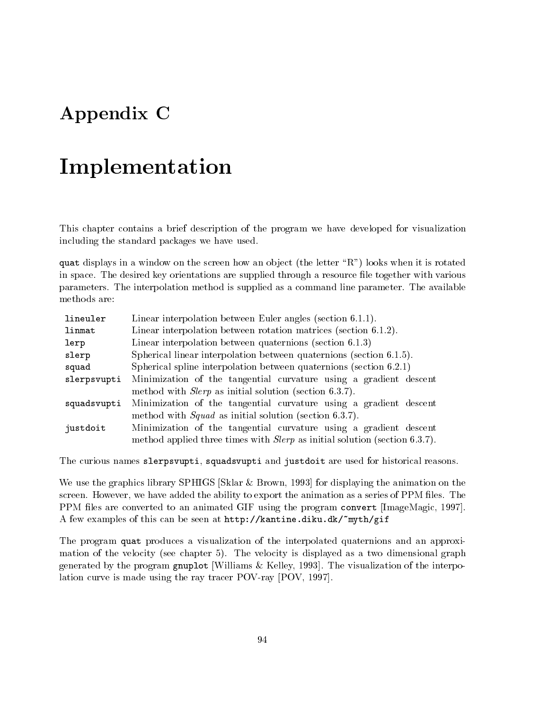# Appendix C

# Implementation

This chapter contains a brief description of the program we have developed for visualization including the standard packages we have used.

quate displays in a window on the screen how and when it ject (the letter  $\mathcal{R}$  ) looks when it is rotated in space. The desired key orientations are supplied through a resource le together with various parameters. The interpolation method is supplied as a command line parameter. The available methods are:

| lineuler    | Linear interpolation between Euler angles (section 6.1.1).                        |  |
|-------------|-----------------------------------------------------------------------------------|--|
| linmat      | Linear interpolation between rotation matrices (section 6.1.2).                   |  |
| lerp        | Linear interpolation between quaternions (section $6.1.3$ )                       |  |
| slerp       | Spherical linear interpolation between quaternions (section 6.1.5).               |  |
| squad       | Spherical spline interpolation between quaternions (section $6.2.1$ )             |  |
| slerpsvupti | Minimization of the tangential curvature using a gradient descent                 |  |
|             | method with <i>Slerp</i> as initial solution (section 6.3.7).                     |  |
| squadsvupti | Minimization of the tangential curvature using a gradient descent                 |  |
|             | method with $Squad$ as initial solution (section 6.3.7).                          |  |
| justdoit    | Minimization of the tangential curvature using a gradient descent                 |  |
|             | method applied three times with <i>Slerp</i> as initial solution (section 6.3.7). |  |

The curious names slerpsvupti, squadsvupti and justdoit are used for historical reasons.

We use the graphics library SPHIGS [Sklar & Brown, 1993] for displaying the animation on the screen. However, we have added the ability to export the animation as a series of PPM files. The PPM files are converted to an animated GIF using the program convert [ImageMagic, 1997]. A few examples of this can be seen at http://kantine.diku.dk/~myth/gif

The program quat produces a visualization of the interpolated quaternions and an approximation of the velocity (see chapter 5). The velocity is displayed as a two dimensional graph generated by the program gnuplot [Williams & Kelley, 1993]. The visualization of the interpolation curve is made using the ray tracer POV-ray [POV, 1997].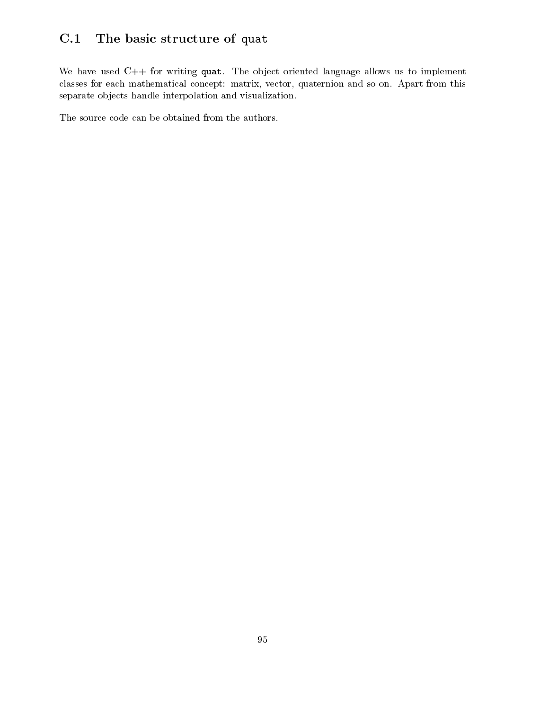# C.1 The basic structure of quat

We have used  $C++$  for writing quat. The object oriented language allows us to implement classes for each mathematical concept: matrix, vector, quaternion and so on. Apart from this separate objects handle interpolation and visualization.

The source code can be obtained from the authors.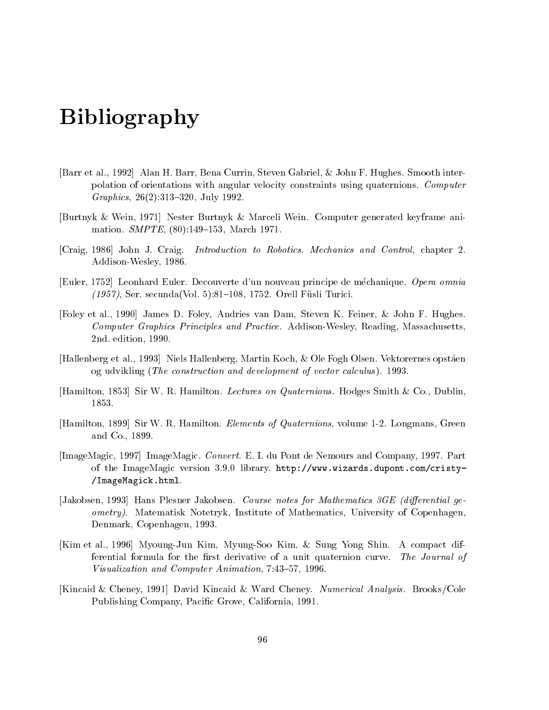# Bibliography

- [Barr et al., 1992] Alan H. Barr, Bena Currin, Steven Gabriel, & John F. Hughes. Smooth interpolation of orientations with angular velocity constraints using quaternions. Computer Graphics,  $26(2):313{-}320$ , July 1992.
- [Burtnyk & Wein, 1971] Nester Burtnyk & MarceliWein. Computer generated keyframe animation. *SMPTE*, (80):149-153, March 1971.
- [Craig, 1986] John J. Craig. Introduction to Robotics. Mechanics and Control, chapter 2. Addison-Wesley, 1986.
- [Euler, 1752] Leonhard Euler. Decouverte d'un nouveau principe de mechanique. Opera omnia  $(1957)$ , Ser. secunda(Vol. 5):81–108, 1752. Orell Füsli Turici.
- [Foley et al., 1990] James D. Foley, Andries van Dam, Steven K. Feiner, & John F. Hughes. Computer Graphics Principles and Practice. Addison-Wesley, Reading, Massachusetts, 2nd. edition, 1990.
- [Hallenberg et al., 1993] Niels Hallenberg, Martin Koch, & Ole Fogh Olsen. Vektorernes opstaen og udvikling (The construction and development of vector calculus ). 1993.
- [Hamilton, 1853] Sir W. R. Hamilton. Lectures on Quaternions. Hodges Smith & Co., Dublin, 1853.
- [Hamilton, 1899] Sir W. R. Hamilton. *Elements of Quaternions*, volume 1-2. Longmans, Green and Co., 1899.
- [ImageMagic, 1997] ImageMagic. Convert. E. I. du Pont de Nemours and Company, 1997. Part of the ImageMagic version 3.9.0 library. http://www.wizards.dupont.com/cristy- /ImageMagick.html.
- [Jakobsen, 1993] Hans Plesner Jakobsen. Course notes for Mathematics 3GE (differential geometry). Matematisk Notetryk, Institute of Mathematics, University of Copenhagen, Denmark, Copenhagen, 1993.
- [Kim et al., 1996] Myoung-Jun Kim, Myung-Soo Kim, & Sung Yong Shin. A compact differential formula for the first derivative of a unit quaternion curve. The Journal of Visualization and Computer Animation, 7:43-57, 1996.
- [Kincaid & Cheney, 1991] David Kincaid & Ward Cheney. Numerical Analysis. Brooks/Cole Publishing Company, Pacic Grove, California, 1991.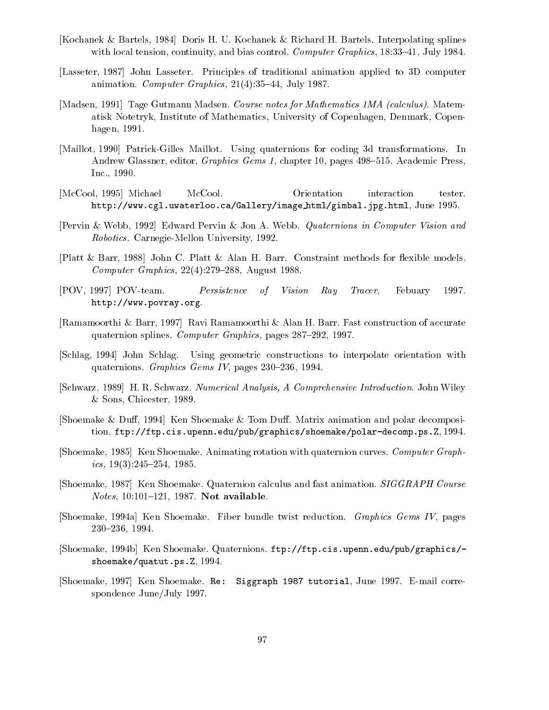- [Kochanek & Bartels, 1984] Doris H. U. Kochanek & Richard H. Bartels. Interpolating splines with local tension, continuity, and bias control. Computer Graphics,  $18:33-41$ , July 1984.
- [Lasseter, 1987] John Lasseter. Principles of traditional animation applied to 3D computer animation. Computer Graphics,  $21(4):35-44$ , July 1987.
- [Madsen, 1991] Tage Gutmann Madsen. Course notes for Mathematics 1MA (calculus). Matematisk Notetryk, Institute of Mathematics, University of Copenhagen, Denmark, Copenhagen, 1991.
- [Maillot, 1990] Patrick-Gilles Maillot. Using quaternions for coding 3d transformations. In Andrew Glassner, editor, *Graphics Gems 1*, chapter 10, pages 498-515. Academic Press, Inc., 1990.
- [McCool, 1995] Michael McCool. Orientation interaction tester. http://www.cgl.uwaterloo.ca/Gallery/image html/gimbal.jpg.html, June 1995.
- [Pervin & Webb, 1992] Edward Pervin & Jon A. Webb. Quaternions in Computer Vision and Robotics. Carnegie-Mellon University, 1992.
- [Platt & Barr, 1988] John C. Platt & Alan H. Barr. Constraint methods for flexible models. Computer Graphics,  $22(4):279-288$ , August 1988.
- [POV, 1997] POV-team. Persistence of Vision Ray Tracer, Febuary 1997. http://www.povray.org.
- [Ramamoorthi & Barr, 1997] Ravi Ramamoorthi & Alan H. Barr. Fast construction of accurate quaternion splines. Computer Graphics, pages 287-292, 1997.
- [Schlag, 1994] John Schlag. Using geometric constructions to interpolate orientation with quaternions. Graphics Gems IV, pages  $230-236$ , 1994.
- [Schwarz, 1989] H. R. Schwarz. Numerical Analysis, A Comprehensive Introduction. John Wiley & Sons, Chicester, 1989.
- [Shoemake & Duff, 1994] Ken Shoemake & Tom Duff. Matrix animation and polar decomposition. ftp://ftp.cis.upenn.edu/pub/graphics/shoemake/polar-decomp.ps.Z, 1994.
- [Shoemake, 1985] Ken Shoemake. Animating rotation with quaternion curves. Computer Graphics,  $19(3):245-254$ , 1985.
- [Shoemake, 1987] Ken Shoemake. Quaternion calculus and fast animation. SIGGRAPH Course Notes, 10:101-121, 1987. Not available.
- [Shoemake, 1994a] Ken Shoemake. Fiber bundle twist reduction. Graphics Gems IV, pages 230-236, 1994.
- [Shoemake, 1994b] Ken Shoemake. Quaternions. ftp://ftp.cis.upenn.edu/pub/graphics/ shoemake/quatut.ps.Z, 1994.
- [Shoemake, 1997] Ken Shoemake. Re: Siggraph <sup>1987</sup> tutorial, June 1997. E-mail correspondence June/July 1997.